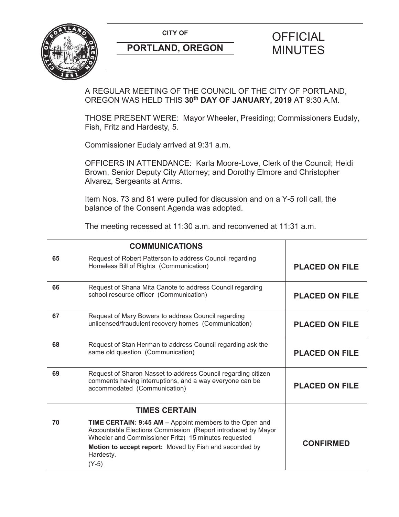**CITY OF CITY OF PICIAL** 



# **PORTLAND, OREGON MINUTES**

# A REGULAR MEETING OF THE COUNCIL OF THE CITY OF PORTLAND, OREGON WAS HELD THIS **30th DAY OF JANUARY, 2019** AT 9:30 A.M.

THOSE PRESENT WERE: Mayor Wheeler, Presiding; Commissioners Eudaly, Fish, Fritz and Hardesty, 5.

Commissioner Eudaly arrived at 9:31 a.m.

OFFICERS IN ATTENDANCE: Karla Moore-Love, Clerk of the Council; Heidi Brown, Senior Deputy City Attorney; and Dorothy Elmore and Christopher Alvarez, Sergeants at Arms.

Item Nos. 73 and 81 were pulled for discussion and on a Y-5 roll call, the balance of the Consent Agenda was adopted.

The meeting recessed at 11:30 a.m. and reconvened at 11:31 a.m.

|    | <b>COMMUNICATIONS</b>                                                                                                                                                           |                       |
|----|---------------------------------------------------------------------------------------------------------------------------------------------------------------------------------|-----------------------|
| 65 | Request of Robert Patterson to address Council regarding<br>Homeless Bill of Rights (Communication)                                                                             | <b>PLACED ON FILE</b> |
| 66 | Request of Shana Mita Canote to address Council regarding<br>school resource officer (Communication)                                                                            | <b>PLACED ON FILE</b> |
| 67 | Request of Mary Bowers to address Council regarding<br>unlicensed/fraudulent recovery homes (Communication)                                                                     | <b>PLACED ON FILE</b> |
| 68 | Request of Stan Herman to address Council regarding ask the<br>same old question (Communication)                                                                                | <b>PLACED ON FILE</b> |
| 69 | Request of Sharon Nasset to address Council regarding citizen<br>comments having interruptions, and a way everyone can be<br>accommodated (Communication)                       | <b>PLACED ON FILE</b> |
|    | <b>TIMES CERTAIN</b>                                                                                                                                                            |                       |
| 70 | TIME CERTAIN: 9:45 AM - Appoint members to the Open and<br>Accountable Elections Commission (Report introduced by Mayor<br>Wheeler and Commissioner Fritz) 15 minutes requested | <b>CONFIRMED</b>      |
|    | Motion to accept report: Moved by Fish and seconded by<br>Hardesty.                                                                                                             |                       |
|    | $(Y-5)$                                                                                                                                                                         |                       |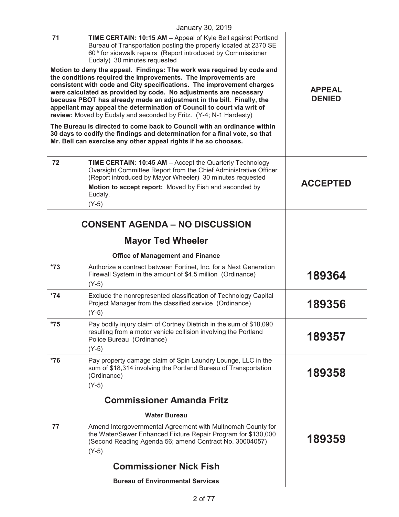| January 30, 2019 |                                                                                                                                                                                                                                                                                                                                                                                                                                                                                                                 |                                |
|------------------|-----------------------------------------------------------------------------------------------------------------------------------------------------------------------------------------------------------------------------------------------------------------------------------------------------------------------------------------------------------------------------------------------------------------------------------------------------------------------------------------------------------------|--------------------------------|
| 71               | TIME CERTAIN: 10:15 AM - Appeal of Kyle Bell against Portland<br>Bureau of Transportation posting the property located at 2370 SE<br>60 <sup>th</sup> for sidewalk repairs (Report introduced by Commissioner<br>Eudaly) 30 minutes requested                                                                                                                                                                                                                                                                   |                                |
|                  | Motion to deny the appeal. Findings: The work was required by code and<br>the conditions required the improvements. The improvements are<br>consistent with code and City specifications. The improvement charges<br>were calculated as provided by code. No adjustments are necessary<br>because PBOT has already made an adjustment in the bill. Finally, the<br>appellant may appeal the determination of Council to court via writ of<br>review: Moved by Eudaly and seconded by Fritz. (Y-4; N-1 Hardesty) | <b>APPEAL</b><br><b>DENIED</b> |
|                  | The Bureau is directed to come back to Council with an ordinance within<br>30 days to codify the findings and determination for a final vote, so that<br>Mr. Bell can exercise any other appeal rights if he so chooses.                                                                                                                                                                                                                                                                                        |                                |
| 72               | TIME CERTAIN: 10:45 AM - Accept the Quarterly Technology<br>Oversight Committee Report from the Chief Administrative Officer<br>(Report introduced by Mayor Wheeler) 30 minutes requested<br>Motion to accept report: Moved by Fish and seconded by<br>Eudaly.<br>$(Y-5)$                                                                                                                                                                                                                                       | <b>ACCEPTED</b>                |
|                  | <b>CONSENT AGENDA – NO DISCUSSION</b>                                                                                                                                                                                                                                                                                                                                                                                                                                                                           |                                |
|                  |                                                                                                                                                                                                                                                                                                                                                                                                                                                                                                                 |                                |
|                  | <b>Mayor Ted Wheeler</b>                                                                                                                                                                                                                                                                                                                                                                                                                                                                                        |                                |
|                  | <b>Office of Management and Finance</b>                                                                                                                                                                                                                                                                                                                                                                                                                                                                         |                                |
| $*73$            | Authorize a contract between Fortinet, Inc. for a Next Generation<br>Firewall System in the amount of \$4.5 million (Ordinance)<br>$(Y-5)$                                                                                                                                                                                                                                                                                                                                                                      | 189364                         |
| $*74$            | Exclude the nonrepresented classification of Technology Capital<br>Project Manager from the classified service (Ordinance)<br>$(Y-5)$                                                                                                                                                                                                                                                                                                                                                                           | 189356                         |
| $*75$            | Pay bodily injury claim of Cortney Dietrich in the sum of \$18,090<br>resulting from a motor vehicle collision involving the Portland<br>Police Bureau (Ordinance)<br>$(Y-5)$                                                                                                                                                                                                                                                                                                                                   | 189357                         |
| $*76$            | Pay property damage claim of Spin Laundry Lounge, LLC in the<br>sum of \$18,314 involving the Portland Bureau of Transportation<br>(Ordinance)<br>$(Y-5)$                                                                                                                                                                                                                                                                                                                                                       | 189358                         |
|                  | <b>Commissioner Amanda Fritz</b>                                                                                                                                                                                                                                                                                                                                                                                                                                                                                |                                |
|                  | <b>Water Bureau</b>                                                                                                                                                                                                                                                                                                                                                                                                                                                                                             |                                |
| 77               | Amend Intergovernmental Agreement with Multnomah County for<br>the Water/Sewer Enhanced Fixture Repair Program for \$130,000<br>(Second Reading Agenda 56; amend Contract No. 30004057)<br>$(Y-5)$                                                                                                                                                                                                                                                                                                              | 189359                         |
|                  | <b>Commissioner Nick Fish</b>                                                                                                                                                                                                                                                                                                                                                                                                                                                                                   |                                |
|                  | <b>Bureau of Environmental Services</b>                                                                                                                                                                                                                                                                                                                                                                                                                                                                         |                                |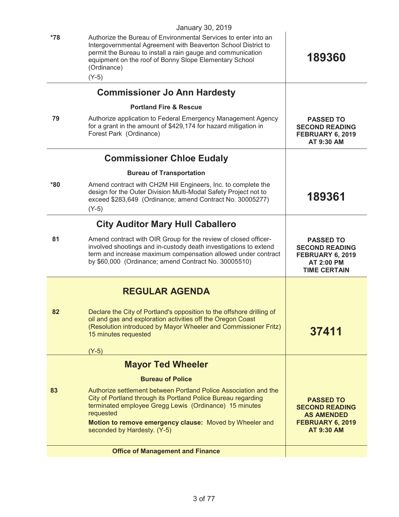|     | <b>Office of Management and Finance</b>                                                                                                                                                                                                                      |                                                                                                           |
|-----|--------------------------------------------------------------------------------------------------------------------------------------------------------------------------------------------------------------------------------------------------------------|-----------------------------------------------------------------------------------------------------------|
|     | Motion to remove emergency clause: Moved by Wheeler and<br>seconded by Hardesty. (Y-5)                                                                                                                                                                       | <b>AS AMENDED</b><br>FEBRUARY 6, 2019<br><b>AT 9:30 AM</b>                                                |
| 83  | Authorize settlement between Portland Police Association and the<br>City of Portland through its Portland Police Bureau regarding<br>terminated employee Gregg Lewis (Ordinance) 15 minutes<br>requested                                                     | <b>PASSED TO</b><br><b>SECOND READING</b>                                                                 |
|     | <b>Bureau of Police</b>                                                                                                                                                                                                                                      |                                                                                                           |
|     | <b>Mayor Ted Wheeler</b>                                                                                                                                                                                                                                     |                                                                                                           |
|     | $(Y-5)$                                                                                                                                                                                                                                                      |                                                                                                           |
|     | (Resolution introduced by Mayor Wheeler and Commissioner Fritz)<br>15 minutes requested                                                                                                                                                                      | 37411                                                                                                     |
| 82  | Declare the City of Portland's opposition to the offshore drilling of<br>oil and gas and exploration activities off the Oregon Coast                                                                                                                         |                                                                                                           |
|     | <b>REGULAR AGENDA</b>                                                                                                                                                                                                                                        |                                                                                                           |
|     |                                                                                                                                                                                                                                                              |                                                                                                           |
| 81  | Amend contract with OIR Group for the review of closed officer-<br>involved shootings and in-custody death investigations to extend<br>term and increase maximum compensation allowed under contract<br>by \$60,000 (Ordinance; amend Contract No. 30005510) | <b>PASSED TO</b><br><b>SECOND READING</b><br>FEBRUARY 6, 2019<br><b>AT 2:00 PM</b><br><b>TIME CERTAIN</b> |
|     | <b>City Auditor Mary Hull Caballero</b>                                                                                                                                                                                                                      |                                                                                                           |
|     | $(Y-5)$                                                                                                                                                                                                                                                      |                                                                                                           |
| *80 | Amend contract with CH2M Hill Engineers, Inc. to complete the<br>design for the Outer Division Multi-Modal Safety Project not to<br>exceed \$283,649 (Ordinance; amend Contract No. 30005277)                                                                | 189361                                                                                                    |
|     | <b>Bureau of Transportation</b>                                                                                                                                                                                                                              |                                                                                                           |
|     | <b>Commissioner Chloe Eudaly</b>                                                                                                                                                                                                                             |                                                                                                           |
| 79  | Authorize application to Federal Emergency Management Agency<br>for a grant in the amount of \$429,174 for hazard mitigation in<br>Forest Park (Ordinance)                                                                                                   | <b>PASSED TO</b><br><b>SECOND READING</b><br>FEBRUARY 6, 2019<br>AT 9:30 AM                               |
|     | <b>Portland Fire &amp; Rescue</b>                                                                                                                                                                                                                            |                                                                                                           |
|     | <b>Commissioner Jo Ann Hardesty</b>                                                                                                                                                                                                                          |                                                                                                           |
|     | $(Y-5)$                                                                                                                                                                                                                                                      |                                                                                                           |
|     | Intergovernmental Agreement with Beaverton School District to<br>permit the Bureau to install a rain gauge and communication<br>equipment on the roof of Bonny Slope Elementary School<br>(Ordinance)                                                        | 189360                                                                                                    |
| *78 | January 30, 2019<br>Authorize the Bureau of Environmental Services to enter into an                                                                                                                                                                          |                                                                                                           |
|     |                                                                                                                                                                                                                                                              |                                                                                                           |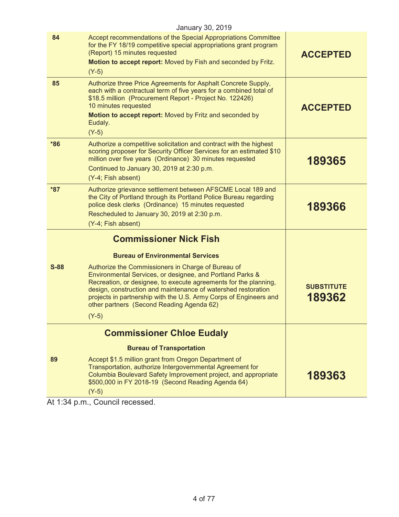|        | January 30, 2019                                                                                                                                                                                                                                                                                                                                                       |                             |
|--------|------------------------------------------------------------------------------------------------------------------------------------------------------------------------------------------------------------------------------------------------------------------------------------------------------------------------------------------------------------------------|-----------------------------|
| 84     | Accept recommendations of the Special Appropriations Committee<br>for the FY 18/19 competitive special appropriations grant program<br>(Report) 15 minutes requested<br>Motion to accept report: Moved by Fish and seconded by Fritz.<br>$(Y-5)$                                                                                                                       | <b>ACCEPTED</b>             |
| 85     | Authorize three Price Agreements for Asphalt Concrete Supply,<br>each with a contractual term of five years for a combined total of<br>\$18.5 million (Procurement Report - Project No. 122426)<br>10 minutes requested<br>Motion to accept report: Moved by Fritz and seconded by<br>Eudaly.<br>$(Y-5)$                                                               | <b>ACCEPTED</b>             |
| $*86$  | Authorize a competitive solicitation and contract with the highest<br>scoring proposer for Security Officer Services for an estimated \$10<br>million over five years (Ordinance) 30 minutes requested<br>Continued to January 30, 2019 at 2:30 p.m.<br>(Y-4; Fish absent)                                                                                             | 189365                      |
| $*87$  | Authorize grievance settlement between AFSCME Local 189 and<br>the City of Portland through its Portland Police Bureau regarding<br>police desk clerks (Ordinance) 15 minutes requested<br>Rescheduled to January 30, 2019 at 2:30 p.m.<br>(Y-4; Fish absent)                                                                                                          | 189366                      |
|        | <b>Commissioner Nick Fish</b>                                                                                                                                                                                                                                                                                                                                          |                             |
|        | <b>Bureau of Environmental Services</b>                                                                                                                                                                                                                                                                                                                                |                             |
| $S-88$ | Authorize the Commissioners in Charge of Bureau of<br>Environmental Services, or designee, and Portland Parks &<br>Recreation, or designee, to execute agreements for the planning,<br>design, construction and maintenance of watershed restoration<br>projects in partnership with the U.S. Army Corps of Engineers and<br>other partners (Second Reading Agenda 62) | <b>SUBSTITUTE</b><br>189362 |
|        | $(Y-5)$                                                                                                                                                                                                                                                                                                                                                                |                             |
|        | <b>Commissioner Chloe Eudaly</b>                                                                                                                                                                                                                                                                                                                                       |                             |
|        | <b>Bureau of Transportation</b>                                                                                                                                                                                                                                                                                                                                        |                             |
| 89     | Accept \$1.5 million grant from Oregon Department of<br>Transportation, authorize Intergovernmental Agreement for<br>Columbia Boulevard Safety Improvement project, and appropriate<br>\$500,000 in FY 2018-19 (Second Reading Agenda 64)<br>$(Y-5)$                                                                                                                   | 189363                      |
|        |                                                                                                                                                                                                                                                                                                                                                                        |                             |

At 1:34 p.m., Council recessed.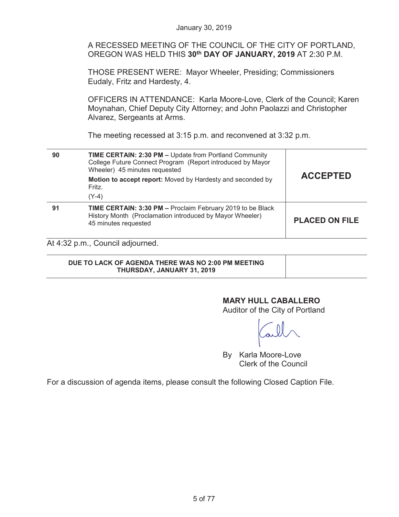A RECESSED MEETING OF THE COUNCIL OF THE CITY OF PORTLAND, OREGON WAS HELD THIS **30th DAY OF JANUARY, 2019** AT 2:30 P.M. THOSE PRESENT WERE: Mayor Wheeler, Presiding; Commissioners Eudaly, Fritz and Hardesty, 4. OFFICERS IN ATTENDANCE: Karla Moore-Love, Clerk of the Council; Karen Moynahan, Chief Deputy City Attorney; and John Paolazzi and Christopher Alvarez, Sergeants at Arms. The meeting recessed at 3:15 p.m. and reconvened at 3:32 p.m.  **90 TIME CERTAIN: 2:30 PM –** Update from Portland Community College Future Connect Program (Report introduced by Mayor Wheeler) 45 minutes requested **Motion to accept report:** Moved by Hardesty and seconded by Fritz. (Y-4) **ACCEPTED 91 TIME CERTAIN: 3:30 PM –** Proclaim February 2019 to be Black History Month (Proclamation introduced by Mayor Wheeler) 45 minutes requested **PLACED ON FILE**  At 4:32 p.m., Council adjourned. **DUE TO LACK OF AGENDA THERE WAS NO 2:00 PM MEETING THURSDAY, JANUARY 31, 2019** 

January 30, 2019

# **MARY HULL CABALLERO**

Auditor of the City of Portland

By Karla Moore-Love Clerk of the Council

For a discussion of agenda items, please consult the following Closed Caption File.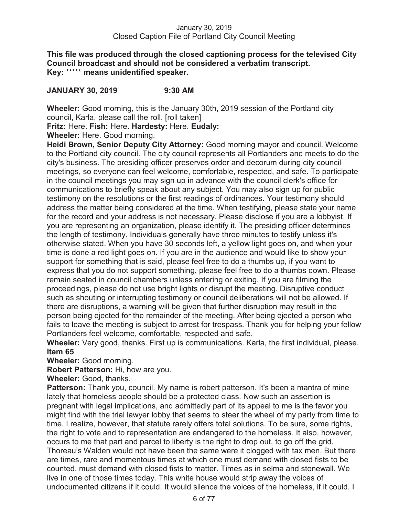**This file was produced through the closed captioning process for the televised City Council broadcast and should not be considered a verbatim transcript. Key:** \*\*\*\*\* **means unidentified speaker.** 

# **JANUARY 30, 2019 9:30 AM**

**Wheeler:** Good morning, this is the January 30th, 2019 session of the Portland city council, Karla, please call the roll. [roll taken]

**Fritz:** Here. **Fish:** Here. **Hardesty:** Here. **Eudaly:** 

**Wheeler:** Here. Good morning.

**Heidi Brown, Senior Deputy City Attorney:** Good morning mayor and council. Welcome to the Portland city council. The city council represents all Portlanders and meets to do the city's business. The presiding officer preserves order and decorum during city council meetings, so everyone can feel welcome, comfortable, respected, and safe. To participate in the council meetings you may sign up in advance with the council clerk's office for communications to briefly speak about any subject. You may also sign up for public testimony on the resolutions or the first readings of ordinances. Your testimony should address the matter being considered at the time. When testifying, please state your name for the record and your address is not necessary. Please disclose if you are a lobbyist. If you are representing an organization, please identify it. The presiding officer determines the length of testimony. Individuals generally have three minutes to testify unless it's otherwise stated. When you have 30 seconds left, a yellow light goes on, and when your time is done a red light goes on. If you are in the audience and would like to show your support for something that is said, please feel free to do a thumbs up, if you want to express that you do not support something, please feel free to do a thumbs down. Please remain seated in council chambers unless entering or exiting. If you are filming the proceedings, please do not use bright lights or disrupt the meeting. Disruptive conduct such as shouting or interrupting testimony or council deliberations will not be allowed. If there are disruptions, a warning will be given that further disruption may result in the person being ejected for the remainder of the meeting. After being ejected a person who fails to leave the meeting is subject to arrest for trespass. Thank you for helping your fellow Portlanders feel welcome, comfortable, respected and safe.

**Wheeler:** Very good, thanks. First up is communications. Karla, the first individual, please. **Item 65** 

**Wheeler:** Good morning.

**Robert Patterson:** Hi, how are you.

**Wheeler:** Good, thanks.

**Patterson:** Thank you, council. My name is robert patterson. It's been a mantra of mine lately that homeless people should be a protected class. Now such an assertion is pregnant with legal implications, and admittedly part of its appeal to me is the favor you might find with the trial lawyer lobby that seems to steer the wheel of my party from time to time. I realize, however, that statute rarely offers total solutions. To be sure, some rights, the right to vote and to representation are endangered to the homeless. It also, however, occurs to me that part and parcel to liberty is the right to drop out, to go off the grid, Thoreau's Walden would not have been the same were it clogged with tax men. But there are times, rare and momentous times at which one must demand with closed fists to be counted, must demand with closed fists to matter. Times as in selma and stonewall. We live in one of those times today. This white house would strip away the voices of undocumented citizens if it could. It would silence the voices of the homeless, if it could. I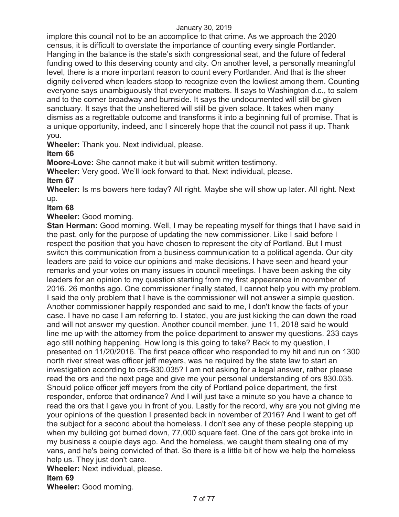implore this council not to be an accomplice to that crime. As we approach the 2020 census, it is difficult to overstate the importance of counting every single Portlander. Hanging in the balance is the state's sixth congressional seat, and the future of federal funding owed to this deserving county and city. On another level, a personally meaningful level, there is a more important reason to count every Portlander. And that is the sheer dignity delivered when leaders stoop to recognize even the lowliest among them. Counting everyone says unambiguously that everyone matters. It says to Washington d.c., to salem and to the corner broadway and burnside. It says the undocumented will still be given sanctuary. It says that the unsheltered will still be given solace. It takes when many dismiss as a regrettable outcome and transforms it into a beginning full of promise. That is a unique opportunity, indeed, and I sincerely hope that the council not pass it up. Thank you.

**Wheeler:** Thank you. Next individual, please.

# **Item 66**

**Moore-Love:** She cannot make it but will submit written testimony.

**Wheeler:** Very good. We'll look forward to that. Next individual, please.

# **Item 67**

**Wheeler:** Is ms bowers here today? All right. Maybe she will show up later. All right. Next up.

# **Item 68**

**Wheeler:** Good morning.

**Stan Herman:** Good morning. Well, I may be repeating myself for things that I have said in the past, only for the purpose of updating the new commissioner. Like I said before I respect the position that you have chosen to represent the city of Portland. But I must switch this communication from a business communication to a political agenda. Our city leaders are paid to voice our opinions and make decisions. I have seen and heard your remarks and your votes on many issues in council meetings. I have been asking the city leaders for an opinion to my question starting from my first appearance in november of 2016. 26 months ago. One commissioner finally stated, I cannot help you with my problem. I said the only problem that I have is the commissioner will not answer a simple question. Another commissioner happily responded and said to me, I don't know the facts of your case. I have no case I am referring to. I stated, you are just kicking the can down the road and will not answer my question. Another council member, june 11, 2018 said he would line me up with the attorney from the police department to answer my questions. 233 days ago still nothing happening. How long is this going to take? Back to my question, I presented on 11/20/2016. The first peace officer who responded to my hit and run on 1300 north river street was officer jeff meyers, was he required by the state law to start an investigation according to ors-830.035? I am not asking for a legal answer, rather please read the ors and the next page and give me your personal understanding of ors 830.035. Should police officer jeff meyers from the city of Portland police department, the first responder, enforce that ordinance? And I will just take a minute so you have a chance to read the ors that I gave you in front of you. Lastly for the record, why are you not giving me your opinions of the question I presented back in november of 2016? And I want to get off the subject for a second about the homeless. I don't see any of these people stepping up when my building got burned down, 77,000 square feet. One of the cars got broke into in my business a couple days ago. And the homeless, we caught them stealing one of my vans, and he's being convicted of that. So there is a little bit of how we help the homeless help us. They just don't care.

**Wheeler:** Next individual, please.

# **Item 69**

**Wheeler:** Good morning.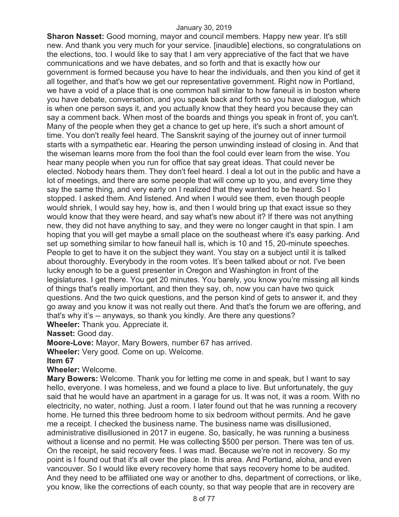**Sharon Nasset:** Good morning, mayor and council members. Happy new year. It's still new. And thank you very much for your service. [inaudible] elections, so congratulations on the elections, too. I would like to say that I am very appreciative of the fact that we have communications and we have debates, and so forth and that is exactly how our government is formed because you have to hear the individuals, and then you kind of get it all together, and that's how we get our representative government. Right now in Portland, we have a void of a place that is one common hall similar to how faneuil is in boston where you have debate, conversation, and you speak back and forth so you have dialogue, which is when one person says it, and you actually know that they heard you because they can say a comment back. When most of the boards and things you speak in front of, you can't. Many of the people when they get a chance to get up here, it's such a short amount of time. You don't really feel heard. The Sanskrit saying of the journey out of inner turmoil starts with a sympathetic ear. Hearing the person unwinding instead of closing in. And that the wiseman learns more from the fool than the fool could ever learn from the wise. You hear many people when you run for office that say great ideas. That could never be elected. Nobody hears them. They don't feel heard. I deal a lot out in the public and have a lot of meetings, and there are some people that will come up to you, and every time they say the same thing, and very early on I realized that they wanted to be heard. So I stopped. I asked them. And listened. And when I would see them, even though people would shriek, I would say hey, how is, and then I would bring up that exact issue so they would know that they were heard, and say what's new about it? If there was not anything new, they did not have anything to say, and they were no longer caught in that spin. I am hoping that you will get maybe a small place on the southeast where it's easy parking. And set up something similar to how faneuil hall is, which is 10 and 15, 20-minute speeches. People to get to have it on the subject they want. You stay on a subject until it is talked about thoroughly. Everybody in the room votes. It's been talked about or not. I've been lucky enough to be a guest presenter in Oregon and Washington in front of the legislatures. I get there. You get 20 minutes. You barely, you know you're missing all kinds of things that's really important, and then they say, oh, now you can have two quick questions. And the two quick questions, and the person kind of gets to answer it, and they go away and you know it was not really out there. And that's the forum we are offering, and that's why it's -- anyways, so thank you kindly. Are there any questions? **Wheeler:** Thank you. Appreciate it.

**Nasset:** Good day.

**Moore-Love:** Mayor, Mary Bowers, number 67 has arrived.

**Wheeler:** Very good. Come on up. Welcome.

**Item 67** 

**Wheeler:** Welcome.

**Mary Bowers:** Welcome. Thank you for letting me come in and speak, but I want to say hello, everyone. I was homeless, and we found a place to live. But unfortunately, the guy said that he would have an apartment in a garage for us. It was not, it was a room. With no electricity, no water, nothing. Just a room. I later found out that he was running a recovery home. He turned this three bedroom home to six bedroom without permits. And he gave me a receipt. I checked the business name. The business name was disillusioned, administrative disillusioned in 2017 in eugene. So, basically, he was running a business without a license and no permit. He was collecting \$500 per person. There was ten of us. On the receipt, he said recovery fees. I was mad. Because we're not in recovery. So my point is I found out that it's all over the place. In this area. And Portland, aloha, and even vancouver. So I would like every recovery home that says recovery home to be audited. And they need to be affiliated one way or another to dhs, department of corrections, or like, you know, like the corrections of each county, so that way people that are in recovery are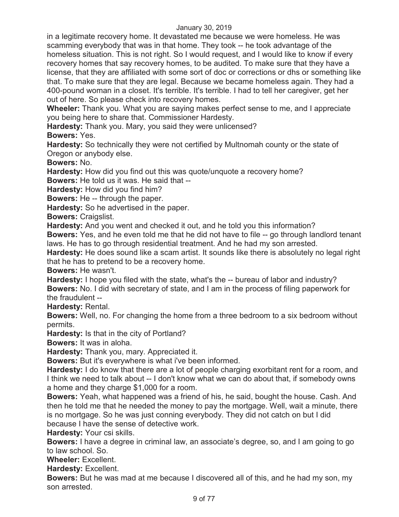in a legitimate recovery home. It devastated me because we were homeless. He was scamming everybody that was in that home. They took -- he took advantage of the homeless situation. This is not right. So I would request, and I would like to know if every recovery homes that say recovery homes, to be audited. To make sure that they have a license, that they are affiliated with some sort of doc or corrections or dhs or something like that. To make sure that they are legal. Because we became homeless again. They had a 400-pound woman in a closet. It's terrible. It's terrible. I had to tell her caregiver, get her out of here. So please check into recovery homes.

**Wheeler:** Thank you. What you are saying makes perfect sense to me, and I appreciate you being here to share that. Commissioner Hardesty.

**Hardesty:** Thank you. Mary, you said they were unlicensed?

**Bowers:** Yes.

**Hardesty:** So technically they were not certified by Multnomah county or the state of Oregon or anybody else.

**Bowers:** No.

**Hardesty:** How did you find out this was quote/unquote a recovery home?

**Bowers:** He told us it was. He said that --

**Hardesty:** How did you find him?

**Bowers:** He -- through the paper.

**Hardesty:** So he advertised in the paper.

**Bowers:** Craigslist.

**Hardesty:** And you went and checked it out, and he told you this information?

**Bowers:** Yes, and he even told me that he did not have to file -- go through landlord tenant laws. He has to go through residential treatment. And he had my son arrested.

**Hardesty:** He does sound like a scam artist. It sounds like there is absolutely no legal right that he has to pretend to be a recovery home.

**Bowers:** He wasn't.

**Hardesty:** I hope you filed with the state, what's the -- bureau of labor and industry? **Bowers:** No. I did with secretary of state, and I am in the process of filing paperwork for the fraudulent --

**Hardesty:** Rental.

**Bowers:** Well, no. For changing the home from a three bedroom to a six bedroom without permits.

**Hardesty:** Is that in the city of Portland?

**Bowers:** It was in aloha.

**Hardesty:** Thank you, mary. Appreciated it.

**Bowers:** But it's everywhere is what i've been informed.

**Hardesty:** I do know that there are a lot of people charging exorbitant rent for a room, and I think we need to talk about -- I don't know what we can do about that, if somebody owns a home and they charge \$1,000 for a room.

**Bowers:** Yeah, what happened was a friend of his, he said, bought the house. Cash. And then he told me that he needed the money to pay the mortgage. Well, wait a minute, there is no mortgage. So he was just conning everybody. They did not catch on but I did because I have the sense of detective work.

**Hardesty:** Your csi skills.

**Bowers:** I have a degree in criminal law, an associate's degree, so, and I am going to go to law school. So.

**Wheeler:** Excellent.

**Hardesty:** Excellent.

**Bowers:** But he was mad at me because I discovered all of this, and he had my son, my son arrested.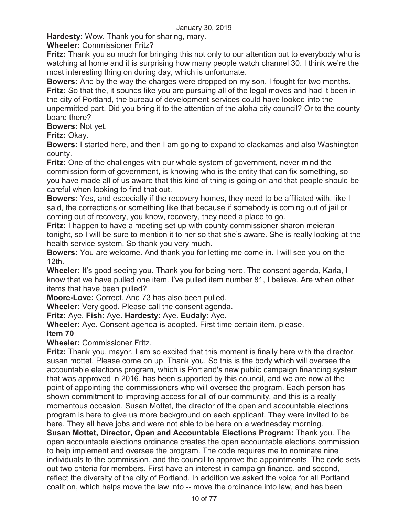**Hardesty:** Wow. Thank you for sharing, mary.

**Wheeler:** Commissioner Fritz?

**Fritz:** Thank you so much for bringing this not only to our attention but to everybody who is watching at home and it is surprising how many people watch channel 30, I think we're the most interesting thing on during day, which is unfortunate.

**Bowers:** And by the way the charges were dropped on my son. I fought for two months. **Fritz:** So that the, it sounds like you are pursuing all of the legal moves and had it been in the city of Portland, the bureau of development services could have looked into the unpermitted part. Did you bring it to the attention of the aloha city council? Or to the county board there?

**Bowers:** Not yet.

**Fritz:** Okay.

**Bowers:** I started here, and then I am going to expand to clackamas and also Washington county.

**Fritz:** One of the challenges with our whole system of government, never mind the commission form of government, is knowing who is the entity that can fix something, so you have made all of us aware that this kind of thing is going on and that people should be careful when looking to find that out.

**Bowers:** Yes, and especially if the recovery homes, they need to be affiliated with, like I said, the corrections or something like that because if somebody is coming out of jail or coming out of recovery, you know, recovery, they need a place to go.

**Fritz:** I happen to have a meeting set up with county commissioner sharon meieran tonight, so I will be sure to mention it to her so that she's aware. She is really looking at the health service system. So thank you very much.

**Bowers:** You are welcome. And thank you for letting me come in. I will see you on the 12th.

**Wheeler:** It's good seeing you. Thank you for being here. The consent agenda, Karla, I know that we have pulled one item. I've pulled item number 81, I believe. Are when other items that have been pulled?

**Moore-Love:** Correct. And 73 has also been pulled.

**Wheeler:** Very good. Please call the consent agenda.

**Fritz:** Aye. **Fish:** Aye. **Hardesty:** Aye. **Eudaly:** Aye.

**Wheeler:** Aye. Consent agenda is adopted. First time certain item, please.

# **Item 70**

**Wheeler:** Commissioner Fritz.

**Fritz:** Thank you, mayor. I am so excited that this moment is finally here with the director, susan mottet. Please come on up. Thank you. So this is the body which will oversee the accountable elections program, which is Portland's new public campaign financing system that was approved in 2016, has been supported by this council, and we are now at the point of appointing the commissioners who will oversee the program. Each person has shown commitment to improving access for all of our community, and this is a really momentous occasion. Susan Mottet, the director of the open and accountable elections program is here to give us more background on each applicant. They were invited to be here. They all have jobs and were not able to be here on a wednesday morning.

**Susan Mottet, Director, Open and Accountable Elections Program:** Thank you. The open accountable elections ordinance creates the open accountable elections commission to help implement and oversee the program. The code requires me to nominate nine individuals to the commission, and the council to approve the appointments. The code sets out two criteria for members. First have an interest in campaign finance, and second, reflect the diversity of the city of Portland. In addition we asked the voice for all Portland coalition, which helps move the law into -- move the ordinance into law, and has been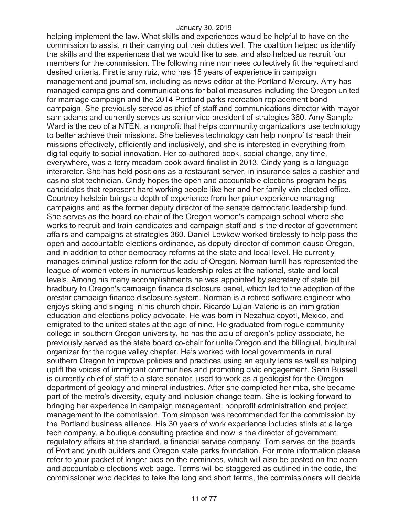helping implement the law. What skills and experiences would be helpful to have on the commission to assist in their carrying out their duties well. The coalition helped us identify the skills and the experiences that we would like to see, and also helped us recruit four members for the commission. The following nine nominees collectively fit the required and desired criteria. First is amy ruiz, who has 15 years of experience in campaign management and journalism, including as news editor at the Portland Mercury. Amy has managed campaigns and communications for ballot measures including the Oregon united for marriage campaign and the 2014 Portland parks recreation replacement bond campaign. She previously served as chief of staff and communications director with mayor sam adams and currently serves as senior vice president of strategies 360. Amy Sample Ward is the ceo of a NTEN, a nonprofit that helps community organizations use technology to better achieve their missions. She believes technology can help nonprofits reach their missions effectively, efficiently and inclusively, and she is interested in everything from digital equity to social innovation. Her co-authored book, social change, any time, everywhere, was a terry mcadam book award finalist in 2013. Cindy yang is a language interpreter. She has held positions as a restaurant server, in insurance sales a cashier and casino slot technician. Cindy hopes the open and accountable elections program helps candidates that represent hard working people like her and her family win elected office. Courtney helstein brings a depth of experience from her prior experience managing campaigns and as the former deputy director of the senate democratic leadership fund. She serves as the board co-chair of the Oregon women's campaign school where she works to recruit and train candidates and campaign staff and is the director of government affairs and campaigns at strategies 360. Daniel Lewkow worked tirelessly to help pass the open and accountable elections ordinance, as deputy director of common cause Oregon, and in addition to other democracy reforms at the state and local level. He currently manages criminal justice reform for the aclu of Oregon. Norman turrill has represented the league of women voters in numerous leadership roles at the national, state and local levels. Among his many accomplishments he was appointed by secretary of state bill bradbury to Oregon's campaign finance disclosure panel, which led to the adoption of the orestar campaign finance disclosure system. Norman is a retired software engineer who enjoys skiing and singing in his church choir. Ricardo Lujan-Valerio is an immigration education and elections policy advocate. He was born in Nezahualcoyotl, Mexico, and emigrated to the united states at the age of nine. He graduated from rogue community college in southern Oregon university, he has the aclu of oregon's policy associate, he previously served as the state board co-chair for unite Oregon and the bilingual, bicultural organizer for the rogue valley chapter. He's worked with local governments in rural southern Oregon to improve policies and practices using an equity lens as well as helping uplift the voices of immigrant communities and promoting civic engagement. Serin Bussell is currently chief of staff to a state senator, used to work as a geologist for the Oregon department of geology and mineral industries. After she completed her mba, she became part of the metro's diversity, equity and inclusion change team. She is looking forward to bringing her experience in campaign management, nonprofit administration and project management to the commission. Tom simpson was recommended for the commission by the Portland business alliance. His 30 years of work experience includes stints at a large tech company, a boutique consulting practice and now is the director of government regulatory affairs at the standard, a financial service company. Tom serves on the boards of Portland youth builders and Oregon state parks foundation. For more information please refer to your packet of longer bios on the nominees, which will also be posted on the open and accountable elections web page. Terms will be staggered as outlined in the code, the commissioner who decides to take the long and short terms, the commissioners will decide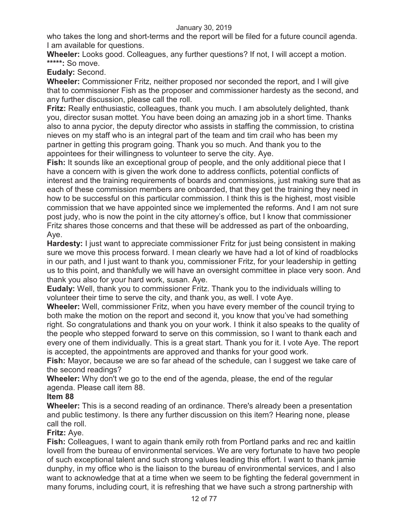who takes the long and short-terms and the report will be filed for a future council agenda. I am available for questions.

**Wheeler:** Looks good. Colleagues, any further questions? If not, I will accept a motion. **\*\*\*\*\*:** So move.

**Eudaly:** Second.

**Wheeler:** Commissioner Fritz, neither proposed nor seconded the report, and I will give that to commissioner Fish as the proposer and commissioner hardesty as the second, and any further discussion, please call the roll.

**Fritz:** Really enthusiastic, colleagues, thank you much. I am absolutely delighted, thank you, director susan mottet. You have been doing an amazing job in a short time. Thanks also to anna pycior, the deputy director who assists in staffing the commission, to cristina nieves on my staff who is an integral part of the team and tim crail who has been my partner in getting this program going. Thank you so much. And thank you to the appointees for their willingness to volunteer to serve the city. Aye.

**Fish:** It sounds like an exceptional group of people, and the only additional piece that I have a concern with is given the work done to address conflicts, potential conflicts of interest and the training requirements of boards and commissions, just making sure that as each of these commission members are onboarded, that they get the training they need in how to be successful on this particular commission. I think this is the highest, most visible commission that we have appointed since we implemented the reforms. And I am not sure post judy, who is now the point in the city attorney's office, but I know that commissioner Fritz shares those concerns and that these will be addressed as part of the onboarding, Aye.

**Hardesty:** I just want to appreciate commissioner Fritz for just being consistent in making sure we move this process forward. I mean clearly we have had a lot of kind of roadblocks in our path, and I just want to thank you, commissioner Fritz, for your leadership in getting us to this point, and thankfully we will have an oversight committee in place very soon. And thank you also for your hard work, susan. Aye.

**Eudaly:** Well, thank you to commissioner Fritz. Thank you to the individuals willing to volunteer their time to serve the city, and thank you, as well. I vote Aye.

**Wheeler:** Well, commissioner Fritz, when you have every member of the council trying to both make the motion on the report and second it, you know that you've had something right. So congratulations and thank you on your work. I think it also speaks to the quality of the people who stepped forward to serve on this commission, so I want to thank each and every one of them individually. This is a great start. Thank you for it. I vote Aye. The report is accepted, the appointments are approved and thanks for your good work.

**Fish:** Mayor, because we are so far ahead of the schedule, can I suggest we take care of the second readings?

**Wheeler:** Why don't we go to the end of the agenda, please, the end of the regular agenda. Please call item 88.

# **Item 88**

**Wheeler:** This is a second reading of an ordinance. There's already been a presentation and public testimony. Is there any further discussion on this item? Hearing none, please call the roll.

# **Fritz:** Aye.

**Fish:** Colleagues, I want to again thank emily roth from Portland parks and rec and kaitlin lovell from the bureau of environmental services. We are very fortunate to have two people of such exceptional talent and such strong values leading this effort. I want to thank jamie dunphy, in my office who is the liaison to the bureau of environmental services, and I also want to acknowledge that at a time when we seem to be fighting the federal government in many forums, including court, it is refreshing that we have such a strong partnership with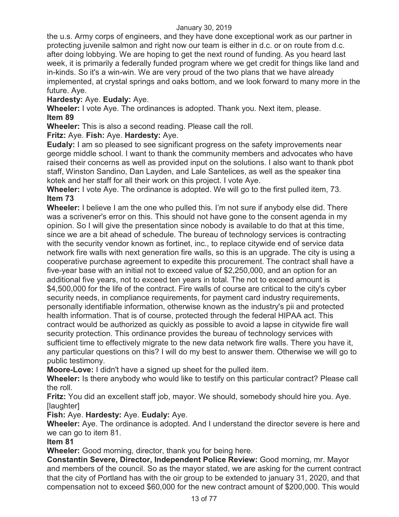the u.s. Army corps of engineers, and they have done exceptional work as our partner in protecting juvenile salmon and right now our team is either in d.c. or on route from d.c. after doing lobbying. We are hoping to get the next round of funding. As you heard last week, it is primarily a federally funded program where we get credit for things like land and in-kinds. So it's a win-win. We are very proud of the two plans that we have already implemented, at crystal springs and oaks bottom, and we look forward to many more in the future. Aye.

**Hardesty:** Aye. **Eudaly:** Aye.

**Wheeler:** I vote Aye. The ordinances is adopted. Thank you. Next item, please. **Item 89** 

**Wheeler:** This is also a second reading. Please call the roll.

**Fritz:** Aye. **Fish:** Aye. **Hardesty:** Aye.

**Eudaly:** I am so pleased to see significant progress on the safety improvements near george middle school. I want to thank the community members and advocates who have raised their concerns as well as provided input on the solutions. I also want to thank pbot staff, Winston Sandino, Dan Layden, and Lale Santelices, as well as the speaker tina kotek and her staff for all their work on this project. I vote Aye.

**Wheeler:** I vote Aye. The ordinance is adopted. We will go to the first pulled item, 73. **Item 73** 

**Wheeler:** I believe I am the one who pulled this. I'm not sure if anybody else did. There was a scrivener's error on this. This should not have gone to the consent agenda in my opinion. So I will give the presentation since nobody is available to do that at this time, since we are a bit ahead of schedule. The bureau of technology services is contracting with the security vendor known as fortinet, inc., to replace citywide end of service data network fire walls with next generation fire walls, so this is an upgrade. The city is using a cooperative purchase agreement to expedite this procurement. The contract shall have a five-year base with an initial not to exceed value of \$2,250,000, and an option for an additional five years, not to exceed ten years in total. The not to exceed amount is \$4,500,000 for the life of the contract. Fire walls of course are critical to the city's cyber security needs, in compliance requirements, for payment card industry requirements, personally identifiable information, otherwise known as the industry's pii and protected health information. That is of course, protected through the federal HIPAA act. This contract would be authorized as quickly as possible to avoid a lapse in citywide fire wall security protection. This ordinance provides the bureau of technology services with sufficient time to effectively migrate to the new data network fire walls. There you have it, any particular questions on this? I will do my best to answer them. Otherwise we will go to public testimony.

**Moore-Love:** I didn't have a signed up sheet for the pulled item.

**Wheeler:** Is there anybody who would like to testify on this particular contract? Please call the roll.

**Fritz:** You did an excellent staff job, mayor. We should, somebody should hire you. Aye. [laughter]

**Fish:** Aye. **Hardesty:** Aye. **Eudaly:** Aye.

**Wheeler:** Aye. The ordinance is adopted. And I understand the director severe is here and we can go to item 81.

# **Item 81**

**Wheeler:** Good morning, director, thank you for being here.

**Constantin Severe, Director, Independent Police Review:** Good morning, mr. Mayor and members of the council. So as the mayor stated, we are asking for the current contract that the city of Portland has with the oir group to be extended to january 31, 2020, and that compensation not to exceed \$60,000 for the new contract amount of \$200,000. This would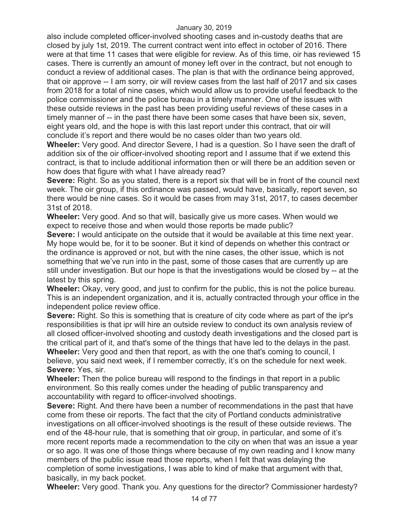also include completed officer-involved shooting cases and in-custody deaths that are closed by july 1st, 2019. The current contract went into effect in october of 2016. There were at that time 11 cases that were eligible for review. As of this time, oir has reviewed 15 cases. There is currently an amount of money left over in the contract, but not enough to conduct a review of additional cases. The plan is that with the ordinance being approved, that oir approve -- I am sorry, oir will review cases from the last half of 2017 and six cases from 2018 for a total of nine cases, which would allow us to provide useful feedback to the police commissioner and the police bureau in a timely manner. One of the issues with these outside reviews in the past has been providing useful reviews of these cases in a timely manner of -- in the past there have been some cases that have been six, seven, eight years old, and the hope is with this last report under this contract, that oir will conclude it's report and there would be no cases older than two years old.

**Wheeler:** Very good. And director Severe, I had is a question. So I have seen the draft of addition six of the oir officer-involved shooting report and I assume that if we extend this contract, is that to include additional information then or will there be an addition seven or how does that figure with what I have already read?

**Severe:** Right. So as you stated, there is a report six that will be in front of the council next week. The oir group, if this ordinance was passed, would have, basically, report seven, so there would be nine cases. So it would be cases from may 31st, 2017, to cases december 31st of 2018.

**Wheeler:** Very good. And so that will, basically give us more cases. When would we expect to receive those and when would those reports be made public?

**Severe:** I would anticipate on the outside that it would be available at this time next year. My hope would be, for it to be sooner. But it kind of depends on whether this contract or the ordinance is approved or not, but with the nine cases, the other issue, which is not something that we've run into in the past, some of those cases that are currently up are still under investigation. But our hope is that the investigations would be closed by -- at the latest by this spring.

**Wheeler:** Okay, very good, and just to confirm for the public, this is not the police bureau. This is an independent organization, and it is, actually contracted through your office in the independent police review office.

**Severe:** Right. So this is something that is creature of city code where as part of the ipr's responsibilities is that ipr will hire an outside review to conduct its own analysis review of all closed officer-involved shooting and custody death investigations and the closed part is the critical part of it, and that's some of the things that have led to the delays in the past. **Wheeler:** Very good and then that report, as with the one that's coming to council, I believe, you said next week, if I remember correctly, it's on the schedule for next week. **Severe:** Yes, sir.

**Wheeler:** Then the police bureau will respond to the findings in that report in a public environment. So this really comes under the heading of public transparency and accountability with regard to officer-involved shootings.

**Severe:** Right. And there have been a number of recommendations in the past that have come from these oir reports. The fact that the city of Portland conducts administrative investigations on all officer-involved shootings is the result of these outside reviews. The end of the 48-hour rule, that is something that oir group, in particular, and some of it's more recent reports made a recommendation to the city on when that was an issue a year or so ago. It was one of those things where because of my own reading and I know many members of the public issue read those reports, when I felt that was delaying the completion of some investigations, I was able to kind of make that argument with that, basically, in my back pocket.

**Wheeler:** Very good. Thank you. Any questions for the director? Commissioner hardesty?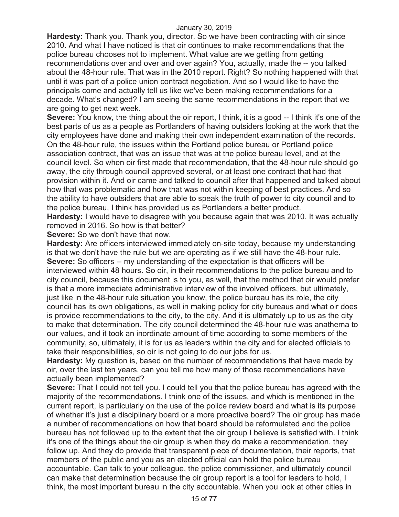**Hardesty:** Thank you. Thank you, director. So we have been contracting with oir since 2010. And what I have noticed is that oir continues to make recommendations that the police bureau chooses not to implement. What value are we getting from getting recommendations over and over and over again? You, actually, made the -- you talked about the 48-hour rule. That was in the 2010 report. Right? So nothing happened with that until it was part of a police union contract negotiation. And so I would like to have the principals come and actually tell us like we've been making recommendations for a decade. What's changed? I am seeing the same recommendations in the report that we are going to get next week.

**Severe:** You know, the thing about the oir report, I think, it is a good -- I think it's one of the best parts of us as a people as Portlanders of having outsiders looking at the work that the city employees have done and making their own independent examination of the records. On the 48-hour rule, the issues within the Portland police bureau or Portland police association contract, that was an issue that was at the police bureau level, and at the council level. So when oir first made that recommendation, that the 48-hour rule should go away, the city through council approved several, or at least one contract that had that provision within it. And oir came and talked to council after that happened and talked about how that was problematic and how that was not within keeping of best practices. And so the ability to have outsiders that are able to speak the truth of power to city council and to the police bureau, I think has provided us as Portlanders a better product.

**Hardesty:** I would have to disagree with you because again that was 2010. It was actually removed in 2016. So how is that better?

**Severe:** So we don't have that now.

**Hardesty:** Are officers interviewed immediately on-site today, because my understanding is that we don't have the rule but we are operating as if we still have the 48-hour rule. **Severe:** So officers -- my understanding of the expectation is that officers will be interviewed within 48 hours. So oir, in their recommendations to the police bureau and to city council, because this document is to you, as well, that the method that oir would prefer is that a more immediate administrative interview of the involved officers, but ultimately, just like in the 48-hour rule situation you know, the police bureau has its role, the city council has its own obligations, as well in making policy for city bureaus and what oir does is provide recommendations to the city, to the city. And it is ultimately up to us as the city to make that determination. The city council determined the 48-hour rule was anathema to our values, and it took an inordinate amount of time according to some members of the community, so, ultimately, it is for us as leaders within the city and for elected officials to take their responsibilities, so oir is not going to do our jobs for us.

**Hardesty:** My question is, based on the number of recommendations that have made by oir, over the last ten years, can you tell me how many of those recommendations have actually been implemented?

**Severe:** That I could not tell you. I could tell you that the police bureau has agreed with the majority of the recommendations. I think one of the issues, and which is mentioned in the current report, is particularly on the use of the police review board and what is its purpose of whether it's just a disciplinary board or a more proactive board? The oir group has made a number of recommendations on how that board should be reformulated and the police bureau has not followed up to the extent that the oir group I believe is satisfied with. I think it's one of the things about the oir group is when they do make a recommendation, they follow up. And they do provide that transparent piece of documentation, their reports, that members of the public and you as an elected official can hold the police bureau accountable. Can talk to your colleague, the police commissioner, and ultimately council can make that determination because the oir group report is a tool for leaders to hold, I think, the most important bureau in the city accountable. When you look at other cities in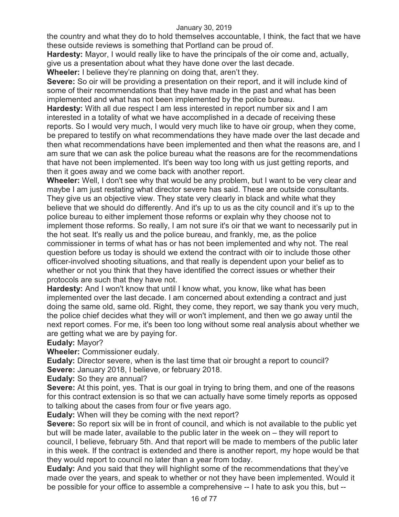the country and what they do to hold themselves accountable, I think, the fact that we have these outside reviews is something that Portland can be proud of.

**Hardesty:** Mayor, I would really like to have the principals of the oir come and, actually, give us a presentation about what they have done over the last decade.

**Wheeler:** I believe they're planning on doing that, aren't they.

**Severe:** So oir will be providing a presentation on their report, and it will include kind of some of their recommendations that they have made in the past and what has been implemented and what has not been implemented by the police bureau.

**Hardesty:** With all due respect I am less interested in report number six and I am interested in a totality of what we have accomplished in a decade of receiving these reports. So I would very much, I would very much like to have oir group, when they come, be prepared to testify on what recommendations they have made over the last decade and then what recommendations have been implemented and then what the reasons are, and I am sure that we can ask the police bureau what the reasons are for the recommendations that have not been implemented. It's been way too long with us just getting reports, and then it goes away and we come back with another report.

**Wheeler:** Well, I don't see why that would be any problem, but I want to be very clear and maybe I am just restating what director severe has said. These are outside consultants. They give us an objective view. They state very clearly in black and white what they believe that we should do differently. And it's up to us as the city council and it's up to the police bureau to either implement those reforms or explain why they choose not to implement those reforms. So really, I am not sure it's oir that we want to necessarily put in the hot seat. It's really us and the police bureau, and frankly, me, as the police commissioner in terms of what has or has not been implemented and why not. The real question before us today is should we extend the contract with oir to include those other officer-involved shooting situations, and that really is dependent upon your belief as to whether or not you think that they have identified the correct issues or whether their protocols are such that they have not.

**Hardesty:** And I won't know that until I know what, you know, like what has been implemented over the last decade. I am concerned about extending a contract and just doing the same old, same old. Right, they come, they report, we say thank you very much, the police chief decides what they will or won't implement, and then we go away until the next report comes. For me, it's been too long without some real analysis about whether we are getting what we are by paying for.

# **Eudaly:** Mayor?

**Wheeler:** Commissioner eudaly.

**Eudaly:** Director severe, when is the last time that oir brought a report to council? **Severe:** January 2018, I believe, or february 2018.

**Eudaly:** So they are annual?

**Severe:** At this point, yes. That is our goal in trying to bring them, and one of the reasons for this contract extension is so that we can actually have some timely reports as opposed to talking about the cases from four or five years ago.

**Eudaly:** When will they be coming with the next report?

**Severe:** So report six will be in front of council, and which is not available to the public yet but will be made later, available to the public later in the week on – they will report to council, I believe, february 5th. And that report will be made to members of the public later in this week. If the contract is extended and there is another report, my hope would be that they would report to council no later than a year from today.

**Eudaly:** And you said that they will highlight some of the recommendations that they've made over the years, and speak to whether or not they have been implemented. Would it be possible for your office to assemble a comprehensive -- I hate to ask you this, but --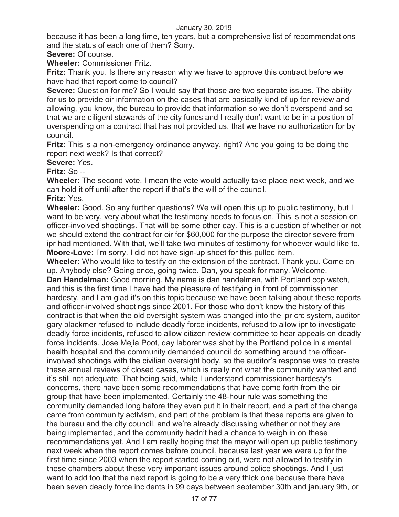because it has been a long time, ten years, but a comprehensive list of recommendations and the status of each one of them? Sorry.

**Severe:** Of course.

**Wheeler:** Commissioner Fritz.

**Fritz:** Thank you. Is there any reason why we have to approve this contract before we have had that report come to council?

**Severe:** Question for me? So I would say that those are two separate issues. The ability for us to provide oir information on the cases that are basically kind of up for review and allowing, you know, the bureau to provide that information so we don't overspend and so that we are diligent stewards of the city funds and I really don't want to be in a position of overspending on a contract that has not provided us, that we have no authorization for by council.

**Fritz:** This is a non-emergency ordinance anyway, right? And you going to be doing the report next week? Is that correct?

**Severe:** Yes.

**Fritz:** So --

**Wheeler:** The second vote, I mean the vote would actually take place next week, and we can hold it off until after the report if that's the will of the council.

**Fritz:** Yes.

**Wheeler:** Good. So any further questions? We will open this up to public testimony, but I want to be very, very about what the testimony needs to focus on. This is not a session on officer-involved shootings. That will be some other day. This is a question of whether or not we should extend the contract for oir for \$60,000 for the purpose the director severe from ipr had mentioned. With that, we'll take two minutes of testimony for whoever would like to. **Moore-Love:** I'm sorry. I did not have sign-up sheet for this pulled item.

**Wheeler:** Who would like to testify on the extension of the contract. Thank you. Come on up. Anybody else? Going once, going twice. Dan, you speak for many. Welcome. **Dan Handelman:** Good morning. My name is dan handelman, with Portland cop watch, and this is the first time I have had the pleasure of testifying in front of commissioner hardesty, and I am glad it's on this topic because we have been talking about these reports and officer-involved shootings since 2001. For those who don't know the history of this contract is that when the old oversight system was changed into the ipr crc system, auditor gary blackmer refused to include deadly force incidents, refused to allow ipr to investigate deadly force incidents, refused to allow citizen review committee to hear appeals on deadly force incidents. Jose Mejia Poot, day laborer was shot by the Portland police in a mental health hospital and the community demanded council do something around the officerinvolved shootings with the civilian oversight body, so the auditor's response was to create these annual reviews of closed cases, which is really not what the community wanted and it's still not adequate. That being said, while I understand commissioner hardesty's concerns, there have been some recommendations that have come forth from the oir group that have been implemented. Certainly the 48-hour rule was something the community demanded long before they even put it in their report, and a part of the change came from community activism, and part of the problem is that these reports are given to the bureau and the city council, and we're already discussing whether or not they are being implemented, and the community hadn't had a chance to weigh in on these recommendations yet. And I am really hoping that the mayor will open up public testimony next week when the report comes before council, because last year we were up for the first time since 2003 when the report started coming out, were not allowed to testify in these chambers about these very important issues around police shootings. And I just want to add too that the next report is going to be a very thick one because there have been seven deadly force incidents in 99 days between september 30th and january 9th, or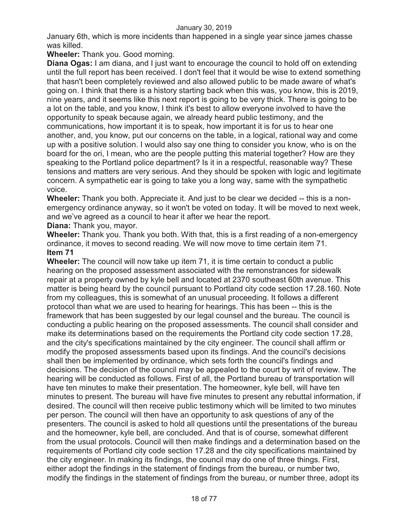January 6th, which is more incidents than happened in a single year since james chasse was killed.

**Wheeler:** Thank you. Good morning.

**Diana Ogas:** I am diana, and I just want to encourage the council to hold off on extending until the full report has been received. I don't feel that it would be wise to extend something that hasn't been completely reviewed and also allowed public to be made aware of what's going on. I think that there is a history starting back when this was, you know, this is 2019, nine years, and it seems like this next report is going to be very thick. There is going to be a lot on the table, and you know, I think it's best to allow everyone involved to have the opportunity to speak because again, we already heard public testimony, and the communications, how important it is to speak, how important it is for us to hear one another, and, you know, put our concerns on the table, in a logical, rational way and come up with a positive solution. I would also say one thing to consider you know, who is on the board for the ori, I mean, who are the people putting this material together? How are they speaking to the Portland police department? Is it in a respectful, reasonable way? These tensions and matters are very serious. And they should be spoken with logic and legitimate concern. A sympathetic ear is going to take you a long way, same with the sympathetic voice.

**Wheeler:** Thank you both. Appreciate it. And just to be clear we decided -- this is a nonemergency ordinance anyway, so it won't be voted on today. It will be moved to next week, and we've agreed as a council to hear it after we hear the report.

# **Diana:** Thank you, mayor.

**Wheeler:** Thank you. Thank you both. With that, this is a first reading of a non-emergency ordinance, it moves to second reading. We will now move to time certain item 71. **Item 71** 

**Wheeler:** The council will now take up item 71, it is time certain to conduct a public hearing on the proposed assessment associated with the remonstrances for sidewalk repair at a property owned by kyle bell and located at 2370 southeast 60th avenue. This matter is being heard by the council pursuant to Portland city code section 17.28.160. Note from my colleagues, this is somewhat of an unusual proceeding. It follows a different protocol than what we are used to hearing for hearings. This has been -- this is the framework that has been suggested by our legal counsel and the bureau. The council is conducting a public hearing on the proposed assessments. The council shall consider and make its determinations based on the requirements the Portland city code section 17.28, and the city's specifications maintained by the city engineer. The council shall affirm or modify the proposed assessments based upon its findings. And the council's decisions shall then be implemented by ordinance, which sets forth the council's findings and decisions. The decision of the council may be appealed to the court by writ of review. The hearing will be conducted as follows. First of all, the Portland bureau of transportation will have ten minutes to make their presentation. The homeowner, kyle bell, will have ten minutes to present. The bureau will have five minutes to present any rebuttal information, if desired. The council will then receive public testimony which will be limited to two minutes per person. The council will then have an opportunity to ask questions of any of the presenters. The council is asked to hold all questions until the presentations of the bureau and the homeowner, kyle bell, are concluded. And that is of course, somewhat different from the usual protocols. Council will then make findings and a determination based on the requirements of Portland city code section 17.28 and the city specifications maintained by the city engineer. In making its findings, the council may do one of three things. First, either adopt the findings in the statement of findings from the bureau, or number two, modify the findings in the statement of findings from the bureau, or number three, adopt its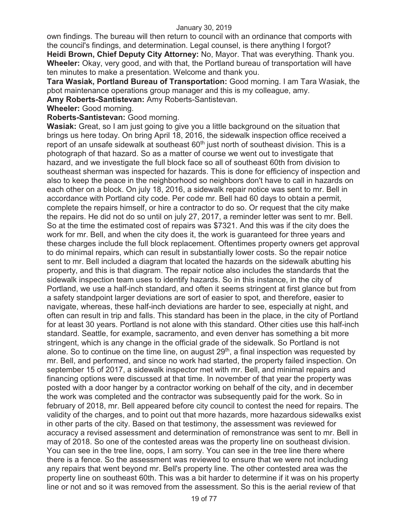own findings. The bureau will then return to council with an ordinance that comports with the council's findings, and determination. Legal counsel, is there anything I forgot? **Heidi Brown, Chief Deputy City Attorney:** No, Mayor. That was everything. Thank you. **Wheeler:** Okay, very good, and with that, the Portland bureau of transportation will have ten minutes to make a presentation. Welcome and thank you.

**Tara Wasiak, Portland Bureau of Transportation:** Good morning. I am Tara Wasiak, the pbot maintenance operations group manager and this is my colleague, amy.

**Amy Roberts-Santistevan:** Amy Roberts-Santistevan.

**Wheeler:** Good morning.

**Roberts-Santistevan:** Good morning.

**Wasiak:** Great, so I am just going to give you a little background on the situation that brings us here today. On bring April 18, 2016, the sidewalk inspection office received a report of an unsafe sidewalk at southeast 60<sup>th</sup> just north of southeast division. This is a photograph of that hazard. So as a matter of course we went out to investigate that hazard, and we investigate the full block face so all of southeast 60th from division to southeast sherman was inspected for hazards. This is done for efficiency of inspection and also to keep the peace in the neighborhood so neighbors don't have to call in hazards on each other on a block. On july 18, 2016, a sidewalk repair notice was sent to mr. Bell in accordance with Portland city code. Per code mr. Bell had 60 days to obtain a permit, complete the repairs himself, or hire a contractor to do so. Or request that the city make the repairs. He did not do so until on july 27, 2017, a reminder letter was sent to mr. Bell. So at the time the estimated cost of repairs was \$7321. And this was if the city does the work for mr. Bell, and when the city does it, the work is guaranteed for three years and these charges include the full block replacement. Oftentimes property owners get approval to do minimal repairs, which can result in substantially lower costs. So the repair notice sent to mr. Bell included a diagram that located the hazards on the sidewalk abutting his property, and this is that diagram. The repair notice also includes the standards that the sidewalk inspection team uses to identify hazards. So in this instance, in the city of Portland, we use a half-inch standard, and often it seems stringent at first glance but from a safety standpoint larger deviations are sort of easier to spot, and therefore, easier to navigate, whereas, these half-inch deviations are harder to see, especially at night, and often can result in trip and falls. This standard has been in the place, in the city of Portland for at least 30 years. Portland is not alone with this standard. Other cities use this half-inch standard. Seattle, for example, sacramento, and even denver has something a bit more stringent, which is any change in the official grade of the sidewalk. So Portland is not alone. So to continue on the time line, on august  $29<sup>th</sup>$ , a final inspection was requested by mr. Bell, and performed, and since no work had started, the property failed inspection. On september 15 of 2017, a sidewalk inspector met with mr. Bell, and minimal repairs and financing options were discussed at that time. In november of that year the property was posted with a door hanger by a contractor working on behalf of the city, and in december the work was completed and the contractor was subsequently paid for the work. So in february of 2018, mr. Bell appeared before city council to contest the need for repairs. The validity of the charges, and to point out that more hazards, more hazardous sidewalks exist in other parts of the city. Based on that testimony, the assessment was reviewed for accuracy a revised assessment and determination of remonstrance was sent to mr. Bell in may of 2018. So one of the contested areas was the property line on southeast division. You can see in the tree line, oops, I am sorry. You can see in the tree line there where there is a fence. So the assessment was reviewed to ensure that we were not including any repairs that went beyond mr. Bell's property line. The other contested area was the property line on southeast 60th. This was a bit harder to determine if it was on his property line or not and so it was removed from the assessment. So this is the aerial review of that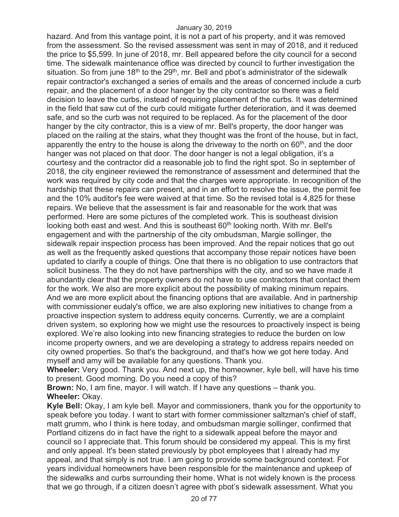hazard. And from this vantage point, it is not a part of his property, and it was removed from the assessment. So the revised assessment was sent in may of 2018, and it reduced the price to \$5,599. In june of 2018, mr. Bell appeared before the city council for a second time. The sidewalk maintenance office was directed by council to further investigation the situation. So from june  $18<sup>th</sup>$  to the  $29<sup>th</sup>$ , mr. Bell and pbot's administrator of the sidewalk repair contractor's exchanged a series of emails and the areas of concerned include a curb repair, and the placement of a door hanger by the city contractor so there was a field decision to leave the curbs, instead of requiring placement of the curbs. It was determined in the field that saw cut of the curb could mitigate further deterioration, and it was deemed safe, and so the curb was not required to be replaced. As for the placement of the door hanger by the city contractor, this is a view of mr. Bell's property, the door hanger was placed on the railing at the stairs, what they thought was the front of the house, but in fact, apparently the entry to the house is along the driveway to the north on  $60<sup>th</sup>$ , and the door hanger was not placed on that door. The door hanger is not a legal obligation, it's a courtesy and the contractor did a reasonable job to find the right spot. So in september of 2018, the city engineer reviewed the remonstrance of assessment and determined that the work was required by city code and that the charges were appropriate. In recognition of the hardship that these repairs can present, and in an effort to resolve the issue, the permit fee and the 10% auditor's fee were waived at that time. So the revised total is 4,825 for these repairs. We believe that the assessment is fair and reasonable for the work that was performed. Here are some pictures of the completed work. This is southeast division looking both east and west. And this is southeast 60<sup>th</sup> looking north. With mr. Bell's engagement and with the partnership of the city ombudsman, Margie sollinger, the sidewalk repair inspection process has been improved. And the repair notices that go out as well as the frequently asked questions that accompany those repair notices have been updated to clarify a couple of things. One that there is no obligation to use contractors that solicit business. The they do not have partnerships with the city, and so we have made it abundantly clear that the property owners do not have to use contractors that contact them for the work. We also are more explicit about the possibility of making minimum repairs. And we are more explicit about the financing options that are available. And in partnership with commissioner eudaly's office, we are also exploring new initiatives to change from a proactive inspection system to address equity concerns. Currently, we are a complaint driven system, so exploring how we might use the resources to proactively inspect is being explored. We're also looking into new financing strategies to reduce the burden on low income property owners, and we are developing a strategy to address repairs needed on city owned properties. So that's the background, and that's how we got here today. And myself and amy will be available for any questions. Thank you.

**Wheeler:** Very good. Thank you. And next up, the homeowner, kyle bell, will have his time to present. Good morning. Do you need a copy of this?

**Brown:** No, I am fine, mayor. I will watch. If I have any questions – thank you. **Wheeler:** Okay.

**Kyle Bell:** Okay, I am kyle bell. Mayor and commissioners, thank you for the opportunity to speak before you today. I want to start with former commissioner saltzman's chief of staff, matt grumm, who I think is here today, and ombudsman margie sollinger, confirmed that Portland citizens do in fact have the right to a sidewalk appeal before the mayor and council so I appreciate that. This forum should be considered my appeal. This is my first and only appeal. It's been stated previously by pbot employees that I already had my appeal, and that simply is not true. I am going to provide some background context. For years individual homeowners have been responsible for the maintenance and upkeep of the sidewalks and curbs surrounding their home. What is not widely known is the process that we go through, if a citizen doesn't agree with pbot's sidewalk assessment. What you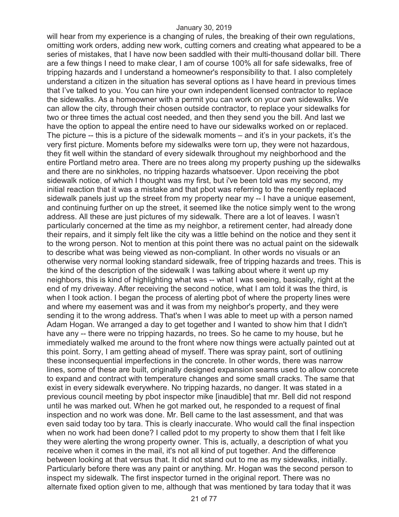will hear from my experience is a changing of rules, the breaking of their own regulations, omitting work orders, adding new work, cutting corners and creating what appeared to be a series of mistakes, that I have now been saddled with their multi-thousand dollar bill. There are a few things I need to make clear, I am of course 100% all for safe sidewalks, free of tripping hazards and I understand a homeowner's responsibility to that. I also completely understand a citizen in the situation has several options as I have heard in previous times that I've talked to you. You can hire your own independent licensed contractor to replace the sidewalks. As a homeowner with a permit you can work on your own sidewalks. We can allow the city, through their chosen outside contractor, to replace your sidewalks for two or three times the actual cost needed, and then they send you the bill. And last we have the option to appeal the entire need to have our sidewalks worked on or replaced. The picture -- this is a picture of the sidewalk moments – and it's in your packets, it's the very first picture. Moments before my sidewalks were torn up, they were not hazardous, they fit well within the standard of every sidewalk throughout my neighborhood and the entire Portland metro area. There are no trees along my property pushing up the sidewalks and there are no sinkholes, no tripping hazards whatsoever. Upon receiving the pbot sidewalk notice, of which I thought was my first, but i've been told was my second, my initial reaction that it was a mistake and that pbot was referring to the recently replaced sidewalk panels just up the street from my property near my -- I have a unique easement, and continuing further on up the street, it seemed like the notice simply went to the wrong address. All these are just pictures of my sidewalk. There are a lot of leaves. I wasn't particularly concerned at the time as my neighbor, a retirement center, had already done their repairs, and it simply felt like the city was a little behind on the notice and they sent it to the wrong person. Not to mention at this point there was no actual paint on the sidewalk to describe what was being viewed as non-compliant. In other words no visuals or an otherwise very normal looking standard sidewalk, free of tripping hazards and trees. This is the kind of the description of the sidewalk I was talking about where it went up my neighbors, this is kind of highlighting what was -- what I was seeing, basically, right at the end of my driveway. After receiving the second notice, what I am told it was the third, is when I took action. I began the process of alerting pbot of where the property lines were and where my easement was and it was from my neighbor's property, and they were sending it to the wrong address. That's when I was able to meet up with a person named Adam Hogan. We arranged a day to get together and I wanted to show him that I didn't have any -- there were no tripping hazards, no trees. So he came to my house, but he immediately walked me around to the front where now things were actually painted out at this point. Sorry, I am getting ahead of myself. There was spray paint, sort of outlining these inconsequential imperfections in the concrete. In other words, there was narrow lines, some of these are built, originally designed expansion seams used to allow concrete to expand and contract with temperature changes and some small cracks. The same that exist in every sidewalk everywhere. No tripping hazards, no danger. It was stated in a previous council meeting by pbot inspector mike [inaudible] that mr. Bell did not respond until he was marked out. When he got marked out, he responded to a request of final inspection and no work was done. Mr. Bell came to the last assessment, and that was even said today too by tara. This is clearly inaccurate. Who would call the final inspection when no work had been done? I called pdot to my property to show them that I felt like they were alerting the wrong property owner. This is, actually, a description of what you receive when it comes in the mail, it's not all kind of put together. And the difference between looking at that versus that. It did not stand out to me as my sidewalks, initially. Particularly before there was any paint or anything. Mr. Hogan was the second person to inspect my sidewalk. The first inspector turned in the original report. There was no alternate fixed option given to me, although that was mentioned by tara today that it was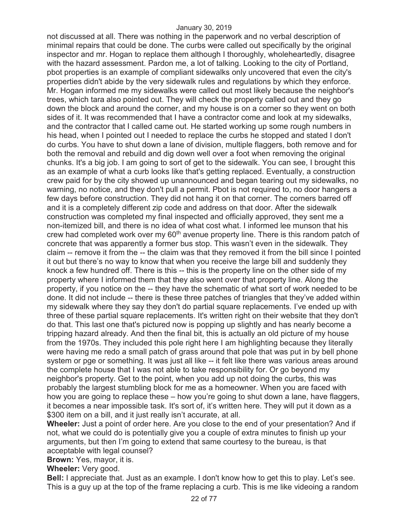not discussed at all. There was nothing in the paperwork and no verbal description of minimal repairs that could be done. The curbs were called out specifically by the original inspector and mr. Hogan to replace them although I thoroughly, wholeheartedly, disagree with the hazard assessment. Pardon me, a lot of talking. Looking to the city of Portland, pbot properties is an example of compliant sidewalks only uncovered that even the city's properties didn't abide by the very sidewalk rules and regulations by which they enforce. Mr. Hogan informed me my sidewalks were called out most likely because the neighbor's trees, which tara also pointed out. They will check the property called out and they go down the block and around the corner, and my house is on a corner so they went on both sides of it. It was recommended that I have a contractor come and look at my sidewalks, and the contractor that I called came out. He started working up some rough numbers in his head, when I pointed out I needed to replace the curbs he stopped and stated I don't do curbs. You have to shut down a lane of division, multiple flaggers, both remove and for both the removal and rebuild and dig down well over a foot when removing the original chunks. It's a big job. I am going to sort of get to the sidewalk. You can see, I brought this as an example of what a curb looks like that's getting replaced. Eventually, a construction crew paid for by the city showed up unannounced and began tearing out my sidewalks, no warning, no notice, and they don't pull a permit. Pbot is not required to, no door hangers a few days before construction. They did not hang it on that corner. The corners barred off and it is a completely different zip code and address on that door. After the sidewalk construction was completed my final inspected and officially approved, they sent me a non-itemized bill, and there is no idea of what cost what. I informed lee munson that his crew had completed work over my 60<sup>th</sup> avenue property line. There is this random patch of concrete that was apparently a former bus stop. This wasn't even in the sidewalk. They claim -- remove it from the -- the claim was that they removed it from the bill since I pointed it out but there's no way to know that when you receive the large bill and suddenly they knock a few hundred off. There is this -- this is the property line on the other side of my property where I informed them that they also went over that property line. Along the property, if you notice on the -- they have the schematic of what sort of work needed to be done. It did not include -- there is these three patches of triangles that they've added within my sidewalk where they say they don't do partial square replacements. I've ended up with three of these partial square replacements. It's written right on their website that they don't do that. This last one that's pictured now is popping up slightly and has nearly become a tripping hazard already. And then the final bit, this is actually an old picture of my house from the 1970s. They included this pole right here I am highlighting because they literally were having me redo a small patch of grass around that pole that was put in by bell phone system or pge or something. It was just all like -- it felt like there was various areas around the complete house that I was not able to take responsibility for. Or go beyond my neighbor's property. Get to the point, when you add up not doing the curbs, this was probably the largest stumbling block for me as a homeowner. When you are faced with how you are going to replace these – how you're going to shut down a lane, have flaggers, it becomes a near impossible task. It's sort of, it's written here. They will put it down as a \$300 item on a bill, and it just really isn't accurate, at all.

**Wheeler:** Just a point of order here. Are you close to the end of your presentation? And if not, what we could do is potentially give you a couple of extra minutes to finish up your arguments, but then I'm going to extend that same courtesy to the bureau, is that acceptable with legal counsel?

**Brown:** Yes, mayor, it is.

**Wheeler:** Very good.

**Bell:** I appreciate that. Just as an example. I don't know how to get this to play. Let's see. This is a guy up at the top of the frame replacing a curb. This is me like videoing a random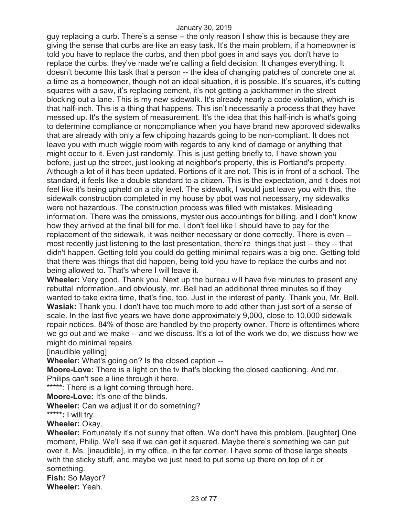guy replacing a curb. There's a sense -- the only reason I show this is because they are giving the sense that curbs are like an easy task. It's the main problem, if a homeowner is told you have to replace the curbs, and then pbot goes in and says you don't have to replace the curbs, they've made we're calling a field decision. It changes everything. It doesn't become this task that a person -- the idea of changing patches of concrete one at a time as a homeowner, though not an ideal situation, it is possible. It's squares, it's cutting squares with a saw, it's replacing cement, it's not getting a jackhammer in the street blocking out a lane. This is my new sidewalk. It's already nearly a code violation, which is that half-inch. This is a thing that happens. This isn't necessarily a process that they have messed up. It's the system of measurement. It's the idea that this half-inch is what's going to determine compliance or noncompliance when you have brand new approved sidewalks that are already with only a few chipping hazards going to be non-compliant. It does not leave you with much wiggle room with regards to any kind of damage or anything that might occur to it. Even just randomly. This is just getting briefly to, I have shown you before, just up the street, just looking at neighbor's property, this is Portland's property. Although a lot of it has been updated. Portions of it are not. This is in front of a school. The standard, it feels like a double standard to a citizen. This is the expectation, and it does not feel like it's being upheld on a city level. The sidewalk, I would just leave you with this, the sidewalk construction completed in my house by pbot was not necessary, my sidewalks were not hazardous. The construction process was filled with mistakes. Misleading information. There was the omissions, mysterious accountings for billing, and I don't know how they arrived at the final bill for me. I don't feel like I should have to pay for the replacement of the sidewalk, it was neither necessary or done correctly. There is even - most recently just listening to the last presentation, there're things that just -- they -- that didn't happen. Getting told you could do getting minimal repairs was a big one. Getting told that there was things that did happen, being told you have to replace the curbs and not being allowed to. That's where I will leave it.

**Wheeler:** Very good. Thank you. Next up the bureau will have five minutes to present any rebuttal information, and obviously, mr. Bell had an additional three minutes so if they wanted to take extra time, that's fine, too. Just in the interest of parity. Thank you, Mr. Bell. **Wasiak:** Thank you. I don't have too much more to add other than just sort of a sense of scale. In the last five years we have done approximately 9,000, close to 10,000 sidewalk repair notices. 84% of those are handled by the property owner. There is oftentimes where we go out and we make -- and we discuss. It's a lot of the work we do, we discuss how we might do minimal repairs.

[inaudible yelling]

**Wheeler:** What's going on? Is the closed caption --

**Moore-Love:** There is a light on the tv that's blocking the closed captioning. And mr. Philips can't see a line through it here.

\*\*\*\*\*: There is a light coming through here.

**Moore-Love:** It's one of the blinds.

**Wheeler:** Can we adjust it or do something?

**\*\*\*\*\*:** I will try.

**Wheeler:** Okay.

**Wheeler:** Fortunately it's not sunny that often. We don't have this problem. [laughter] One moment, Philip. We'll see if we can get it squared. Maybe there's something we can put over it. Ms. [inaudible], in my office, in the far corner, I have some of those large sheets with the sticky stuff, and maybe we just need to put some up there on top of it or something.

**Fish:** So Mayor? **Wheeler:** Yeah.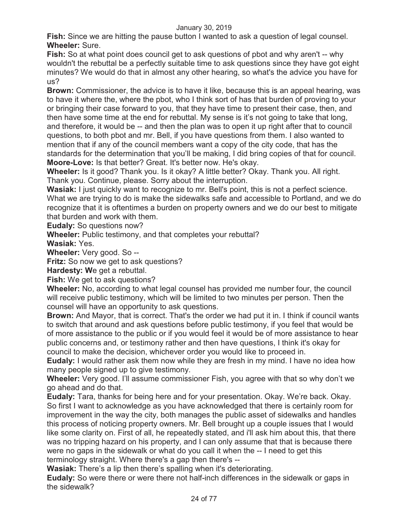**Fish:** Since we are hitting the pause button I wanted to ask a question of legal counsel. **Wheeler:** Sure.

**Fish:** So at what point does council get to ask questions of pbot and why aren't -- why wouldn't the rebuttal be a perfectly suitable time to ask questions since they have got eight minutes? We would do that in almost any other hearing, so what's the advice you have for us?

**Brown:** Commissioner, the advice is to have it like, because this is an appeal hearing, was to have it where the, where the pbot, who I think sort of has that burden of proving to your or bringing their case forward to you, that they have time to present their case, then, and then have some time at the end for rebuttal. My sense is it's not going to take that long, and therefore, it would be -- and then the plan was to open it up right after that to council questions, to both pbot and mr. Bell, if you have questions from them. I also wanted to mention that if any of the council members want a copy of the city code, that has the standards for the determination that you'll be making, I did bring copies of that for council. **Moore-Love:** Is that better? Great. It's better now. He's okay.

**Wheeler:** Is it good? Thank you. Is it okay? A little better? Okay. Thank you. All right. Thank you. Continue, please. Sorry about the interruption.

**Wasiak:** I just quickly want to recognize to mr. Bell's point, this is not a perfect science. What we are trying to do is make the sidewalks safe and accessible to Portland, and we do recognize that it is oftentimes a burden on property owners and we do our best to mitigate that burden and work with them.

**Eudaly:** So questions now?

**Wheeler:** Public testimony, and that completes your rebuttal?

**Wasiak:** Yes.

**Wheeler:** Very good. So --

**Fritz:** So now we get to ask questions?

**Hardesty: W**e get a rebuttal.

**Fish:** We get to ask questions?

**Wheeler:** No, according to what legal counsel has provided me number four, the council will receive public testimony, which will be limited to two minutes per person. Then the counsel will have an opportunity to ask questions.

**Brown:** And Mayor, that is correct. That's the order we had put it in. I think if council wants to switch that around and ask questions before public testimony, if you feel that would be of more assistance to the public or if you would feel it would be of more assistance to hear public concerns and, or testimony rather and then have questions, I think it's okay for council to make the decision, whichever order you would like to proceed in.

**Eudaly:** I would rather ask them now while they are fresh in my mind. I have no idea how many people signed up to give testimony.

**Wheeler:** Very good. I'll assume commissioner Fish, you agree with that so why don't we go ahead and do that.

**Eudaly:** Tara, thanks for being here and for your presentation. Okay. We're back. Okay. So first I want to acknowledge as you have acknowledged that there is certainly room for improvement in the way the city, both manages the public asset of sidewalks and handles this process of noticing property owners. Mr. Bell brought up a couple issues that I would like some clarity on. First of all, he repeatedly stated, and i'll ask him about this, that there was no tripping hazard on his property, and I can only assume that that is because there were no gaps in the sidewalk or what do you call it when the -- I need to get this terminology straight. Where there's a gap then there's --

**Wasiak:** There's a lip then there's spalling when it's deteriorating.

**Eudaly:** So were there or were there not half-inch differences in the sidewalk or gaps in the sidewalk?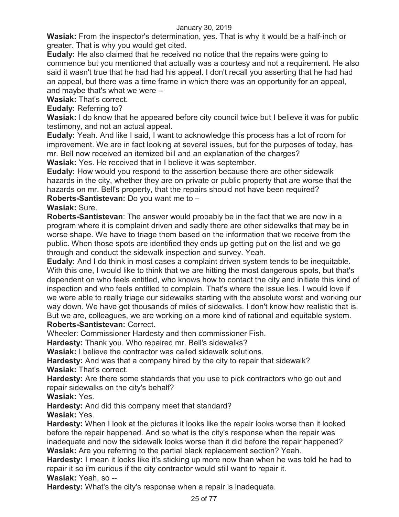**Wasiak:** From the inspector's determination, yes. That is why it would be a half-inch or greater. That is why you would get cited.

**Eudaly:** He also claimed that he received no notice that the repairs were going to commence but you mentioned that actually was a courtesy and not a requirement. He also said it wasn't true that he had had his appeal. I don't recall you asserting that he had had an appeal, but there was a time frame in which there was an opportunity for an appeal, and maybe that's what we were --

**Wasiak:** That's correct.

**Eudaly:** Referring to?

Wasiak: I do know that he appeared before city council twice but I believe it was for public testimony, and not an actual appeal.

**Eudaly:** Yeah. And like I said, I want to acknowledge this process has a lot of room for improvement. We are in fact looking at several issues, but for the purposes of today, has mr. Bell now received an itemized bill and an explanation of the charges?

**Wasiak:** Yes. He received that in I believe it was september.

**Eudaly:** How would you respond to the assertion because there are other sidewalk hazards in the city, whether they are on private or public property that are worse that the hazards on mr. Bell's property, that the repairs should not have been required?

**Roberts-Santistevan:** Do you want me to –

**Wasiak:** Sure.

**Roberts-Santistevan**: The answer would probably be in the fact that we are now in a program where it is complaint driven and sadly there are other sidewalks that may be in worse shape. We have to triage them based on the information that we receive from the public. When those spots are identified they ends up getting put on the list and we go through and conduct the sidewalk inspection and survey. Yeah.

**Eudaly:** And I do think in most cases a complaint driven system tends to be inequitable. With this one, I would like to think that we are hitting the most dangerous spots, but that's dependent on who feels entitled, who knows how to contact the city and initiate this kind of inspection and who feels entitled to complain. That's where the issue lies. I would love if we were able to really triage our sidewalks starting with the absolute worst and working our way down. We have got thousands of miles of sidewalks. I don't know how realistic that is. But we are, colleagues, we are working on a more kind of rational and equitable system. **Roberts-Santistevan:** Correct.

Wheeler: Commissioner Hardesty and then commissioner Fish.

**Hardesty:** Thank you. Who repaired mr. Bell's sidewalks?

**Wasiak:** I believe the contractor was called sidewalk solutions.

**Hardesty:** And was that a company hired by the city to repair that sidewalk? **Wasiak:** That's correct.

**Hardesty:** Are there some standards that you use to pick contractors who go out and repair sidewalks on the city's behalf?

**Wasiak:** Yes.

**Hardesty:** And did this company meet that standard?

**Wasiak:** Yes.

**Hardesty:** When I look at the pictures it looks like the repair looks worse than it looked before the repair happened. And so what is the city's response when the repair was inadequate and now the sidewalk looks worse than it did before the repair happened? **Wasiak:** Are you referring to the partial black replacement section? Yeah.

**Hardesty:** I mean it looks like it's sticking up more now than when he was told he had to repair it so i'm curious if the city contractor would still want to repair it.

**Wasiak:** Yeah, so --

**Hardesty:** What's the city's response when a repair is inadequate.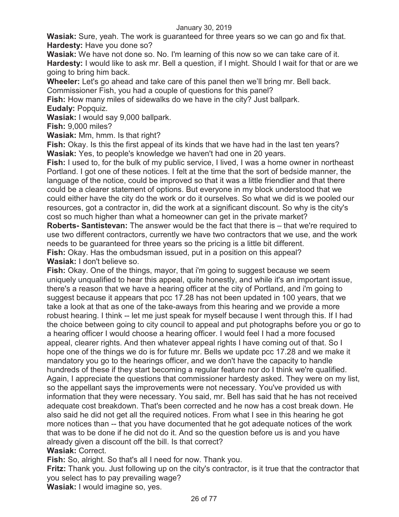**Wasiak:** Sure, yeah. The work is guaranteed for three years so we can go and fix that. **Hardesty:** Have you done so?

**Wasiak:** We have not done so. No. I'm learning of this now so we can take care of it. **Hardesty:** I would like to ask mr. Bell a question, if I might. Should I wait for that or are we going to bring him back.

**Wheeler:** Let's go ahead and take care of this panel then we'll bring mr. Bell back. Commissioner Fish, you had a couple of questions for this panel?

**Fish:** How many miles of sidewalks do we have in the city? Just ballpark. **Eudaly:** Popquiz.

**Wasiak:** I would say 9,000 ballpark.

**Fish:** 9,000 miles?

**Wasiak:** Mm, hmm. Is that right?

**Fish:** Okay. Is this the first appeal of its kinds that we have had in the last ten years? **Wasiak:** Yes, to people's knowledge we haven't had one in 20 years.

**Fish:** I used to, for the bulk of my public service, I lived, I was a home owner in northeast Portland. I got one of these notices. I felt at the time that the sort of bedside manner, the language of the notice, could be improved so that it was a little friendlier and that there could be a clearer statement of options. But everyone in my block understood that we could either have the city do the work or do it ourselves. So what we did is we pooled our resources, got a contractor in, did the work at a significant discount. So why is the city's cost so much higher than what a homeowner can get in the private market?

**Roberts- Santistevan:** The answer would be the fact that there is – that we're required to use two different contractors, currently we have two contractors that we use, and the work needs to be guaranteed for three years so the pricing is a little bit different.

**Fish:** Okay. Has the ombudsman issued, put in a position on this appeal? **Wasiak:** I don't believe so.

**Fish:** Okay. One of the things, mayor, that i'm going to suggest because we seem uniquely unqualified to hear this appeal, quite honestly, and while it's an important issue, there's a reason that we have a hearing officer at the city of Portland, and i'm going to suggest because it appears that pcc 17.28 has not been updated in 100 years, that we take a look at that as one of the take-aways from this hearing and we provide a more robust hearing. I think -- let me just speak for myself because I went through this. If I had the choice between going to city council to appeal and put photographs before you or go to a hearing officer I would choose a hearing officer. I would feel I had a more focused appeal, clearer rights. And then whatever appeal rights I have coming out of that. So I hope one of the things we do is for future mr. Bells we update pcc 17.28 and we make it mandatory you go to the hearings officer, and we don't have the capacity to handle hundreds of these if they start becoming a regular feature nor do I think we're qualified. Again, I appreciate the questions that commissioner hardesty asked. They were on my list, so the appellant says the improvements were not necessary. You've provided us with information that they were necessary. You said, mr. Bell has said that he has not received adequate cost breakdown. That's been corrected and he now has a cost break down. He also said he did not get all the required notices. From what I see in this hearing he got more notices than -- that you have documented that he got adequate notices of the work that was to be done if he did not do it. And so the question before us is and you have already given a discount off the bill. Is that correct?

### **Wasiak:** Correct.

**Fish:** So, alright. So that's all I need for now. Thank you.

**Fritz:** Thank you. Just following up on the city's contractor, is it true that the contractor that you select has to pay prevailing wage?

**Wasiak:** I would imagine so, yes.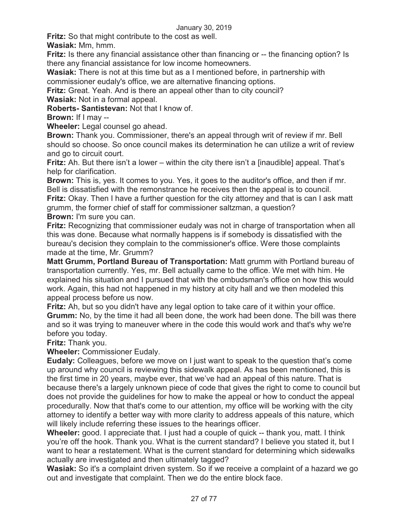**Fritz:** So that might contribute to the cost as well.

**Wasiak:** Mm, hmm.

**Fritz:** Is there any financial assistance other than financing or -- the financing option? Is there any financial assistance for low income homeowners.

**Wasiak:** There is not at this time but as a I mentioned before, in partnership with commissioner eudaly's office, we are alternative financing options.

**Fritz:** Great. Yeah. And is there an appeal other than to city council?

**Wasiak:** Not in a formal appeal.

**Roberts- Santistevan:** Not that I know of.

**Brown:** If I may --

**Wheeler:** Legal counsel go ahead.

**Brown:** Thank you. Commissioner, there's an appeal through writ of review if mr. Bell should so choose. So once council makes its determination he can utilize a writ of review and go to circuit court.

**Fritz:** Ah. But there isn't a lower – within the city there isn't a [inaudible] appeal. That's help for clarification.

**Brown:** This is, yes. It comes to you. Yes, it goes to the auditor's office, and then if mr. Bell is dissatisfied with the remonstrance he receives then the appeal is to council.

**Fritz:** Okay. Then I have a further question for the city attorney and that is can I ask matt grumm, the former chief of staff for commissioner saltzman, a question?

**Brown:** I'm sure you can.

**Fritz:** Recognizing that commissioner eudaly was not in charge of transportation when all this was done. Because what normally happens is if somebody is dissatisfied with the bureau's decision they complain to the commissioner's office. Were those complaints made at the time, Mr. Grumm?

**Matt Grumm, Portland Bureau of Transportation:** Matt grumm with Portland bureau of transportation currently. Yes, mr. Bell actually came to the office. We met with him. He explained his situation and I pursued that with the ombudsman's office on how this would work. Again, this had not happened in my history at city hall and we then modeled this appeal process before us now.

**Fritz:** Ah, but so you didn't have any legal option to take care of it within your office. **Grumm:** No, by the time it had all been done, the work had been done. The bill was there and so it was trying to maneuver where in the code this would work and that's why we're before you today.

**Fritz:** Thank you.

**Wheeler:** Commissioner Eudaly.

**Eudaly:** Colleagues, before we move on I just want to speak to the question that's come up around why council is reviewing this sidewalk appeal. As has been mentioned, this is the first time in 20 years, maybe ever, that we've had an appeal of this nature. That is because there's a largely unknown piece of code that gives the right to come to council but does not provide the guidelines for how to make the appeal or how to conduct the appeal procedurally. Now that that's come to our attention, my office will be working with the city attorney to identify a better way with more clarity to address appeals of this nature, which will likely include referring these issues to the hearings officer.

**Wheeler:** good. I appreciate that. I just had a couple of quick -- thank you, matt. I think you're off the hook. Thank you. What is the current standard? I believe you stated it, but I want to hear a restatement. What is the current standard for determining which sidewalks actually are investigated and then ultimately tagged?

**Wasiak:** So it's a complaint driven system. So if we receive a complaint of a hazard we go out and investigate that complaint. Then we do the entire block face.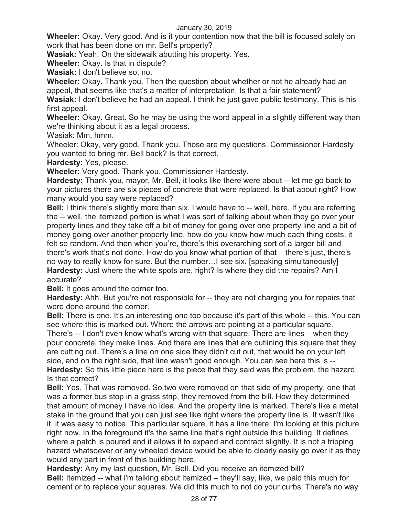**Wheeler:** Okay. Very good. And is it your contention now that the bill is focused solely on work that has been done on mr. Bell's property?

**Wasiak:** Yeah. On the sidewalk abutting his property. Yes.

**Wheeler:** Okay. Is that in dispute?

**Wasiak:** I don't believe so, no.

**Wheeler:** Okay. Thank you. Then the question about whether or not he already had an appeal, that seems like that's a matter of interpretation. Is that a fair statement?

**Wasiak:** I don't believe he had an appeal. I think he just gave public testimony. This is his first appeal.

**Wheeler:** Okay. Great. So he may be using the word appeal in a slightly different way than we're thinking about it as a legal process.

Wasiak: Mm, hmm.

Wheeler: Okay, very good. Thank you. Those are my questions. Commissioner Hardesty you wanted to bring mr. Bell back? Is that correct.

**Hardesty:** Yes, please.

**Wheeler:** Very good. Thank you. Commissioner Hardesty.

**Hardesty:** Thank you, mayor. Mr. Bell, it looks like there were about -- let me go back to your pictures there are six pieces of concrete that were replaced. Is that about right? How many would you say were replaced?

**Bell:** I think there's slightly more than six. I would have to -- well, here. If you are referring the -- well, the itemized portion is what I was sort of talking about when they go over your property lines and they take off a bit of money for going over one property line and a bit of money going over another property line, how do you know how much each thing costs, it felt so random. And then when you're, there's this overarching sort of a larger bill and there's work that's not done. How do you know what portion of that – there's just, there's no way to really know for sure. But the number…I see six. [speaking simultaneously] **Hardesty:** Just where the white spots are, right? Is where they did the repairs? Am I accurate?

**Bell:** It goes around the corner too.

**Hardesty:** Ahh. But you're not responsible for -- they are not charging you for repairs that were done around the corner.

**Bell:** There is one. It's an interesting one too because it's part of this whole -- this. You can see where this is marked out. Where the arrows are pointing at a particular square. There's -- I don't even know what's wrong with that square. There are lines – when they pour concrete, they make lines. And there are lines that are outlining this square that they are cutting out. There's a line on one side they didn't cut out, that would be on your left side, and on the right side, that line wasn't good enough. You can see here this is -- **Hardesty:** So this little piece here is the piece that they said was the problem, the hazard. Is that correct?

**Bell:** Yes. That was removed. So two were removed on that side of my property, one that was a former bus stop in a grass strip, they removed from the bill. How they determined that amount of money I have no idea. And the property line is marked. There's like a metal stake in the ground that you can just see like right where the property line is. It wasn't like it, it was easy to notice. This particular square, it has a line there. I'm looking at this picture right now. In the foreground it's the same line that's right outside this building. It defines where a patch is poured and it allows it to expand and contract slightly. It is not a tripping hazard whatsoever or any wheeled device would be able to clearly easily go over it as they would any part in front of this building here.

**Hardesty:** Any my last question, Mr. Bell. Did you receive an itemized bill? **Bell:** Itemized -- what i'm talking about itemized – they'll say, like, we paid this much for cement or to replace your squares. We did this much to not do your curbs. There's no way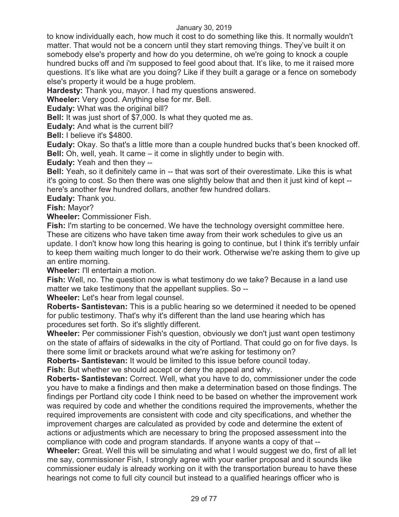to know individually each, how much it cost to do something like this. It normally wouldn't matter. That would not be a concern until they start removing things. They've built it on somebody else's property and how do you determine, oh we're going to knock a couple hundred bucks off and i'm supposed to feel good about that. It's like, to me it raised more questions. It's like what are you doing? Like if they built a garage or a fence on somebody else's property it would be a huge problem.

**Hardesty:** Thank you, mayor. I had my questions answered.

**Wheeler:** Very good. Anything else for mr. Bell.

**Eudaly:** What was the original bill?

**Bell:** It was just short of \$7,000. Is what they quoted me as.

**Eudaly:** And what is the current bill?

**Bell:** I believe it's \$4800.

**Eudaly:** Okay. So that's a little more than a couple hundred bucks that's been knocked off. **Bell:** Oh, well, yeah. It came – it come in slightly under to begin with.

**Eudaly:** Yeah and then they --

**Bell:** Yeah, so it definitely came in -- that was sort of their overestimate. Like this is what it's going to cost. So then there was one slightly below that and then it just kind of kept - here's another few hundred dollars, another few hundred dollars.

**Eudaly:** Thank you.

**Fish:** Mayor?

**Wheeler:** Commissioner Fish.

**Fish:** I'm starting to be concerned. We have the technology oversight committee here. These are citizens who have taken time away from their work schedules to give us an update. I don't know how long this hearing is going to continue, but I think it's terribly unfair to keep them waiting much longer to do their work. Otherwise we're asking them to give up an entire morning.

**Wheeler:** I'll entertain a motion.

**Fish:** Well, no. The question now is what testimony do we take? Because in a land use matter we take testimony that the appellant supplies. So --

**Wheeler:** Let's hear from legal counsel.

**Roberts- Santistevan:** This is a public hearing so we determined it needed to be opened for public testimony. That's why it's different than the land use hearing which has procedures set forth. So it's slightly different.

**Wheeler:** Per commissioner Fish's question, obviously we don't just want open testimony on the state of affairs of sidewalks in the city of Portland. That could go on for five days. Is there some limit or brackets around what we're asking for testimony on?

**Roberts- Santistevan:** It would be limited to this issue before council today.

**Fish:** But whether we should accept or deny the appeal and why.

**Roberts- Santistevan:** Correct. Well, what you have to do, commissioner under the code you have to make a findings and then make a determination based on those findings. The findings per Portland city code I think need to be based on whether the improvement work was required by code and whether the conditions required the improvements, whether the required improvements are consistent with code and city specifications, and whether the improvement charges are calculated as provided by code and determine the extent of actions or adjustments which are necessary to bring the proposed assessment into the compliance with code and program standards. If anyone wants a copy of that --

**Wheeler:** Great. Well this will be simulating and what I would suggest we do, first of all let me say, commissioner Fish, I strongly agree with your earlier proposal and it sounds like commissioner eudaly is already working on it with the transportation bureau to have these hearings not come to full city council but instead to a qualified hearings officer who is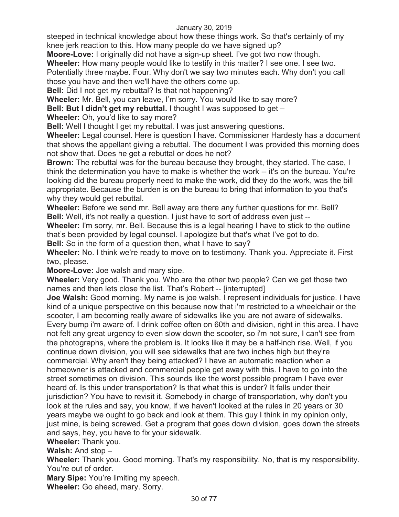steeped in technical knowledge about how these things work. So that's certainly of my knee jerk reaction to this. How many people do we have signed up?

**Moore-Love:** I originally did not have a sign-up sheet. I've got two now though.

**Wheeler:** How many people would like to testify in this matter? I see one. I see two.

Potentially three maybe. Four. Why don't we say two minutes each. Why don't you call those you have and then we'll have the others come up.

**Bell:** Did I not get my rebuttal? Is that not happening?

**Wheeler:** Mr. Bell, you can leave, I'm sorry. You would like to say more?

**Bell: But I didn't get my rebuttal.** I thought I was supposed to get –

**Wheeler:** Oh, you'd like to say more?

**Bell:** Well I thought I get my rebuttal. I was just answering questions.

**Wheeler:** Legal counsel. Here is question I have. Commissioner Hardesty has a document that shows the appellant giving a rebuttal. The document I was provided this morning does not show that. Does he get a rebuttal or does he not?

**Brown:** The rebuttal was for the bureau because they brought, they started. The case, I think the determination you have to make is whether the work -- it's on the bureau. You're looking did the bureau properly need to make the work, did they do the work, was the bill appropriate. Because the burden is on the bureau to bring that information to you that's why they would get rebuttal.

**Wheeler:** Before we send mr. Bell away are there any further questions for mr. Bell? **Bell:** Well, it's not really a question. I just have to sort of address even just --

**Wheeler:** I'm sorry, mr. Bell. Because this is a legal hearing I have to stick to the outline that's been provided by legal counsel. I apologize but that's what I've got to do.

**Bell:** So in the form of a question then, what I have to say?

**Wheeler:** No. I think we're ready to move on to testimony. Thank you. Appreciate it. First two, please.

**Moore-Love:** Joe walsh and mary sipe.

**Wheeler:** Very good. Thank you. Who are the other two people? Can we get those two names and then lets close the list. That's Robert -- [interrupted]

**Joe Walsh:** Good morning. My name is joe walsh. I represent individuals for justice. I have kind of a unique perspective on this because now that i'm restricted to a wheelchair or the scooter, I am becoming really aware of sidewalks like you are not aware of sidewalks. Every bump i'm aware of. I drink coffee often on 60th and division, right in this area. I have not felt any great urgency to even slow down the scooter, so i'm not sure, I can't see from the photographs, where the problem is. It looks like it may be a half-inch rise. Well, if you continue down division, you will see sidewalks that are two inches high but they're commercial. Why aren't they being attacked? I have an automatic reaction when a homeowner is attacked and commercial people get away with this. I have to go into the street sometimes on division. This sounds like the worst possible program I have ever heard of. Is this under transportation? Is that what this is under? It falls under their jurisdiction? You have to revisit it. Somebody in charge of transportation, why don't you look at the rules and say, you know, if we haven't looked at the rules in 20 years or 30 years maybe we ought to go back and look at them. This guy I think in my opinion only, just mine, is being screwed. Get a program that goes down division, goes down the streets and says, hey, you have to fix your sidewalk.

**Wheeler:** Thank you.

**Walsh:** And stop –

**Wheeler:** Thank you. Good morning. That's my responsibility. No, that is my responsibility. You're out of order.

**Mary Sipe:** You're limiting my speech.

**Wheeler:** Go ahead, mary. Sorry.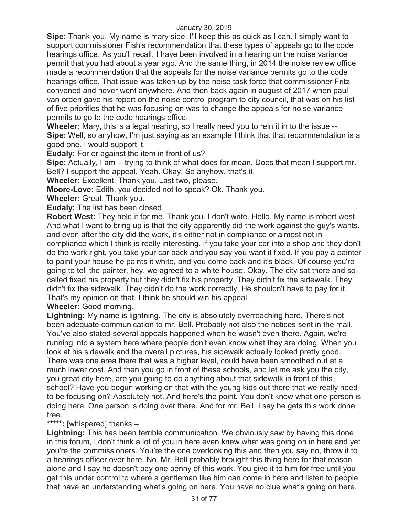**Sipe:** Thank you. My name is mary sipe. I'll keep this as quick as I can. I simply want to support commissioner Fish's recommendation that these types of appeals go to the code hearings office. As you'll recall, I have been involved in a hearing on the noise variance permit that you had about a year ago. And the same thing, in 2014 the noise review office made a recommendation that the appeals for the noise variance permits go to the code hearings office. That issue was taken up by the noise task force that commissioner Fritz convened and never went anywhere. And then back again in august of 2017 when paul van orden gave his report on the noise control program to city council, that was on his list of five priorities that he was focusing on was to change the appeals for noise variance permits to go to the code hearings office.

**Wheeler:** Mary, this is a legal hearing, so I really need you to rein it in to the issue -- **Sipe:** Well, so anyhow, I'm just saying as an example I think that that recommendation is a good one. I would support it.

**Eudaly:** For or against the item in front of us?

**Sipe:** Actually, I am -- trying to think of what does for mean. Does that mean I support mr. Bell? I support the appeal. Yeah. Okay. So anyhow, that's it.

**Wheeler:** Excellent. Thank you. Last two, please.

**Moore-Love:** Edith, you decided not to speak? Ok. Thank you.

**Wheeler:** Great. Thank you.

**Eudaly:** The list has been closed.

**Robert West:** They held it for me. Thank you. I don't write. Hello. My name is robert west. And what I want to bring up is that the city apparently did the work against the guy's wants, and even after the city did the work, it's either not in compliance or almost not in compliance which I think is really interesting. If you take your car into a shop and they don't do the work right, you take your car back and you say you want it fixed. If you pay a painter to paint your house he paints it white, and you come back and it's black. Of course you're going to tell the painter, hey, we agreed to a white house. Okay. The city sat there and socalled fixed his property but they didn't fix his property. They didn't fix the sidewalk. They didn't fix the sidewalk. They didn't do the work correctly. He shouldn't have to pay for it. That's my opinion on that. I think he should win his appeal.

**Wheeler:** Good morning.

**Lightning:** My name is lightning. The city is absolutely overreaching here. There's not been adequate communication to mr. Bell. Probably not also the notices sent in the mail. You've also stated several appeals happened when he wasn't even there. Again, we're running into a system here where people don't even know what they are doing. When you look at his sidewalk and the overall pictures, his sidewalk actually looked pretty good. There was one area there that was a higher level, could have been smoothed out at a much lower cost. And then you go in front of these schools, and let me ask you the city, you great city here, are you going to do anything about that sidewalk in front of this school? Have you begun working on that with the young kids out there that we really need to be focusing on? Absolutely not. And here's the point. You don't know what one person is doing here. One person is doing over there. And for mr. Bell, I say he gets this work done free.

# **\*\*\*\*\*:** [whispered] thanks –

**Lightning:** This has been terrible communication. We obviously saw by having this done in this forum, I don't think a lot of you in here even knew what was going on in here and yet you're the commissioners. You're the one overlooking this and then you say no, throw it to a hearings officer over here. No. Mr. Bell probably brought this thing here for that reason alone and I say he doesn't pay one penny of this work. You give it to him for free until you get this under control to where a gentleman like him can come in here and listen to people that have an understanding what's going on here. You have no clue what's going on here.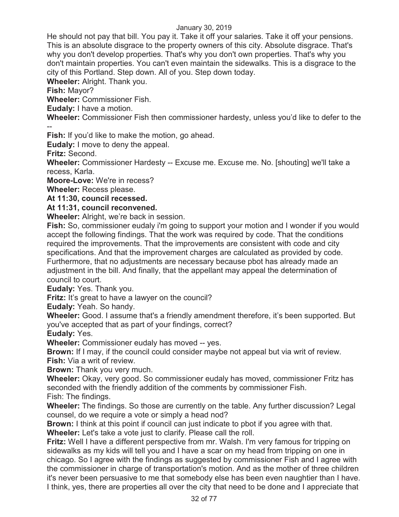He should not pay that bill. You pay it. Take it off your salaries. Take it off your pensions. This is an absolute disgrace to the property owners of this city. Absolute disgrace. That's why you don't develop properties. That's why you don't own properties. That's why you don't maintain properties. You can't even maintain the sidewalks. This is a disgrace to the city of this Portland. Step down. All of you. Step down today.

**Wheeler:** Alright. Thank you.

**Fish:** Mayor?

**Wheeler:** Commissioner Fish.

**Eudaly:** I have a motion.

**Wheeler:** Commissioner Fish then commissioner hardesty, unless you'd like to defer to the --

**Fish:** If you'd like to make the motion, go ahead.

**Eudaly:** I move to deny the appeal.

**Fritz:** Second.

**Wheeler:** Commissioner Hardesty -- Excuse me. Excuse me. No. [shouting] we'll take a recess, Karla.

**Moore-Love:** We're in recess?

**Wheeler:** Recess please.

**At 11:30, council recessed.** 

# **At 11:31, council reconvened.**

**Wheeler:** Alright, we're back in session.

**Fish:** So, commissioner eudaly i'm going to support your motion and I wonder if you would accept the following findings. That the work was required by code. That the conditions required the improvements. That the improvements are consistent with code and city specifications. And that the improvement charges are calculated as provided by code. Furthermore, that no adjustments are necessary because pbot has already made an adjustment in the bill. And finally, that the appellant may appeal the determination of council to court.

**Eudaly:** Yes. Thank you.

**Fritz:** It's great to have a lawyer on the council?

**Eudaly:** Yeah. So handy.

**Wheeler:** Good. I assume that's a friendly amendment therefore, it's been supported. But you've accepted that as part of your findings, correct?

**Eudaly:** Yes.

**Wheeler:** Commissioner eudaly has moved -- yes.

**Brown:** If I may, if the council could consider maybe not appeal but via writ of review. **Fish:** Via a writ of review.

**Brown:** Thank you very much.

**Wheeler:** Okay, very good. So commissioner eudaly has moved, commissioner Fritz has seconded with the friendly addition of the comments by commissioner Fish.

Fish: The findings.

**Wheeler:** The findings. So those are currently on the table. Any further discussion? Legal counsel, do we require a vote or simply a head nod?

**Brown:** I think at this point if council can just indicate to pbot if you agree with that. **Wheeler:** Let's take a vote just to clarify. Please call the roll.

**Fritz:** Well I have a different perspective from mr. Walsh. I'm very famous for tripping on sidewalks as my kids will tell you and I have a scar on my head from tripping on one in chicago. So I agree with the findings as suggested by commissioner Fish and I agree with the commissioner in charge of transportation's motion. And as the mother of three children it's never been persuasive to me that somebody else has been even naughtier than I have. I think, yes, there are properties all over the city that need to be done and I appreciate that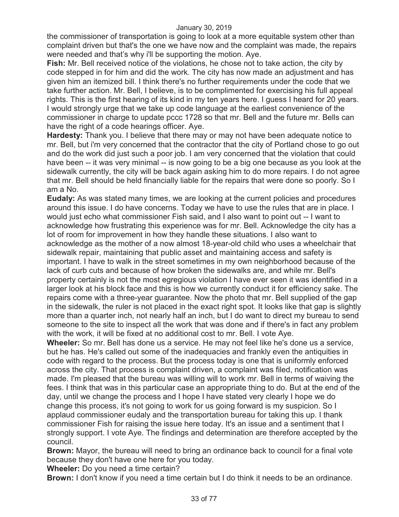the commissioner of transportation is going to look at a more equitable system other than complaint driven but that's the one we have now and the complaint was made, the repairs were needed and that's why i'll be supporting the motion. Aye.

**Fish:** Mr. Bell received notice of the violations, he chose not to take action, the city by code stepped in for him and did the work. The city has now made an adjustment and has given him an itemized bill. I think there's no further requirements under the code that we take further action. Mr. Bell, I believe, is to be complimented for exercising his full appeal rights. This is the first hearing of its kind in my ten years here. I guess I heard for 20 years. I would strongly urge that we take up code language at the earliest convenience of the commissioner in charge to update pccc 1728 so that mr. Bell and the future mr. Bells can have the right of a code hearings officer. Aye.

**Hardesty:** Thank you. I believe that there may or may not have been adequate notice to mr. Bell, but i'm very concerned that the contractor that the city of Portland chose to go out and do the work did just such a poor job. I am very concerned that the violation that could have been -- it was very minimal -- is now going to be a big one because as you look at the sidewalk currently, the city will be back again asking him to do more repairs. I do not agree that mr. Bell should be held financially liable for the repairs that were done so poorly. So I am a No.

**Eudaly:** As was stated many times, we are looking at the current policies and procedures around this issue. I do have concerns. Today we have to use the rules that are in place. I would just echo what commissioner Fish said, and I also want to point out -- I want to acknowledge how frustrating this experience was for mr. Bell. Acknowledge the city has a lot of room for improvement in how they handle these situations. I also want to acknowledge as the mother of a now almost 18-year-old child who uses a wheelchair that sidewalk repair, maintaining that public asset and maintaining access and safety is important. I have to walk in the street sometimes in my own neighborhood because of the lack of curb cuts and because of how broken the sidewalks are, and while mr. Bell's property certainly is not the most egregious violation I have ever seen it was identified in a larger look at his block face and this is how we currently conduct it for efficiency sake. The repairs come with a three-year guarantee. Now the photo that mr. Bell supplied of the gap in the sidewalk, the ruler is not placed in the exact right spot. It looks like that gap is slightly more than a quarter inch, not nearly half an inch, but I do want to direct my bureau to send someone to the site to inspect all the work that was done and if there's in fact any problem with the work, it will be fixed at no additional cost to mr. Bell. I vote Aye.

**Wheeler:** So mr. Bell has done us a service. He may not feel like he's done us a service, but he has. He's called out some of the inadequacies and frankly even the antiquities in code with regard to the process. But the process today is one that is uniformly enforced across the city. That process is complaint driven, a complaint was filed, notification was made. I'm pleased that the bureau was willing will to work mr. Bell in terms of waiving the fees. I think that was in this particular case an appropriate thing to do. But at the end of the day, until we change the process and I hope I have stated very clearly I hope we do change this process, it's not going to work for us going forward is my suspicion. So I applaud commissioner eudaly and the transportation bureau for taking this up. I thank commissioner Fish for raising the issue here today. It's an issue and a sentiment that I strongly support. I vote Aye. The findings and determination are therefore accepted by the council.

**Brown:** Mayor, the bureau will need to bring an ordinance back to council for a final vote because they don't have one here for you today.

**Wheeler:** Do you need a time certain?

**Brown:** I don't know if you need a time certain but I do think it needs to be an ordinance.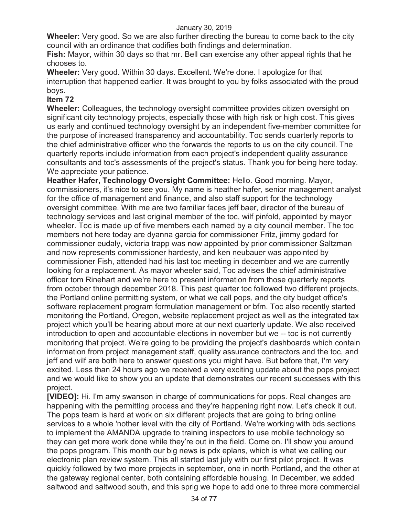**Wheeler:** Very good. So we are also further directing the bureau to come back to the city council with an ordinance that codifies both findings and determination.

**Fish:** Mayor, within 30 days so that mr. Bell can exercise any other appeal rights that he chooses to.

**Wheeler:** Very good. Within 30 days. Excellent. We're done. I apologize for that interruption that happened earlier. It was brought to you by folks associated with the proud boys.

# **Item 72**

**Wheeler:** Colleagues, the technology oversight committee provides citizen oversight on significant city technology projects, especially those with high risk or high cost. This gives us early and continued technology oversight by an independent five-member committee for the purpose of increased transparency and accountability. Toc sends quarterly reports to the chief administrative officer who the forwards the reports to us on the city council. The quarterly reports include information from each project's independent quality assurance consultants and toc's assessments of the project's status. Thank you for being here today. We appreciate your patience.

**Heather Hafer, Technology Oversight Committee:** Hello. Good morning. Mayor, commissioners, it's nice to see you. My name is heather hafer, senior management analyst for the office of management and finance, and also staff support for the technology oversight committee. With me are two familiar faces jeff baer, director of the bureau of technology services and last original member of the toc, wilf pinfold, appointed by mayor wheeler. Toc is made up of five members each named by a city council member. The toc members not here today are dyanna garcia for commissioner Fritz, jimmy godard for commissioner eudaly, victoria trapp was now appointed by prior commissioner Saltzman and now represents commissioner hardesty, and ken neubauer was appointed by commissioner Fish, attended had his last toc meeting in december and we are currently looking for a replacement. As mayor wheeler said, Toc advises the chief administrative officer tom Rinehart and we're here to present information from those quarterly reports from october through december 2018. This past quarter toc followed two different projects, the Portland online permitting system, or what we call pops, and the city budget office's software replacement program formulation management or bfm. Toc also recently started monitoring the Portland, Oregon, website replacement project as well as the integrated tax project which you'll be hearing about more at our next quarterly update. We also received introduction to open and accountable elections in november but we -- toc is not currently monitoring that project. We're going to be providing the project's dashboards which contain information from project management staff, quality assurance contractors and the toc, and jeff and wilf are both here to answer questions you might have. But before that, I'm very excited. Less than 24 hours ago we received a very exciting update about the pops project and we would like to show you an update that demonstrates our recent successes with this project.

**[VIDEO]:** Hi. I'm amy swanson in charge of communications for pops. Real changes are happening with the permitting process and they're happening right now. Let's check it out. The pops team is hard at work on six different projects that are going to bring online services to a whole 'nother level with the city of Portland. We're working with bds sections to implement the AMANDA upgrade to training inspectors to use mobile technology so they can get more work done while they're out in the field. Come on. I'll show you around the pops program. This month our big news is pdx eplans, which is what we calling our electronic plan review system. This all started last july with our first pilot project. It was quickly followed by two more projects in september, one in north Portland, and the other at the gateway regional center, both containing affordable housing. In December, we added saltwood and saltwood south, and this sprig we hope to add one to three more commercial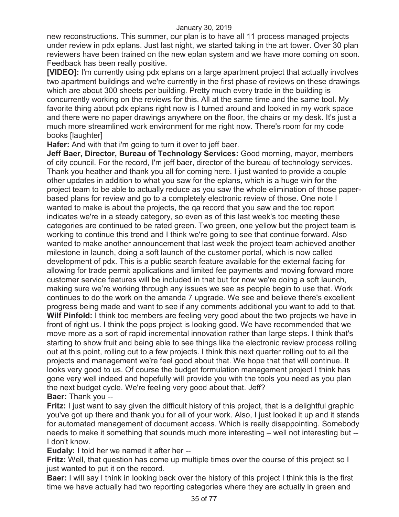new reconstructions. This summer, our plan is to have all 11 process managed projects under review in pdx eplans. Just last night, we started taking in the art tower. Over 30 plan reviewers have been trained on the new eplan system and we have more coming on soon. Feedback has been really positive.

**[VIDEO]:** I'm currently using pdx eplans on a large apartment project that actually involves two apartment buildings and we're currently in the first phase of reviews on these drawings which are about 300 sheets per building. Pretty much every trade in the building is concurrently working on the reviews for this. All at the same time and the same tool. My favorite thing about pdx eplans right now is I turned around and looked in my work space and there were no paper drawings anywhere on the floor, the chairs or my desk. It's just a much more streamlined work environment for me right now. There's room for my code books [laughter]

**Hafer:** And with that i'm going to turn it over to jeff baer.

**Jeff Baer, Director, Bureau of Technology Services:** Good morning, mayor, members of city council. For the record, I'm jeff baer, director of the bureau of technology services. Thank you heather and thank you all for coming here. I just wanted to provide a couple other updates in addition to what you saw for the eplans, which is a huge win for the project team to be able to actually reduce as you saw the whole elimination of those paperbased plans for review and go to a completely electronic review of those. One note I wanted to make is about the projects, the qa record that you saw and the toc report indicates we're in a steady category, so even as of this last week's toc meeting these categories are continued to be rated green. Two green, one yellow but the project team is working to continue this trend and I think we're going to see that continue forward. Also wanted to make another announcement that last week the project team achieved another milestone in launch, doing a soft launch of the customer portal, which is now called development of pdx. This is a public search feature available for the external facing for allowing for trade permit applications and limited fee payments and moving forward more customer service features will be included in that but for now we're doing a soft launch, making sure we're working through any issues we see as people begin to use that. Work continues to do the work on the amanda 7 upgrade. We see and believe there's excellent progress being made and want to see if any comments additional you want to add to that. **Wilf Pinfold:** I think toc members are feeling very good about the two projects we have in front of right us. I think the pops project is looking good. We have recommended that we move more as a sort of rapid incremental innovation rather than large steps. I think that's starting to show fruit and being able to see things like the electronic review process rolling out at this point, rolling out to a few projects. I think this next quarter rolling out to all the projects and management we're feel good about that. We hope that that will continue. It looks very good to us. Of course the budget formulation management project I think has gone very well indeed and hopefully will provide you with the tools you need as you plan the next budget cycle. We're feeling very good about that. Jeff?

# **Baer:** Thank you --

**Fritz:** I just want to say given the difficult history of this project, that is a delightful graphic you've got up there and thank you for all of your work. Also, I just looked it up and it stands for automated management of document access. Which is really disappointing. Somebody needs to make it something that sounds much more interesting – well not interesting but -- I don't know.

**Eudaly:** I told her we named it after her --

**Fritz:** Well, that question has come up multiple times over the course of this project so I just wanted to put it on the record.

**Baer:** I will say I think in looking back over the history of this project I think this is the first time we have actually had two reporting categories where they are actually in green and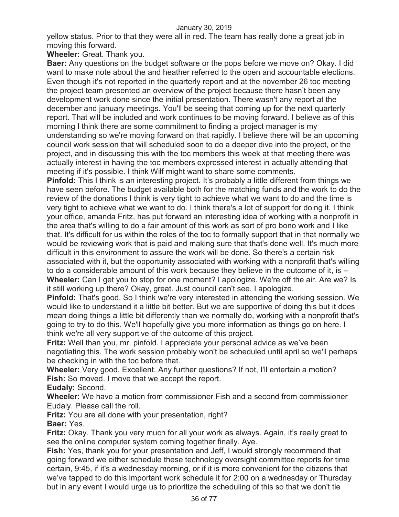yellow status. Prior to that they were all in red. The team has really done a great job in moving this forward.

**Wheeler:** Great. Thank you.

**Baer:** Any questions on the budget software or the pops before we move on? Okay. I did want to make note about the and heather referred to the open and accountable elections. Even though it's not reported in the quarterly report and at the november 26 toc meeting the project team presented an overview of the project because there hasn't been any development work done since the initial presentation. There wasn't any report at the december and january meetings. You'll be seeing that coming up for the next quarterly report. That will be included and work continues to be moving forward. I believe as of this morning I think there are some commitment to finding a project manager is my understanding so we're moving forward on that rapidly. I believe there will be an upcoming council work session that will scheduled soon to do a deeper dive into the project, or the project, and in discussing this with the toc members this week at that meeting there was actually interest in having the toc members expressed interest in actually attending that meeting if it's possible. I think Wilf might want to share some comments.

**Pinfold:** This I think is an interesting project. It's probably a little different from things we have seen before. The budget available both for the matching funds and the work to do the review of the donations I think is very tight to achieve what we want to do and the time is very tight to achieve what we want to do. I think there's a lot of support for doing it. I think your office, amanda Fritz, has put forward an interesting idea of working with a nonprofit in the area that's willing to do a fair amount of this work as sort of pro bono work and I like that. It's difficult for us within the roles of the toc to formally support that in that normally we would be reviewing work that is paid and making sure that that's done well. It's much more difficult in this environment to assure the work will be done. So there's a certain risk associated with it, but the opportunity associated with working with a nonprofit that's willing to do a considerable amount of this work because they believe in the outcome of it, is -- **Wheeler:** Can I get you to stop for one moment? I apologize. We're off the air. Are we? Is it still working up there? Okay, great. Just council can't see. I apologize.

**Pinfold:** That's good. So I think we're very interested in attending the working session. We would like to understand it a little bit better. But we are supportive of doing this but it does mean doing things a little bit differently than we normally do, working with a nonprofit that's going to try to do this. We'll hopefully give you more information as things go on here. I think we're all very supportive of the outcome of this project.

**Fritz:** Well than you, mr. pinfold. I appreciate your personal advice as we've been negotiating this. The work session probably won't be scheduled until april so we'll perhaps be checking in with the toc before that.

**Wheeler:** Very good. Excellent. Any further questions? If not, I'll entertain a motion? **Fish:** So moved. I move that we accept the report.

**Eudaly:** Second.

**Wheeler:** We have a motion from commissioner Fish and a second from commissioner Eudaly. Please call the roll.

**Fritz:** You are all done with your presentation, right?

**Baer:** Yes.

**Fritz:** Okay. Thank you very much for all your work as always. Again, it's really great to see the online computer system coming together finally. Aye.

**Fish:** Yes, thank you for your presentation and Jeff, I would strongly recommend that going forward we either schedule these technology oversight committee reports for time certain, 9:45, if it's a wednesday morning, or if it is more convenient for the citizens that we've tapped to do this important work schedule it for 2:00 on a wednesday or Thursday but in any event I would urge us to prioritize the scheduling of this so that we don't tie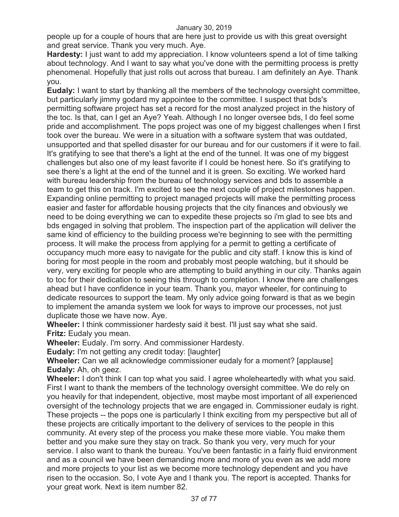people up for a couple of hours that are here just to provide us with this great oversight and great service. Thank you very much. Aye.

**Hardesty:** I just want to add my appreciation. I know volunteers spend a lot of time talking about technology. And I want to say what you've done with the permitting process is pretty phenomenal. Hopefully that just rolls out across that bureau. I am definitely an Aye. Thank you.

**Eudaly:** I want to start by thanking all the members of the technology oversight committee, but particularly jimmy godard my appointee to the committee. I suspect that bds's permitting software project has set a record for the most analyzed project in the history of the toc. Is that, can I get an Aye? Yeah. Although I no longer oversee bds, I do feel some pride and accomplishment. The pops project was one of my biggest challenges when I first took over the bureau. We were in a situation with a software system that was outdated, unsupported and that spelled disaster for our bureau and for our customers if it were to fail. It's gratifying to see that there's a light at the end of the tunnel. It was one of my biggest challenges but also one of my least favorite if I could be honest here. So it's gratifying to see there's a light at the end of the tunnel and it is green. So exciting. We worked hard with bureau leadership from the bureau of technology services and bds to assemble a team to get this on track. I'm excited to see the next couple of project milestones happen. Expanding online permitting to project managed projects will make the permitting process easier and faster for affordable housing projects that the city finances and obviously we need to be doing everything we can to expedite these projects so i'm glad to see bts and bds engaged in solving that problem. The inspection part of the application will deliver the same kind of efficiency to the building process we're beginning to see with the permitting process. It will make the process from applying for a permit to getting a certificate of occupancy much more easy to navigate for the public and city staff. I know this is kind of boring for most people in the room and probably most people watching, but it should be very, very exciting for people who are attempting to build anything in our city. Thanks again to toc for their dedication to seeing this through to completion. I know there are challenges ahead but I have confidence in your team. Thank you, mayor wheeler, for continuing to dedicate resources to support the team. My only advice going forward is that as we begin to implement the amanda system we look for ways to improve our processes, not just duplicate those we have now. Aye.

**Wheeler:** I think commissioner hardesty said it best. I'll just say what she said. **Fritz:** Eudaly you mean.

**Wheeler:** Eudaly. I'm sorry. And commissioner Hardesty.

**Eudaly:** I'm not getting any credit today: [laughter]

**Wheeler:** Can we all acknowledge commissioner eudaly for a moment? [applause] **Eudaly:** Ah, oh geez.

**Wheeler:** I don't think I can top what you said. I agree wholeheartedly with what you said. First I want to thank the members of the technology oversight committee. We do rely on you heavily for that independent, objective, most maybe most important of all experienced oversight of the technology projects that we are engaged in. Commissioner eudaly is right. These projects -- the pops one is particularly I think exciting from my perspective but all of these projects are critically important to the delivery of services to the people in this community. At every step of the process you make these more viable. You make them better and you make sure they stay on track. So thank you very, very much for your service. I also want to thank the bureau. You've been fantastic in a fairly fluid environment and as a council we have been demanding more and more of you even as we add more and more projects to your list as we become more technology dependent and you have risen to the occasion. So, I vote Aye and I thank you. The report is accepted. Thanks for your great work. Next is item number 82.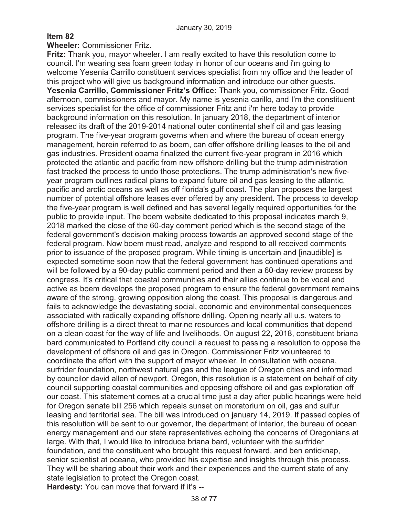# **Item 82**

# **Wheeler:** Commissioner Fritz.

**Fritz:** Thank you, mayor wheeler. I am really excited to have this resolution come to council. I'm wearing sea foam green today in honor of our oceans and i'm going to welcome Yesenia Carrillo constituent services specialist from my office and the leader of this project who will give us background information and introduce our other guests. **Yesenia Carrillo, Commissioner Fritz's Office:** Thank you, commissioner Fritz. Good afternoon, commissioners and mayor. My name is yesenia carillo, and I'm the constituent services specialist for the office of commissioner Fritz and i'm here today to provide background information on this resolution. In january 2018, the department of interior released its draft of the 2019-2014 national outer continental shelf oil and gas leasing program. The five-year program governs when and where the bureau of ocean energy management, herein referred to as boem, can offer offshore drilling leases to the oil and gas industries. President obama finalized the current five-year program in 2016 which protected the atlantic and pacific from new offshore drilling but the trump administration fast tracked the process to undo those protections. The trump administration's new fiveyear program outlines radical plans to expand future oil and gas leasing to the atlantic, pacific and arctic oceans as well as off florida's gulf coast. The plan proposes the largest number of potential offshore leases ever offered by any president. The process to develop the five-year program is well defined and has several legally required opportunities for the public to provide input. The boem website dedicated to this proposal indicates march 9, 2018 marked the close of the 60-day comment period which is the second stage of the federal government's decision making process towards an approved second stage of the federal program. Now boem must read, analyze and respond to all received comments prior to issuance of the proposed program. While timing is uncertain and [inaudible] is expected sometime soon now that the federal government has continued operations and will be followed by a 90-day public comment period and then a 60-day review process by congress. It's critical that coastal communities and their allies continue to be vocal and active as boem develops the proposed program to ensure the federal government remains aware of the strong, growing opposition along the coast. This proposal is dangerous and fails to acknowledge the devastating social, economic and environmental consequences associated with radically expanding offshore drilling. Opening nearly all u.s. waters to offshore drilling is a direct threat to marine resources and local communities that depend on a clean coast for the way of life and livelihoods. On august 22, 2018, constituent briana bard communicated to Portland city council a request to passing a resolution to oppose the development of offshore oil and gas in Oregon. Commissioner Fritz volunteered to coordinate the effort with the support of mayor wheeler. In consultation with oceana, surfrider foundation, northwest natural gas and the league of Oregon cities and informed by councilor david allen of newport, Oregon, this resolution is a statement on behalf of city council supporting coastal communities and opposing offshore oil and gas exploration off our coast. This statement comes at a crucial time just a day after public hearings were held for Oregon senate bill 256 which repeals sunset on moratorium on oil, gas and sulfur leasing and territorial sea. The bill was introduced on january 14, 2019. If passed copies of this resolution will be sent to our governor, the department of interior, the bureau of ocean energy management and our state representatives echoing the concerns of Oregonians at large. With that, I would like to introduce briana bard, volunteer with the surfrider foundation, and the constituent who brought this request forward, and ben enticknap, senior scientist at oceana, who provided his expertise and insights through this process. They will be sharing about their work and their experiences and the current state of any state legislation to protect the Oregon coast.

**Hardesty:** You can move that forward if it's --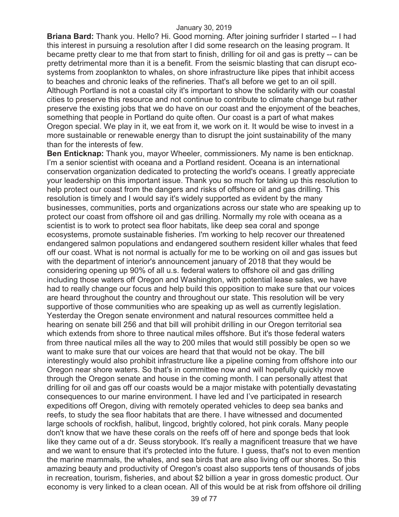**Briana Bard:** Thank you. Hello? Hi. Good morning. After joining surfrider I started -- I had this interest in pursuing a resolution after I did some research on the leasing program. It became pretty clear to me that from start to finish, drilling for oil and gas is pretty -- can be pretty detrimental more than it is a benefit. From the seismic blasting that can disrupt ecosystems from zooplankton to whales, on shore infrastructure like pipes that inhibit access to beaches and chronic leaks of the refineries. That's all before we get to an oil spill. Although Portland is not a coastal city it's important to show the solidarity with our coastal cities to preserve this resource and not continue to contribute to climate change but rather preserve the existing jobs that we do have on our coast and the enjoyment of the beaches, something that people in Portland do quite often. Our coast is a part of what makes Oregon special. We play in it, we eat from it, we work on it. It would be wise to invest in a more sustainable or renewable energy than to disrupt the joint sustainability of the many than for the interests of few.

**Ben Enticknap:** Thank you, mayor Wheeler, commissioners. My name is ben enticknap. I'm a senior scientist with oceana and a Portland resident. Oceana is an international conservation organization dedicated to protecting the world's oceans. I greatly appreciate your leadership on this important issue. Thank you so much for taking up this resolution to help protect our coast from the dangers and risks of offshore oil and gas drilling. This resolution is timely and I would say it's widely supported as evident by the many businesses, communities, ports and organizations across our state who are speaking up to protect our coast from offshore oil and gas drilling. Normally my role with oceana as a scientist is to work to protect sea floor habitats, like deep sea coral and sponge ecosystems, promote sustainable fisheries. I'm working to help recover our threatened endangered salmon populations and endangered southern resident killer whales that feed off our coast. What is not normal is actually for me to be working on oil and gas issues but with the department of interior's announcement january of 2018 that they would be considering opening up 90% of all u.s. federal waters to offshore oil and gas drilling including those waters off Oregon and Washington, with potential lease sales, we have had to really change our focus and help build this opposition to make sure that our voices are heard throughout the country and throughout our state. This resolution will be very supportive of those communities who are speaking up as well as currently legislation. Yesterday the Oregon senate environment and natural resources committee held a hearing on senate bill 256 and that bill will prohibit drilling in our Oregon territorial sea which extends from shore to three nautical miles offshore. But it's those federal waters from three nautical miles all the way to 200 miles that would still possibly be open so we want to make sure that our voices are heard that that would not be okay. The bill interestingly would also prohibit infrastructure like a pipeline coming from offshore into our Oregon near shore waters. So that's in committee now and will hopefully quickly move through the Oregon senate and house in the coming month. I can personally attest that drilling for oil and gas off our coasts would be a major mistake with potentially devastating consequences to our marine environment. I have led and I've participated in research expeditions off Oregon, diving with remotely operated vehicles to deep sea banks and reefs, to study the sea floor habitats that are there. I have witnessed and documented large schools of rockfish, halibut, lingcod, brightly colored, hot pink corals. Many people don't know that we have these corals on the reefs off of here and sponge beds that look like they came out of a dr. Seuss storybook. It's really a magnificent treasure that we have and we want to ensure that it's protected into the future. I guess, that's not to even mention the marine mammals, the whales, and sea birds that are also living off our shores. So this amazing beauty and productivity of Oregon's coast also supports tens of thousands of jobs in recreation, tourism, fisheries, and about \$2 billion a year in gross domestic product. Our economy is very linked to a clean ocean. All of this would be at risk from offshore oil drilling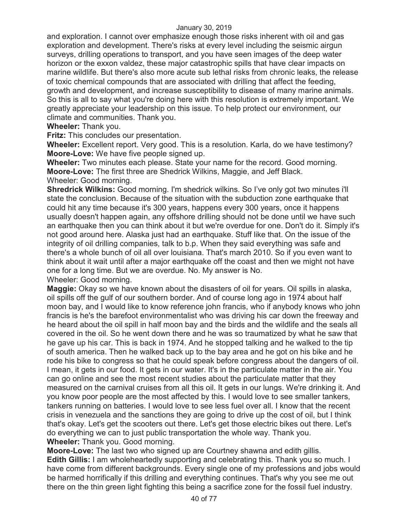and exploration. I cannot over emphasize enough those risks inherent with oil and gas exploration and development. There's risks at every level including the seismic airgun surveys, drilling operations to transport, and you have seen images of the deep water horizon or the exxon valdez, these major catastrophic spills that have clear impacts on marine wildlife. But there's also more acute sub lethal risks from chronic leaks, the release of toxic chemical compounds that are associated with drilling that affect the feeding, growth and development, and increase susceptibility to disease of many marine animals. So this is all to say what you're doing here with this resolution is extremely important. We greatly appreciate your leadership on this issue. To help protect our environment, our climate and communities. Thank you.

# **Wheeler:** Thank you.

**Fritz:** This concludes our presentation.

**Wheeler:** Excellent report. Very good. This is a resolution. Karla, do we have testimony? **Moore-Love:** We have five people signed up.

**Wheeler:** Two minutes each please. State your name for the record. Good morning. **Moore-Love:** The first three are Shedrick Wilkins, Maggie, and Jeff Black. Wheeler: Good morning.

**Shredrick Wilkins:** Good morning. I'm shedrick wilkins. So I've only got two minutes i'll state the conclusion. Because of the situation with the subduction zone earthquake that could hit any time because it's 300 years, happens every 300 years, once it happens usually doesn't happen again, any offshore drilling should not be done until we have such an earthquake then you can think about it but we're overdue for one. Don't do it. Simply it's not good around here. Alaska just had an earthquake. Stuff like that. On the issue of the integrity of oil drilling companies, talk to b.p. When they said everything was safe and there's a whole bunch of oil all over louisiana. That's march 2010. So if you even want to think about it wait until after a major earthquake off the coast and then we might not have one for a long time. But we are overdue. No. My answer is No.

Wheeler: Good morning.

**Maggie:** Okay so we have known about the disasters of oil for years. Oil spills in alaska, oil spills off the gulf of our southern border. And of course long ago in 1974 about half moon bay, and I would like to know reference john francis, who if anybody knows who john francis is he's the barefoot environmentalist who was driving his car down the freeway and he heard about the oil spill in half moon bay and the birds and the wildlife and the seals all covered in the oil. So he went down there and he was so traumatized by what he saw that he gave up his car. This is back in 1974. And he stopped talking and he walked to the tip of south america. Then he walked back up to the bay area and he got on his bike and he rode his bike to congress so that he could speak before congress about the dangers of oil. I mean, it gets in our food. It gets in our water. It's in the particulate matter in the air. You can go online and see the most recent studies about the particulate matter that they measured on the carnival cruises from all this oil. It gets in our lungs. We're drinking it. And you know poor people are the most affected by this. I would love to see smaller tankers, tankers running on batteries. I would love to see less fuel over all. I know that the recent crisis in venezuela and the sanctions they are going to drive up the cost of oil, but I think that's okay. Let's get the scooters out there. Let's get those electric bikes out there. Let's do everything we can to just public transportation the whole way. Thank you. **Wheeler:** Thank you. Good morning.

**Moore-Love:** The last two who signed up are Courtney shawna and edith gillis. **Edith Gillis:** I am wholeheartedly supporting and celebrating this. Thank you so much. I have come from different backgrounds. Every single one of my professions and jobs would be harmed horrifically if this drilling and everything continues. That's why you see me out there on the thin green light fighting this being a sacrifice zone for the fossil fuel industry.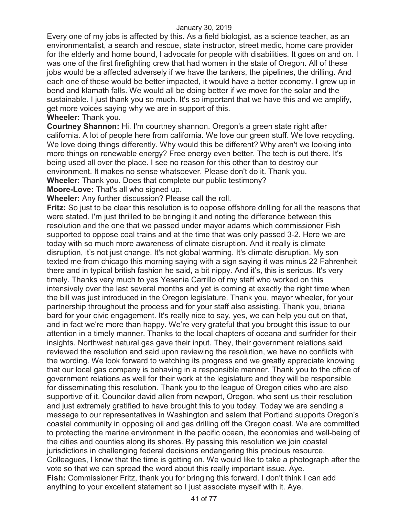Every one of my jobs is affected by this. As a field biologist, as a science teacher, as an environmentalist, a search and rescue, state instructor, street medic, home care provider for the elderly and home bound, I advocate for people with disabilities. It goes on and on. I was one of the first firefighting crew that had women in the state of Oregon. All of these jobs would be a affected adversely if we have the tankers, the pipelines, the drilling. And each one of these would be better impacted, it would have a better economy. I grew up in bend and klamath falls. We would all be doing better if we move for the solar and the sustainable. I just thank you so much. It's so important that we have this and we amplify, get more voices saying why we are in support of this. **Wheeler:** Thank you.

**Courtney Shannon:** Hi. I'm courtney shannon. Oregon's a green state right after california. A lot of people here from california. We love our green stuff. We love recycling. We love doing things differently. Why would this be different? Why aren't we looking into more things on renewable energy? Free energy even better. The tech is out there. It's being used all over the place. I see no reason for this other than to destroy our environment. It makes no sense whatsoever. Please don't do it. Thank you. **Wheeler:** Thank you. Does that complete our public testimony?

**Moore-Love:** That's all who signed up.

**Wheeler:** Any further discussion? Please call the roll.

**Fritz:** So just to be clear this resolution is to oppose offshore drilling for all the reasons that were stated. I'm just thrilled to be bringing it and noting the difference between this resolution and the one that we passed under mayor adams which commissioner Fish supported to oppose coal trains and at the time that was only passed 3-2. Here we are today with so much more awareness of climate disruption. And it really is climate disruption, it's not just change. It's not global warming. It's climate disruption. My son texted me from chicago this morning saying with a sign saying it was minus 22 Fahrenheit there and in typical british fashion he said, a bit nippy. And it's, this is serious. It's very timely. Thanks very much to yes Yesenia Carrillo of my staff who worked on this intensively over the last several months and yet is coming at exactly the right time when the bill was just introduced in the Oregon legislature. Thank you, mayor wheeler, for your partnership throughout the process and for your staff also assisting. Thank you, briana bard for your civic engagement. It's really nice to say, yes, we can help you out on that, and in fact we're more than happy. We're very grateful that you brought this issue to our attention in a timely manner. Thanks to the local chapters of oceana and surfrider for their insights. Northwest natural gas gave their input. They, their government relations said reviewed the resolution and said upon reviewing the resolution, we have no conflicts with the wording. We look forward to watching its progress and we greatly appreciate knowing that our local gas company is behaving in a responsible manner. Thank you to the office of government relations as well for their work at the legislature and they will be responsible for disseminating this resolution. Thank you to the league of Oregon cities who are also supportive of it. Councilor david allen from newport, Oregon, who sent us their resolution and just extremely gratified to have brought this to you today. Today we are sending a message to our representatives in Washington and salem that Portland supports Oregon's coastal community in opposing oil and gas drilling off the Oregon coast. We are committed to protecting the marine environment in the pacific ocean, the economies and well-being of the cities and counties along its shores. By passing this resolution we join coastal jurisdictions in challenging federal decisions endangering this precious resource. Colleagues, I know that the time is getting on. We would like to take a photograph after the vote so that we can spread the word about this really important issue. Aye. **Fish:** Commissioner Fritz, thank you for bringing this forward. I don't think I can add anything to your excellent statement so I just associate myself with it. Aye.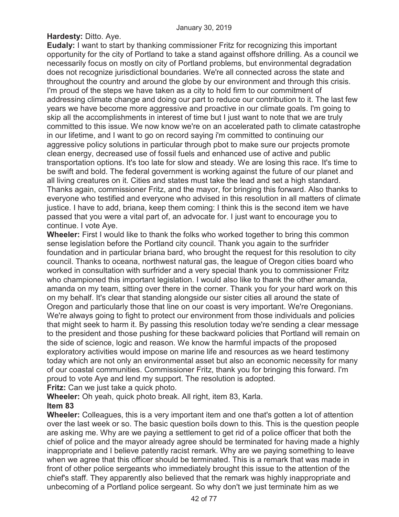**Hardesty:** Ditto. Aye.

**Eudaly:** I want to start by thanking commissioner Fritz for recognizing this important opportunity for the city of Portland to take a stand against offshore drilling. As a council we necessarily focus on mostly on city of Portland problems, but environmental degradation does not recognize jurisdictional boundaries. We're all connected across the state and throughout the country and around the globe by our environment and through this crisis. I'm proud of the steps we have taken as a city to hold firm to our commitment of addressing climate change and doing our part to reduce our contribution to it. The last few years we have become more aggressive and proactive in our climate goals. I'm going to skip all the accomplishments in interest of time but I just want to note that we are truly committed to this issue. We now know we're on an accelerated path to climate catastrophe in our lifetime, and I want to go on record saying i'm committed to continuing our aggressive policy solutions in particular through pbot to make sure our projects promote clean energy, decreased use of fossil fuels and enhanced use of active and public transportation options. It's too late for slow and steady. We are losing this race. It's time to be swift and bold. The federal government is working against the future of our planet and all living creatures on it. Cities and states must take the lead and set a high standard. Thanks again, commissioner Fritz, and the mayor, for bringing this forward. Also thanks to everyone who testified and everyone who advised in this resolution in all matters of climate justice. I have to add, briana, keep them coming: I think this is the second item we have passed that you were a vital part of, an advocate for. I just want to encourage you to continue. I vote Aye.

**Wheeler:** First I would like to thank the folks who worked together to bring this common sense legislation before the Portland city council. Thank you again to the surfrider foundation and in particular briana bard, who brought the request for this resolution to city council. Thanks to oceana, northwest natural gas, the league of Oregon cities board who worked in consultation with surfrider and a very special thank you to commissioner Fritz who championed this important legislation. I would also like to thank the other amanda, amanda on my team, sitting over there in the corner. Thank you for your hard work on this on my behalf. It's clear that standing alongside our sister cities all around the state of Oregon and particularly those that line on our coast is very important. We're Oregonians. We're always going to fight to protect our environment from those individuals and policies that might seek to harm it. By passing this resolution today we're sending a clear message to the president and those pushing for these backward policies that Portland will remain on the side of science, logic and reason. We know the harmful impacts of the proposed exploratory activities would impose on marine life and resources as we heard testimony today which are not only an environmental asset but also an economic necessity for many of our coastal communities. Commissioner Fritz, thank you for bringing this forward. I'm proud to vote Aye and lend my support. The resolution is adopted. **Fritz:** Can we just take a quick photo.

**Wheeler:** Oh yeah, quick photo break. All right, item 83, Karla. **Item 83**

**Wheeler:** Colleagues, this is a very important item and one that's gotten a lot of attention over the last week or so. The basic question boils down to this. This is the question people are asking me. Why are we paying a settlement to get rid of a police officer that both the chief of police and the mayor already agree should be terminated for having made a highly inappropriate and I believe patently racist remark. Why are we paying something to leave when we agree that this officer should be terminated. This is a remark that was made in front of other police sergeants who immediately brought this issue to the attention of the chief's staff. They apparently also believed that the remark was highly inappropriate and unbecoming of a Portland police sergeant. So why don't we just terminate him as we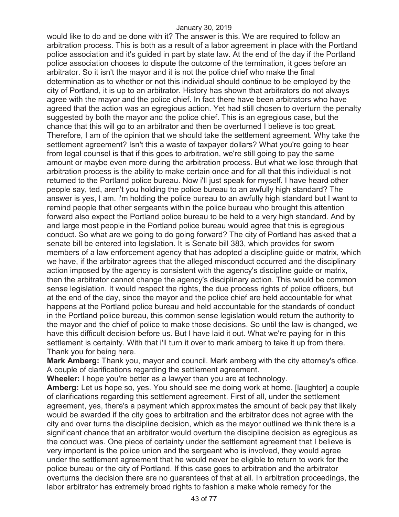would like to do and be done with it? The answer is this. We are required to follow an arbitration process. This is both as a result of a labor agreement in place with the Portland police association and it's guided in part by state law. At the end of the day if the Portland police association chooses to dispute the outcome of the termination, it goes before an arbitrator. So it isn't the mayor and it is not the police chief who make the final determination as to whether or not this individual should continue to be employed by the city of Portland, it is up to an arbitrator. History has shown that arbitrators do not always agree with the mayor and the police chief. In fact there have been arbitrators who have agreed that the action was an egregious action. Yet had still chosen to overturn the penalty suggested by both the mayor and the police chief. This is an egregious case, but the chance that this will go to an arbitrator and then be overturned I believe is too great. Therefore, I am of the opinion that we should take the settlement agreement. Why take the settlement agreement? Isn't this a waste of taxpayer dollars? What you're going to hear from legal counsel is that if this goes to arbitration, we're still going to pay the same amount or maybe even more during the arbitration process. But what we lose through that arbitration process is the ability to make certain once and for all that this individual is not returned to the Portland police bureau. Now i'll just speak for myself. I have heard other people say, ted, aren't you holding the police bureau to an awfully high standard? The answer is yes, I am. i'm holding the police bureau to an awfully high standard but I want to remind people that other sergeants within the police bureau who brought this attention forward also expect the Portland police bureau to be held to a very high standard. And by and large most people in the Portland police bureau would agree that this is egregious conduct. So what are we going to do going forward? The city of Portland has asked that a senate bill be entered into legislation. It is Senate bill 383, which provides for sworn members of a law enforcement agency that has adopted a discipline guide or matrix, which we have, if the arbitrator agrees that the alleged misconduct occurred and the disciplinary action imposed by the agency is consistent with the agency's discipline guide or matrix, then the arbitrator cannot change the agency's disciplinary action. This would be common sense legislation. It would respect the rights, the due process rights of police officers, but at the end of the day, since the mayor and the police chief are held accountable for what happens at the Portland police bureau and held accountable for the standards of conduct in the Portland police bureau, this common sense legislation would return the authority to the mayor and the chief of police to make those decisions. So until the law is changed, we have this difficult decision before us. But I have laid it out. What we're paying for in this settlement is certainty. With that i'll turn it over to mark amberg to take it up from there. Thank you for being here.

**Mark Amberg:** Thank you, mayor and council. Mark amberg with the city attorney's office. A couple of clarifications regarding the settlement agreement.

**Wheeler:** I hope you're better as a lawyer than you are at technology.

**Amberg:** Let us hope so, yes. You should see me doing work at home. [laughter] a couple of clarifications regarding this settlement agreement. First of all, under the settlement agreement, yes, there's a payment which approximates the amount of back pay that likely would be awarded if the city goes to arbitration and the arbitrator does not agree with the city and over turns the discipline decision, which as the mayor outlined we think there is a significant chance that an arbitrator would overturn the discipline decision as egregious as the conduct was. One piece of certainty under the settlement agreement that I believe is very important is the police union and the sergeant who is involved, they would agree under the settlement agreement that he would never be eligible to return to work for the police bureau or the city of Portland. If this case goes to arbitration and the arbitrator overturns the decision there are no guarantees of that at all. In arbitration proceedings, the labor arbitrator has extremely broad rights to fashion a make whole remedy for the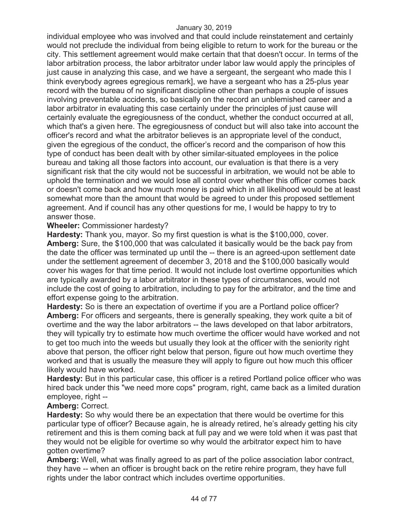individual employee who was involved and that could include reinstatement and certainly would not preclude the individual from being eligible to return to work for the bureau or the city. This settlement agreement would make certain that that doesn't occur. In terms of the labor arbitration process, the labor arbitrator under labor law would apply the principles of just cause in analyzing this case, and we have a sergeant, the sergeant who made this I think everybody agrees egregious remark], we have a sergeant who has a 25-plus year record with the bureau of no significant discipline other than perhaps a couple of issues involving preventable accidents, so basically on the record an unblemished career and a labor arbitrator in evaluating this case certainly under the principles of just cause will certainly evaluate the egregiousness of the conduct, whether the conduct occurred at all, which that's a given here. The egregiousness of conduct but will also take into account the officer's record and what the arbitrator believes is an appropriate level of the conduct, given the egregious of the conduct, the officer's record and the comparison of how this type of conduct has been dealt with by other similar-situated employees in the police bureau and taking all those factors into account, our evaluation is that there is a very significant risk that the city would not be successful in arbitration, we would not be able to uphold the termination and we would lose all control over whether this officer comes back or doesn't come back and how much money is paid which in all likelihood would be at least somewhat more than the amount that would be agreed to under this proposed settlement agreement. And if council has any other questions for me, I would be happy to try to answer those.

## **Wheeler:** Commissioner hardesty?

**Hardesty:** Thank you, mayor. So my first question is what is the \$100,000, cover. **Amberg:** Sure, the \$100,000 that was calculated it basically would be the back pay from the date the officer was terminated up until the -- there is an agreed-upon settlement date under the settlement agreement of december 3, 2018 and the \$100,000 basically would cover his wages for that time period. It would not include lost overtime opportunities which are typically awarded by a labor arbitrator in these types of circumstances, would not include the cost of going to arbitration, including to pay for the arbitrator, and the time and effort expense going to the arbitration.

**Hardesty:** So is there an expectation of overtime if you are a Portland police officer? **Amberg:** For officers and sergeants, there is generally speaking, they work quite a bit of overtime and the way the labor arbitrators -- the laws developed on that labor arbitrators, they will typically try to estimate how much overtime the officer would have worked and not to get too much into the weeds but usually they look at the officer with the seniority right above that person, the officer right below that person, figure out how much overtime they worked and that is usually the measure they will apply to figure out how much this officer likely would have worked.

**Hardesty:** But in this particular case, this officer is a retired Portland police officer who was hired back under this "we need more cops" program, right, came back as a limited duration employee, right --

## **Amberg:** Correct.

**Hardesty:** So why would there be an expectation that there would be overtime for this particular type of officer? Because again, he is already retired, he's already getting his city retirement and this is them coming back at full pay and we were told when it was past that they would not be eligible for overtime so why would the arbitrator expect him to have gotten overtime?

**Amberg:** Well, what was finally agreed to as part of the police association labor contract, they have -- when an officer is brought back on the retire rehire program, they have full rights under the labor contract which includes overtime opportunities.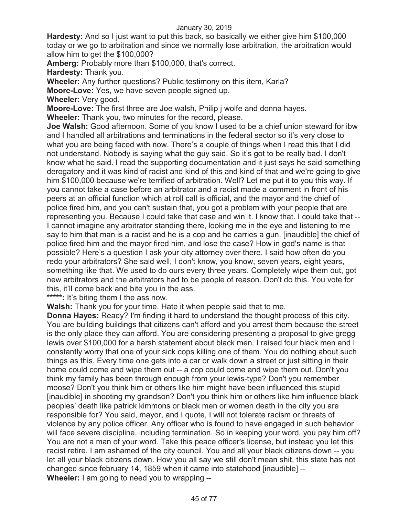**Hardesty:** And so I just want to put this back, so basically we either give him \$100,000 today or we go to arbitration and since we normally lose arbitration, the arbitration would allow him to get the \$100,000?

**Amberg:** Probably more than \$100,000, that's correct.

**Hardesty:** Thank you.

**Wheeler:** Any further questions? Public testimony on this item, Karla?

**Moore-Love:** Yes, we have seven people signed up.

**Wheeler:** Very good.

**Moore-Love:** The first three are Joe walsh, Philip j wolfe and donna hayes.

**Wheeler:** Thank you, two minutes for the record, please.

**Joe Walsh:** Good afternoon. Some of you know I used to be a chief union steward for ibw and I handled all arbitrations and terminations in the federal sector so it's very close to what you are being faced with now. There's a couple of things when I read this that I did not understand. Nobody is saying what the guy said. So it's got to be really bad. I don't know what he said. I read the supporting documentation and it just says he said something derogatory and it was kind of racist and kind of this and kind of that and we're going to give him \$100,000 because we're terrified of arbitration. Well? Let me put it to you this way. If you cannot take a case before an arbitrator and a racist made a comment in front of his peers at an official function which at roll call is official, and the mayor and the chief of police fired him, and you can't sustain that, you got a problem with your people that are representing you. Because I could take that case and win it. I know that. I could take that -- I cannot imagine any arbitrator standing there, looking me in the eye and listening to me say to him that man is a racist and he is a cop and he carries a gun. [inaudible] the chief of police fired him and the mayor fired him, and lose the case? How in god's name is that possible? Here's a question I ask your city attorney over there. I said how often do you redo your arbitrators? She said well, I don't know, you know, seven years, eight years, something like that. We used to do ours every three years. Completely wipe them out, got new arbitrators and the arbitrators had to be people of reason. Don't do this. You vote for this, it'll come back and bite you in the ass.

**\*\*\*\*\*:** It's biting them I the ass now.

**Walsh:** Thank you for your time. Hate it when people said that to me.

**Donna Hayes:** Ready? I'm finding it hard to understand the thought process of this city. You are building buildings that citizens can't afford and you arrest them because the street is the only place they can afford. You are considering presenting a proposal to give gregg lewis over \$100,000 for a harsh statement about black men. I raised four black men and I constantly worry that one of your sick cops killing one of them. You do nothing about such things as this. Every time one gets into a car or walk down a street or just sitting in their home could come and wipe them out -- a cop could come and wipe them out. Don't you think my family has been through enough from your lewis-type? Don't you remember moose? Don't you think him or others like him might have been influenced this stupid [inaudible] in shooting my grandson? Don't you think him or others like him influence black peoples' death like patrick kimmons or black men or women death in the city you are responsible for? You said, mayor, and I quote, I will not tolerate racism or threats of violence by any police officer. Any officer who is found to have engaged in such behavior will face severe discipline, including termination. So in keeping your word, you pay him off? You are not a man of your word. Take this peace officer's license, but instead you let this racist retire. I am ashamed of the city council. You and all your black citizens down -- you let all your black citizens down. How you all say we still don't mean shit, this state has not changed since february 14, 1859 when it came into statehood [inaudible] -- **Wheeler:** I am going to need you to wrapping --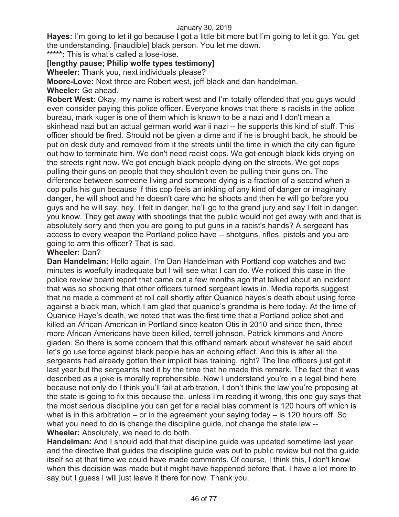**Hayes:** I'm going to let it go because I got a little bit more but I'm going to let it go. You get the understanding. [inaudible] black person. You let me down.

**\*\*\*\*\*:** This is what's called a lose-lose.

# **[lengthy pause; Philip wolfe types testimony]**

**Wheeler:** Thank you, next individuals please?

**Moore-Love:** Next three are Robert west, jeff black and dan handelman.

**Wheeler:** Go ahead.

**Robert West:** Okay, my name is robert west and I'm totally offended that you guys would even consider paying this police officer. Everyone knows that there is racists in the police bureau, mark kuger is one of them which is known to be a nazi and I don't mean a skinhead nazi but an actual german world war ii nazi -- he supports this kind of stuff. This officer should be fired. Should not be given a dime and if he is brought back, he should be put on desk duty and removed from it the streets until the time in which the city can figure out how to terminate him. We don't need racist cops. We got enough black kids drying on the streets right now. We got enough black people dying on the streets. We got cops pulling their guns on people that they shouldn't even be pulling their guns on. The difference between someone living and someone dying is a fraction of a second when a cop pulls his gun because if this cop feels an inkling of any kind of danger or imaginary danger, he will shoot and he doesn't care who he shoots and then he will go before you guys and he will say, hey, I felt in danger, he'll go to the grand jury and say I felt in danger, you know. They get away with shootings that the public would not get away with and that is absolutely sorry and then you are going to put guns in a racist's hands? A sergeant has access to every weapon the Portland police have -- shotguns, rifles, pistols and you are going to arm this officer? That is sad.

# **Wheeler:** Dan?

**Dan Handelman:** Hello again, I'm Dan Handelman with Portland cop watches and two minutes is woefully inadequate but I will see what I can do. We noticed this case in the police review board report that came out a few months ago that talked about an incident that was so shocking that other officers turned sergeant lewis in. Media reports suggest that he made a comment at roll call shortly after Quanice hayes's death about using force against a black man, which I am glad that quanice's grandma is here today. At the time of Quanice Haye's death, we noted that was the first time that a Portland police shot and killed an African-American in Portland since keaton Otis in 2010 and since then, three more African-Americans have been killed, terrell johnson, Patrick kimmons and Andre gladen. So there is some concern that this offhand remark about whatever he said about let's go use force against black people has an echoing effect. And this is after all the sergeants had already gotten their implicit bias training, right? The line officers just got it last year but the sergeants had it by the time that he made this remark. The fact that it was described as a joke is morally reprehensible. Now I understand you're in a legal bind here because not only do I think you'll fail at arbitration, I don't think the law you're proposing at the state is going to fix this because the, unless I'm reading it wrong, this one guy says that the most serious discipline you can get for a racial bias comment is 120 hours off which is what is in this arbitration – or in the agreement your saying today – is 120 hours off. So what you need to do is change the discipline guide, not change the state law -- **Wheeler:** Absolutely, we need to do both.

**Handelman:** And I should add that that discipline guide was updated sometime last year and the directive that guides the discipline guide was out to public review but not the guide itself so at that time we could have made comments. Of course, I think this, I don't know when this decision was made but it might have happened before that. I have a lot more to say but I guess I will just leave it there for now. Thank you.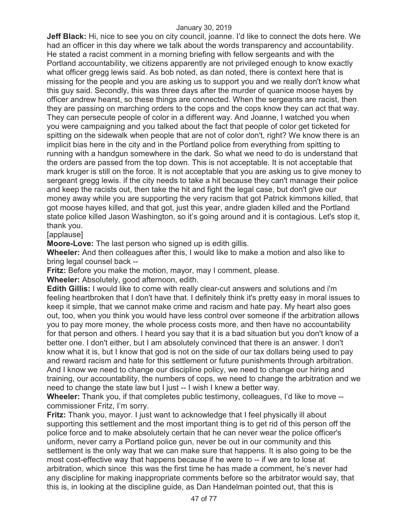**Jeff Black:** Hi, nice to see you on city council, joanne. I'd like to connect the dots here. We had an officer in this day where we talk about the words transparency and accountability. He stated a racist comment in a morning briefing with fellow sergeants and with the Portland accountability, we citizens apparently are not privileged enough to know exactly what officer gregg lewis said. As bob noted, as dan noted, there is context here that is missing for the people and you are asking us to support you and we really don't know what this guy said. Secondly, this was three days after the murder of quanice moose hayes by officer andrew hearst, so these things are connected. When the sergeants are racist, then they are passing on marching orders to the cops and the cops know they can act that way. They can persecute people of color in a different way. And Joanne, I watched you when you were campaigning and you talked about the fact that people of color get ticketed for spitting on the sidewalk when people that are not of color don't, right? We know there is an implicit bias here in the city and in the Portland police from everything from spitting to running with a handgun somewhere in the dark. So what we need to do is understand that the orders are passed from the top down. This is not acceptable. It is not acceptable that mark kruger is still on the force. It is not acceptable that you are asking us to give money to sergeant gregg lewis. if the city needs to take a hit because they can't manage their police and keep the racists out, then take the hit and fight the legal case, but don't give our money away while you are supporting the very racism that got Patrick kimmons killed, that got moose hayes killed, and that got, just this year, andre gladen killed and the Portland state police killed Jason Washington, so it's going around and it is contagious. Let's stop it, thank you.

[applause]

**Moore-Love:** The last person who signed up is edith gillis.

**Wheeler:** And then colleagues after this, I would like to make a motion and also like to bring legal counsel back --

**Fritz:** Before you make the motion, mayor, may I comment, please.

**Wheeler:** Absolutely, good afternoon, edith.

**Edith Gillis:** I would like to come with really clear-cut answers and solutions and i'm feeling heartbroken that I don't have that. I definitely think it's pretty easy in moral issues to keep it simple, that we cannot make crime and racism and hate pay. My heart also goes out, too, when you think you would have less control over someone if the arbitration allows you to pay more money, the whole process costs more, and then have no accountability for that person and others. I heard you say that it is a bad situation but you don't know of a better one. I don't either, but I am absolutely convinced that there is an answer. I don't know what it is, but I know that god is not on the side of our tax dollars being used to pay and reward racism and hate for this settlement or future punishments through arbitration. And I know we need to change our discipline policy, we need to change our hiring and training, our accountability, the numbers of cops, we need to change the arbitration and we need to change the state law but I just -- I wish I knew a better way.

**Wheeler:** Thank you, if that completes public testimony, colleagues, I'd like to move - commissioner Fritz, I'm sorry.

**Fritz:** Thank you, mayor. I just want to acknowledge that I feel physically ill about supporting this settlement and the most important thing is to get rid of this person off the police force and to make absolutely certain that he can never wear the police officer's uniform, never carry a Portland police gun, never be out in our community and this settlement is the only way that we can make sure that happens. It is also going to be the most cost-effective way that happens because if he were to -- if we are to lose at arbitration, which since this was the first time he has made a comment, he's never had any discipline for making inappropriate comments before so the arbitrator would say, that this is, in looking at the discipline guide, as Dan Handelman pointed out, that this is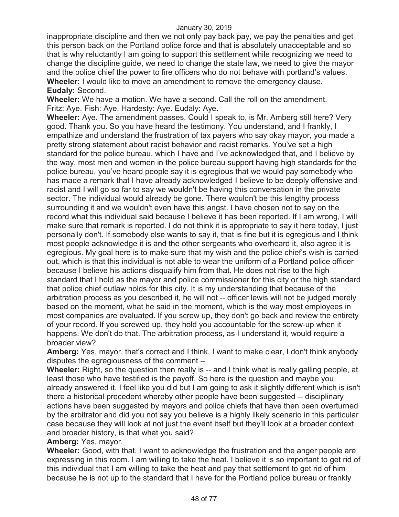inappropriate discipline and then we not only pay back pay, we pay the penalties and get this person back on the Portland police force and that is absolutely unacceptable and so that is why reluctantly I am going to support this settlement while recognizing we need to change the discipline guide, we need to change the state law, we need to give the mayor and the police chief the power to fire officers who do not behave with portland's values. **Wheeler:** I would like to move an amendment to remove the emergency clause. **Eudaly:** Second.

**Wheeler:** We have a motion. We have a second. Call the roll on the amendment. Fritz: Aye. Fish: Aye. Hardesty: Aye. Eudaly: Aye.

**Wheeler:** Aye. The amendment passes. Could I speak to, is Mr. Amberg still here? Very good. Thank you. So you have heard the testimony. You understand, and I frankly, I empathize and understand the frustration of tax payers who say okay mayor, you made a pretty strong statement about racist behavior and racist remarks. You've set a high standard for the police bureau, which I have and I've acknowledged that, and I believe by the way, most men and women in the police bureau support having high standards for the police bureau, you've heard people say it is egregious that we would pay somebody who has made a remark that I have already acknowledged I believe to be deeply offensive and racist and I will go so far to say we wouldn't be having this conversation in the private sector. The individual would already be gone. There wouldn't be this lengthy process surrounding it and we wouldn't even have this angst. I have chosen not to say on the record what this individual said because I believe it has been reported. If I am wrong, I will make sure that remark is reported. I do not think it is appropriate to say it here today, I just personally don't. If somebody else wants to say it, that is fine but it is egregious and I think most people acknowledge it is and the other sergeants who overheard it, also agree it is egregious. My goal here is to make sure that my wish and the police chief's wish is carried out, which is that this individual is not able to wear the uniform of a Portland police officer because I believe his actions disqualify him from that. He does not rise to the high standard that I hold as the mayor and police commissioner for this city or the high standard that police chief outlaw holds for this city. It is my understanding that because of the arbitration process as you described it, he will not -- officer lewis will not be judged merely based on the moment, what he said in the moment, which is the way most employees in most companies are evaluated. If you screw up, they don't go back and review the entirety of your record. If you screwed up, they hold you accountable for the screw-up when it happens. We don't do that. The arbitration process, as I understand it, would require a broader view?

**Amberg:** Yes, mayor, that's correct and I think, I want to make clear, I don't think anybody disputes the egregiousness of the comment --

**Wheeler:** Right, so the question then really is -- and I think what is really galling people, at least those who have testified is the payoff. So here is the question and maybe you already answered it. I feel like you did but I am going to ask it slightly different which is isn't there a historical precedent whereby other people have been suggested -- disciplinary actions have been suggested by mayors and police chiefs that have then been overturned by the arbitrator and did you not say you believe is a highly likely scenario in this particular case because they will look at not just the event itself but they'll look at a broader context and broader history, is that what you said?

**Amberg:** Yes, mayor.

**Wheeler:** Good, with that, I want to acknowledge the frustration and the anger people are expressing in this room. I am willing to take the heat. I believe it is so important to get rid of this individual that I am willing to take the heat and pay that settlement to get rid of him because he is not up to the standard that I have for the Portland police bureau or frankly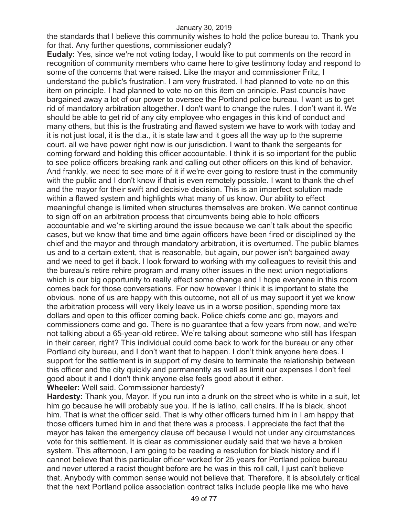the standards that I believe this community wishes to hold the police bureau to. Thank you for that. Any further questions, commissioner eudaly?

**Eudaly:** Yes, since we're not voting today, I would like to put comments on the record in recognition of community members who came here to give testimony today and respond to some of the concerns that were raised. Like the mayor and commissioner Fritz, I understand the public's frustration. I am very frustrated. I had planned to vote no on this item on principle. I had planned to vote no on this item on principle. Past councils have bargained away a lot of our power to oversee the Portland police bureau. I want us to get rid of mandatory arbitration altogether. I don't want to change the rules. I don't want it. We should be able to get rid of any city employee who engages in this kind of conduct and many others, but this is the frustrating and flawed system we have to work with today and it is not just local, it is the d.a., it is state law and it goes all the way up to the supreme court. all we have power right now is our jurisdiction. I want to thank the sergeants for coming forward and holding this officer accountable. I think it is so important for the public to see police officers breaking rank and calling out other officers on this kind of behavior. And frankly, we need to see more of it if we're ever going to restore trust in the community with the public and I don't know if that is even remotely possible. I want to thank the chief and the mayor for their swift and decisive decision. This is an imperfect solution made within a flawed system and highlights what many of us know. Our ability to effect meaningful change is limited when structures themselves are broken. We cannot continue to sign off on an arbitration process that circumvents being able to hold officers accountable and we're skirting around the issue because we can't talk about the specific cases, but we know that time and time again officers have been fired or disciplined by the chief and the mayor and through mandatory arbitration, it is overturned. The public blames us and to a certain extent, that is reasonable, but again, our power isn't bargained away and we need to get it back. I look forward to working with my colleagues to revisit this and the bureau's retire rehire program and many other issues in the next union negotiations which is our big opportunity to really effect some change and I hope everyone in this room comes back for those conversations. For now however I think it is important to state the obvious. none of us are happy with this outcome, not all of us may support it yet we know the arbitration process will very likely leave us in a worse position, spending more tax dollars and open to this officer coming back. Police chiefs come and go, mayors and commissioners come and go. There is no guarantee that a few years from now, and we're not talking about a 65-year-old retiree. We're talking about someone who still has lifespan in their career, right? This individual could come back to work for the bureau or any other Portland city bureau, and I don't want that to happen. I don't think anyone here does. I support for the settlement is in support of my desire to terminate the relationship between this officer and the city quickly and permanently as well as limit our expenses I don't feel good about it and I don't think anyone else feels good about it either.

**Wheeler:** Well said. Commissioner hardesty?

**Hardesty:** Thank you, Mayor. If you run into a drunk on the street who is white in a suit, let him go because he will probably sue you. If he is latino, call chairs. If he is black, shoot him. That is what the officer said. That is why other officers turned him in I am happy that those officers turned him in and that there was a process. I appreciate the fact that the mayor has taken the emergency clause off because I would not under any circumstances vote for this settlement. It is clear as commissioner eudaly said that we have a broken system. This afternoon, I am going to be reading a resolution for black history and if I cannot believe that this particular officer worked for 25 years for Portland police bureau and never uttered a racist thought before are he was in this roll call, I just can't believe that. Anybody with common sense would not believe that. Therefore, it is absolutely critical that the next Portland police association contract talks include people like me who have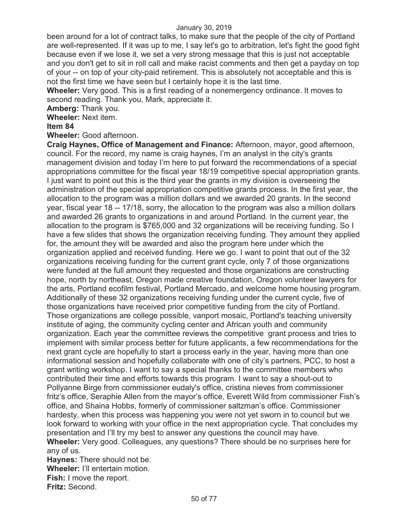been around for a lot of contract talks, to make sure that the people of the city of Portland are well-represented. If it was up to me, I say let's go to arbitration, let's fight the good fight because even if we lose it, we set a very strong message that this is just not acceptable and you don't get to sit in roll call and make racist comments and then get a payday on top of your -- on top of your city-paid retirement. This is absolutely not acceptable and this is not the first time we have seen but I certainly hope it is the last time.

**Wheeler:** Very good. This is a first reading of a nonemergency ordinance. It moves to second reading. Thank you, Mark, appreciate it.

**Amberg:** Thank you.

**Wheeler:** Next item.

## **Item 84**

**Wheeler:** Good afternoon.

**Craig Haynes, Office of Management and Finance:** Afternoon, mayor, good afternoon, council. For the record, my name is craig haynes, I'm an analyst in the city's grants management division and today I'm here to put forward the recommendations of a special appropriations committee for the fiscal year 18/19 competitive special appropriation grants. I just want to point out this is the third year the grants in my division is overseeing the administration of the special appropriation competitive grants process. In the first year, the allocation to the program was a million dollars and we awarded 20 grants. In the second year, fiscal year 18 -- 17/18, sorry, the allocation to the program was also a million dollars and awarded 26 grants to organizations in and around Portland. In the current year, the allocation to the program is \$765,000 and 32 organizations will be receiving funding. So I have a few slides that shows the organization receiving funding. They amount they applied for, the amount they will be awarded and also the program here under which the organization applied and received funding. Here we go. I want to point that out of the 32 organizations receiving funding for the current grant cycle, only 7 of those organizations were funded at the full amount they requested and those organizations are constructing hope, north by northeast, Oregon made creative foundation, Oregon volunteer lawyers for the arts, Portland ecofilm festival, Portland Mercado, and welcome home housing program. Additionally of these 32 organizations receiving funding under the current cycle, five of those organizations have received prior competitive funding from the city of Portland. Those organizations are college possible, vanport mosaic, Portland's teaching university institute of aging, the community cycling center and African youth and community organization. Each year the committee reviews the competitive grant process and tries to implement with similar process better for future applicants, a few recommendations for the next grant cycle are hopefully to start a process early in the year, having more than one informational session and hopefully collaborate with one of city's partners, PCC, to host a grant writing workshop. I want to say a special thanks to the committee members who contributed their time and efforts towards this program. I want to say a shout-out to Pollyanne Birge from commissioner eudaly's office, cristina nieves from commissioner fritz's office, Seraphie Allen from the mayor's office, Everett Wild from commissioner Fish's office, and Shaina Hobbs, formerly of commissioner saltzman's office. Commissioner hardesty, when this process was happening you were not yet sworn in to council but we look forward to working with your office in the next appropriation cycle. That concludes my presentation and I'll try my best to answer any questions the council may have. **Wheeler:** Very good. Colleagues, any questions? There should be no surprises here for any of us.

**Haynes:** There should not be. **Wheeler:** I'll entertain motion. **Fish:** I move the report. **Fritz:** Second.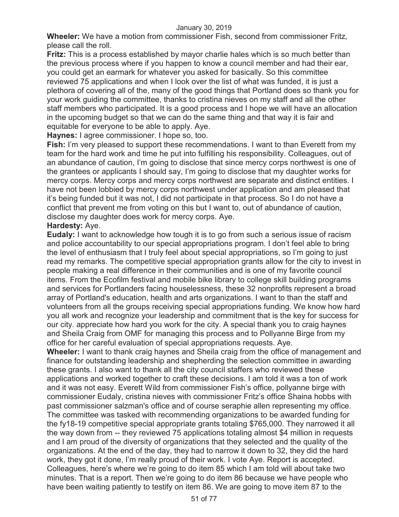**Wheeler:** We have a motion from commissioner Fish, second from commissioner Fritz, please call the roll.

**Fritz:** This is a process established by mayor charlie hales which is so much better than the previous process where if you happen to know a council member and had their ear, you could get an earmark for whatever you asked for basically. So this committee reviewed 75 applications and when I look over the list of what was funded, it is just a plethora of covering all of the, many of the good things that Portland does so thank you for your work guiding the committee, thanks to cristina nieves on my staff and all the other staff members who participated. It is a good process and I hope we will have an allocation in the upcoming budget so that we can do the same thing and that way it is fair and equitable for everyone to be able to apply. Aye.

**Haynes:** I agree commissioner. I hope so, too.

**Fish:** I'm very pleased to support these recommendations. I want to than Everett from my team for the hard work and time he put into fulfilling his responsibility. Colleagues, out of an abundance of caution, I'm going to disclose that since mercy corps northwest is one of the grantees or applicants I should say, I'm going to disclose that my daughter works for mercy corps. Mercy corps and mercy corps northwest are separate and distinct entities. I have not been lobbied by mercy corps northwest under application and am pleased that it's being funded but it was not, I did not participate in that process. So I do not have a conflict that prevent me from voting on this but I want to, out of abundance of caution, disclose my daughter does work for mercy corps. Aye.

## **Hardesty:** Aye.

**Eudaly:** I want to acknowledge how tough it is to go from such a serious issue of racism and police accountability to our special appropriations program. I don't feel able to bring the level of enthusiasm that I truly feel about special appropriations, so I'm going to just read my remarks. The competitive special appropriation grants allow for the city to invest in people making a real difference in their communities and is one of my favorite council items. From the Ecofilm festival and mobile bike library to college skill building programs and services for Portlanders facing houselessness, these 32 nonprofits represent a broad array of Portland's education, health and arts organizations. I want to than the staff and volunteers from all the groups receiving special appropriations funding. We know how hard you all work and recognize your leadership and commitment that is the key for success for our city. appreciate how hard you work for the city. A special thank you to craig haynes and Sheila Craig from OMF for managing this process and to Pollyanne Birge from my office for her careful evaluation of special appropriations requests. Aye.

**Wheeler:** I want to thank craig haynes and Sheila craig from the office of management and finance for outstanding leadership and shepherding the selection committee in awarding these grants. I also want to thank all the city council staffers who reviewed these applications and worked together to craft these decisions. I am told it was a ton of work and it was not easy. Everett Wild from commissioner Fish's office, pollyanne birge with commissioner Eudaly, cristina nieves with commissioner Fritz's office Shaina hobbs with past commissioner salzman's office and of course seraphie allen representing my office. The committee was tasked with recommending organizations to be awarded funding for the fy18-19 competitive special appropriate grants totaling \$765,000. They narrowed it all the way down from -- they reviewed 75 applications totaling almost \$4 million in requests and I am proud of the diversity of organizations that they selected and the quality of the organizations. At the end of the day, they had to narrow it down to 32, they did the hard work, they got it done, I'm really proud of their work. I vote Aye. Report is accepted. Colleagues, here's where we're going to do item 85 which I am told will about take two minutes. That is a report. Then we're going to do item 86 because we have people who have been waiting patiently to testify on item 86. We are going to move item 87 to the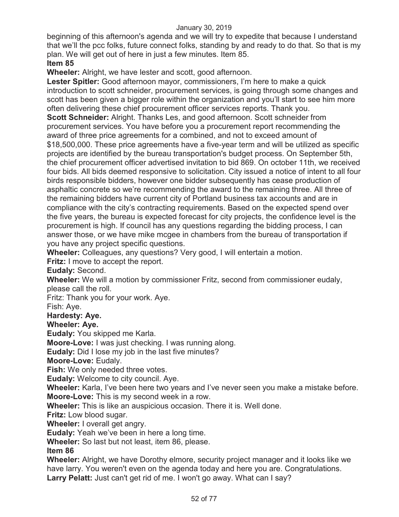beginning of this afternoon's agenda and we will try to expedite that because I understand that we'll the pcc folks, future connect folks, standing by and ready to do that. So that is my plan. We will get out of here in just a few minutes. Item 85.

# **Item 85**

**Wheeler:** Alright, we have lester and scott, good afternoon.

**Lester Spitler:** Good afternoon mayor, commissioners, I'm here to make a quick introduction to scott schneider, procurement services, is going through some changes and scott has been given a bigger role within the organization and you'll start to see him more often delivering these chief procurement officer services reports. Thank you.

**Scott Schneider:** Alright. Thanks Les, and good afternoon. Scott schneider from procurement services. You have before you a procurement report recommending the award of three price agreements for a combined, and not to exceed amount of \$18,500,000. These price agreements have a five-year term and will be utilized as specific projects are identified by the bureau transportation's budget process. On September 5th, the chief procurement officer advertised invitation to bid 869. On october 11th, we received four bids. All bids deemed responsive to solicitation. City issued a notice of intent to all four birds responsible bidders, however one bidder subsequently has cease production of asphaltic concrete so we're recommending the award to the remaining three. All three of the remaining bidders have current city of Portland business tax accounts and are in compliance with the city's contracting requirements. Based on the expected spend over the five years, the bureau is expected forecast for city projects, the confidence level is the procurement is high. If council has any questions regarding the bidding process, I can answer those, or we have mike mcgee in chambers from the bureau of transportation if you have any project specific questions.

**Wheeler:** Colleagues, any questions? Very good, I will entertain a motion.

**Fritz:** I move to accept the report.

**Eudaly:** Second.

**Wheeler:** We will a motion by commissioner Fritz, second from commissioner eudaly, please call the roll.

Fritz: Thank you for your work. Aye.

Fish: Aye.

# **Hardesty: Aye.**

**Wheeler: Aye.** 

**Eudaly:** You skipped me Karla.

**Moore-Love:** I was just checking. I was running along.

**Eudaly:** Did I lose my job in the last five minutes?

**Moore-Love:** Eudaly.

**Fish:** We only needed three votes.

**Eudaly:** Welcome to city council. Aye.

**Wheeler:** Karla, I've been here two years and I've never seen you make a mistake before.

**Moore-Love:** This is my second week in a row.

**Wheeler:** This is like an auspicious occasion. There it is. Well done.

**Fritz:** Low blood sugar.

**Wheeler:** I overall get angry.

**Eudaly:** Yeah we've been in here a long time.

**Wheeler:** So last but not least, item 86, please.

**Item 86** 

**Wheeler:** Alright, we have Dorothy elmore, security project manager and it looks like we have larry. You weren't even on the agenda today and here you are. Congratulations. **Larry Pelatt:** Just can't get rid of me. I won't go away. What can I say?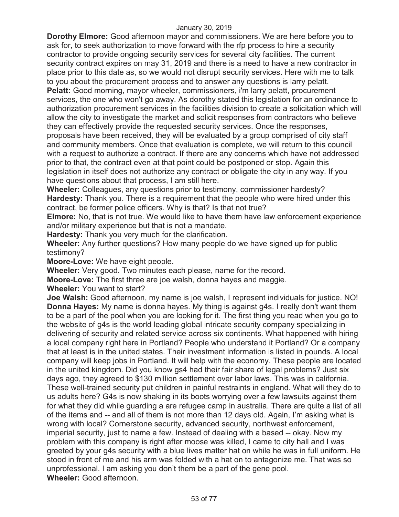**Dorothy Elmore:** Good afternoon mayor and commissioners. We are here before you to ask for, to seek authorization to move forward with the rfp process to hire a security contractor to provide ongoing security services for several city facilities. The current security contract expires on may 31, 2019 and there is a need to have a new contractor in place prior to this date as, so we would not disrupt security services. Here with me to talk to you about the procurement process and to answer any questions is larry pelatt. **Pelatt:** Good morning, mayor wheeler, commissioners, i'm larry pelatt, procurement services, the one who won't go away. As dorothy stated this legislation for an ordinance to authorization procurement services in the facilities division to create a solicitation which will allow the city to investigate the market and solicit responses from contractors who believe they can effectively provide the requested security services. Once the responses,

proposals have been received, they will be evaluated by a group comprised of city staff and community members. Once that evaluation is complete, we will return to this council with a request to authorize a contract. If there are any concerns which have not addressed prior to that, the contract even at that point could be postponed or stop. Again this legislation in itself does not authorize any contract or obligate the city in any way. If you have questions about that process, I am still here.

**Wheeler:** Colleagues, any questions prior to testimony, commissioner hardesty? **Hardesty:** Thank you. There is a requirement that the people who were hired under this contract, be former police officers. Why is that? Is that not true?

**Elmore:** No, that is not true. We would like to have them have law enforcement experience and/or military experience but that is not a mandate.

**Hardesty:** Thank you very much for the clarification.

**Wheeler:** Any further questions? How many people do we have signed up for public testimony?

**Moore-Love:** We have eight people.

**Wheeler:** Very good. Two minutes each please, name for the record.

**Moore-Love:** The first three are joe walsh, donna hayes and maggie.

**Wheeler:** You want to start?

**Joe Walsh:** Good afternoon, my name is joe walsh, I represent individuals for justice. NO! **Donna Hayes:** My name is donna hayes. My thing is against g4s. I really don't want them to be a part of the pool when you are looking for it. The first thing you read when you go to the website of g4s is the world leading global intricate security company specializing in delivering of security and related service across six continents. What happened with hiring a local company right here in Portland? People who understand it Portland? Or a company that at least is in the united states. Their investment information is listed in pounds. A local company will keep jobs in Portland. It will help with the economy. These people are located in the united kingdom. Did you know gs4 had their fair share of legal problems? Just six days ago, they agreed to \$130 million settlement over labor laws. This was in california. These well-trained security put children in painful restraints in england. What will they do to us adults here? G4s is now shaking in its boots worrying over a few lawsuits against them for what they did while guarding a are refugee camp in australia. There are quite a list of all of the items and -- and all of them is not more than 12 days old. Again, I'm asking what is wrong with local? Cornerstone security, advanced security, northwest enforcement, imperial security, just to name a few. Instead of dealing with a based -- okay. Now my problem with this company is right after moose was killed, I came to city hall and I was greeted by your g4s security with a blue lives matter hat on while he was in full uniform. He stood in front of me and his arm was folded with a hat on to antagonize me. That was so unprofessional. I am asking you don't them be a part of the gene pool. **Wheeler:** Good afternoon.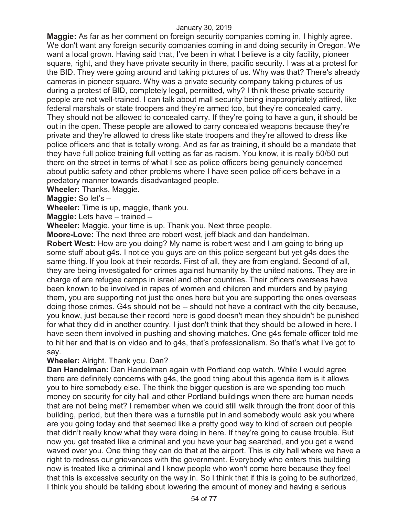**Maggie:** As far as her comment on foreign security companies coming in, I highly agree. We don't want any foreign security companies coming in and doing security in Oregon. We want a local grown. Having said that, I've been in what I believe is a city facility, pioneer square, right, and they have private security in there, pacific security. I was at a protest for the BID. They were going around and taking pictures of us. Why was that? There's already cameras in pioneer square. Why was a private security company taking pictures of us during a protest of BID, completely legal, permitted, why? I think these private security people are not well-trained. I can talk about mall security being inappropriately attired, like federal marshals or state troopers and they're armed too, but they're concealed carry. They should not be allowed to concealed carry. If they're going to have a gun, it should be out in the open. These people are allowed to carry concealed weapons because they're private and they're allowed to dress like state troopers and they're allowed to dress like police officers and that is totally wrong. And as far as training, it should be a mandate that they have full police training full vetting as far as racism. You know, it is really 50/50 out there on the street in terms of what I see as police officers being genuinely concerned about public safety and other problems where I have seen police officers behave in a predatory manner towards disadvantaged people.

**Wheeler:** Thanks, Maggie.

**Maggie:** So let's –

**Wheeler:** Time is up, maggie, thank you.

**Maggie:** Lets have – trained --

**Wheeler:** Maggie, your time is up. Thank you. Next three people.

**Moore-Love:** The next three are robert west, jeff black and dan handelman.

**Robert West:** How are you doing? My name is robert west and I am going to bring up some stuff about g4s. I notice you guys are on this police sergeant but yet g4s does the same thing. If you look at their records. First of all, they are from england. Second of all, they are being investigated for crimes against humanity by the united nations. They are in charge of are refugee camps in israel and other countries. Their officers overseas have been known to be involved in rapes of women and children and murders and by paying them, you are supporting not just the ones here but you are supporting the ones overseas doing those crimes. G4s should not be -- should not have a contract with the city because, you know, just because their record here is good doesn't mean they shouldn't be punished for what they did in another country. I just don't think that they should be allowed in here. I have seen them involved in pushing and shoving matches. One g4s female officer told me to hit her and that is on video and to g4s, that's professionalism. So that's what I've got to say.

# **Wheeler:** Alright. Thank you. Dan?

**Dan Handelman:** Dan Handelman again with Portland cop watch. While I would agree there are definitely concerns with g4s, the good thing about this agenda item is it allows you to hire somebody else. The think the bigger question is are we spending too much money on security for city hall and other Portland buildings when there are human needs that are not being met? I remember when we could still walk through the front door of this building, period, but then there was a turnstile put in and somebody would ask you where are you going today and that seemed like a pretty good way to kind of screen out people that didn't really know what they were doing in here. If they're going to cause trouble. But now you get treated like a criminal and you have your bag searched, and you get a wand waved over you. One thing they can do that at the airport. This is city hall where we have a right to redress our grievances with the government. Everybody who enters this building now is treated like a criminal and I know people who won't come here because they feel that this is excessive security on the way in. So I think that if this is going to be authorized, I think you should be talking about lowering the amount of money and having a serious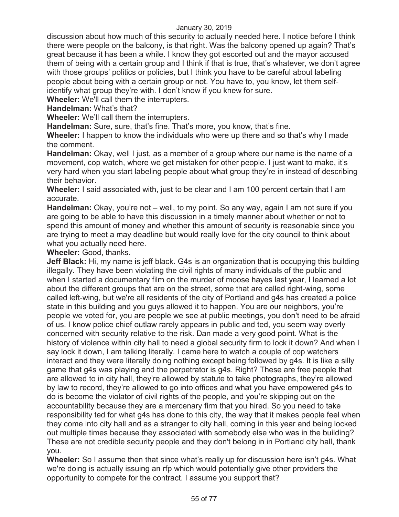discussion about how much of this security to actually needed here. I notice before I think there were people on the balcony, is that right. Was the balcony opened up again? That's great because it has been a while. I know they got escorted out and the mayor accused them of being with a certain group and I think if that is true, that's whatever, we don't agree with those groups' politics or policies, but I think you have to be careful about labeling people about being with a certain group or not. You have to, you know, let them selfidentify what group they're with. I don't know if you knew for sure.

**Wheeler:** We'll call them the interrupters.

**Handelman:** What's that?

**Wheeler:** We'll call them the interrupters.

**Handelman:** Sure, sure, that's fine. That's more, you know, that's fine.

**Wheeler:** I happen to know the individuals who were up there and so that's why I made the comment.

**Handelman:** Okay, well I just, as a member of a group where our name is the name of a movement, cop watch, where we get mistaken for other people. I just want to make, it's very hard when you start labeling people about what group they're in instead of describing their behavior.

**Wheeler:** I said associated with, just to be clear and I am 100 percent certain that I am accurate.

**Handelman:** Okay, you're not – well, to my point. So any way, again I am not sure if you are going to be able to have this discussion in a timely manner about whether or not to spend this amount of money and whether this amount of security is reasonable since you are trying to meet a may deadline but would really love for the city council to think about what you actually need here.

**Wheeler:** Good, thanks.

**Jeff Black:** Hi, my name is jeff black. G4s is an organization that is occupying this building illegally. They have been violating the civil rights of many individuals of the public and when I started a documentary film on the murder of moose hayes last year, I learned a lot about the different groups that are on the street, some that are called right-wing, some called left-wing, but we're all residents of the city of Portland and g4s has created a police state in this building and you guys allowed it to happen. You are our neighbors, you're people we voted for, you are people we see at public meetings, you don't need to be afraid of us. I know police chief outlaw rarely appears in public and ted, you seem way overly concerned with security relative to the risk. Dan made a very good point. What is the history of violence within city hall to need a global security firm to lock it down? And when I say lock it down, I am talking literally. I came here to watch a couple of cop watchers interact and they were literally doing nothing except being followed by g4s. It is like a silly game that g4s was playing and the perpetrator is g4s. Right? These are free people that are allowed to in city hall, they're allowed by statute to take photographs, they're allowed by law to record, they're allowed to go into offices and what you have empowered g4s to do is become the violator of civil rights of the people, and you're skipping out on the accountability because they are a mercenary firm that you hired. So you need to take responsibility ted for what g4s has done to this city, the way that it makes people feel when they come into city hall and as a stranger to city hall, coming in this year and being locked out multiple times because they associated with somebody else who was in the building? These are not credible security people and they don't belong in in Portland city hall, thank you.

**Wheeler:** So I assume then that since what's really up for discussion here isn't g4s. What we're doing is actually issuing an rfp which would potentially give other providers the opportunity to compete for the contract. I assume you support that?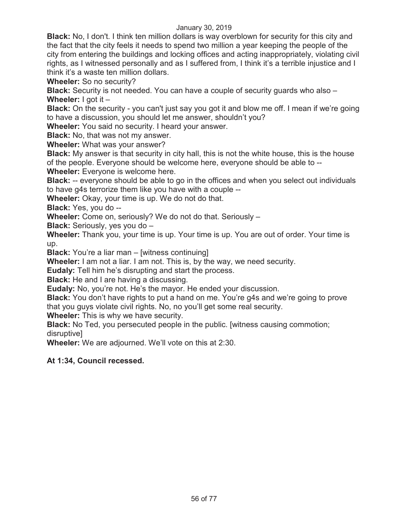**Black:** No, I don't. I think ten million dollars is way overblown for security for this city and the fact that the city feels it needs to spend two million a year keeping the people of the city from entering the buildings and locking offices and acting inappropriately, violating civil rights, as I witnessed personally and as I suffered from, I think it's a terrible injustice and I think it's a waste ten million dollars.

**Wheeler:** So no security?

**Black:** Security is not needed. You can have a couple of security guards who also – **Wheeler:** I got it –

**Black:** On the security - you can't just say you got it and blow me off. I mean if we're going to have a discussion, you should let me answer, shouldn't you?

**Wheeler:** You said no security. I heard your answer.

**Black:** No, that was not my answer.

**Wheeler:** What was your answer?

**Black:** My answer is that security in city hall, this is not the white house, this is the house of the people. Everyone should be welcome here, everyone should be able to --

**Wheeler:** Everyone is welcome here.

**Black:** -- everyone should be able to go in the offices and when you select out individuals to have g4s terrorize them like you have with a couple --

**Wheeler:** Okay, your time is up. We do not do that.

**Black:** Yes, you do --

**Wheeler:** Come on, seriously? We do not do that. Seriously –

**Black:** Seriously, yes you do –

**Wheeler:** Thank you, your time is up. Your time is up. You are out of order. Your time is up.

**Black:** You're a liar man – [witness continuing]

**Wheeler:** I am not a liar. I am not. This is, by the way, we need security.

**Eudaly:** Tell him he's disrupting and start the process.

**Black:** He and I are having a discussing.

**Eudaly:** No, you're not. He's the mayor. He ended your discussion.

**Black:** You don't have rights to put a hand on me. You're g4s and we're going to prove that you guys violate civil rights. No, no you'll get some real security.

**Wheeler:** This is why we have security.

**Black:** No Ted, you persecuted people in the public. [witness causing commotion; disruptive]

**Wheeler:** We are adjourned. We'll vote on this at 2:30.

# **At 1:34, Council recessed.**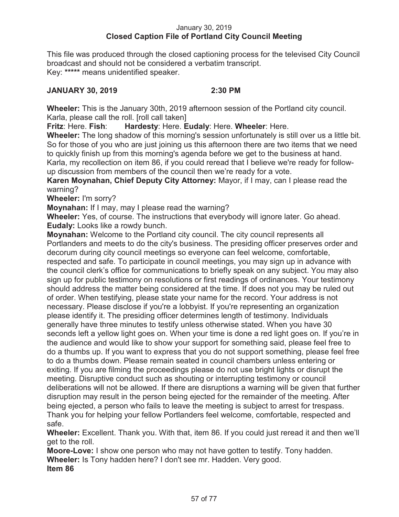# January 30, 2019 **Closed Caption File of Portland City Council Meeting**

This file was produced through the closed captioning process for the televised City Council broadcast and should not be considered a verbatim transcript. Key: **\*\*\*\*\*** means unidentified speaker.

# **JANUARY 30, 2019 2:30 PM**

**Wheeler:** This is the January 30th, 2019 afternoon session of the Portland city council. Karla, please call the roll. [roll call taken]

**Fritz**: Here. **Fish**: **Hardesty**: Here. **Eudaly**: Here. **Wheeler**: Here.

**Wheeler:** The long shadow of this morning's session unfortunately is still over us a little bit. So for those of you who are just joining us this afternoon there are two items that we need to quickly finish up from this morning's agenda before we get to the business at hand. Karla, my recollection on item 86, if you could reread that I believe we're ready for followup discussion from members of the council then we're ready for a vote.

**Karen Moynahan, Chief Deputy City Attorney:** Mayor, if I may, can I please read the warning?

**Wheeler:** I'm sorry?

**Moynahan:** If I may, may I please read the warning?

**Wheeler:** Yes, of course. The instructions that everybody will ignore later. Go ahead. **Eudaly:** Looks like a rowdy bunch.

**Moynahan:** Welcome to the Portland city council. The city council represents all Portlanders and meets to do the city's business. The presiding officer preserves order and decorum during city council meetings so everyone can feel welcome, comfortable, respected and safe. To participate in council meetings, you may sign up in advance with the council clerk's office for communications to briefly speak on any subject. You may also sign up for public testimony on resolutions or first readings of ordinances. Your testimony should address the matter being considered at the time. If does not you may be ruled out of order. When testifying, please state your name for the record. Your address is not necessary. Please disclose if you're a lobbyist. If you're representing an organization please identify it. The presiding officer determines length of testimony. Individuals generally have three minutes to testify unless otherwise stated. When you have 30 seconds left a yellow light goes on. When your time is done a red light goes on. If you're in the audience and would like to show your support for something said, please feel free to do a thumbs up. If you want to express that you do not support something, please feel free to do a thumbs down. Please remain seated in council chambers unless entering or exiting. If you are filming the proceedings please do not use bright lights or disrupt the meeting. Disruptive conduct such as shouting or interrupting testimony or council deliberations will not be allowed. If there are disruptions a warning will be given that further disruption may result in the person being ejected for the remainder of the meeting. After being ejected, a person who fails to leave the meeting is subject to arrest for trespass. Thank you for helping your fellow Portlanders feel welcome, comfortable, respected and safe.

**Wheeler:** Excellent. Thank you. With that, item 86. If you could just reread it and then we'll get to the roll.

**Moore-Love:** I show one person who may not have gotten to testify. Tony hadden. **Wheeler:** Is Tony hadden here? I don't see mr. Hadden. Very good. **Item 86**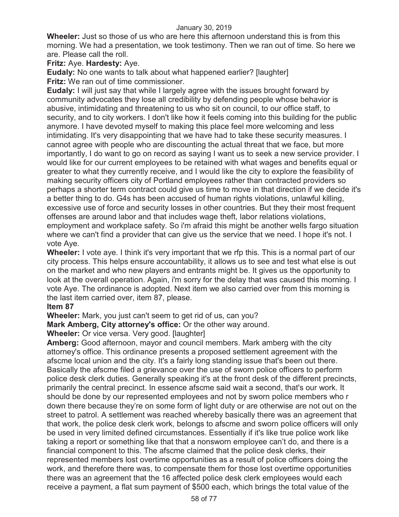**Wheeler:** Just so those of us who are here this afternoon understand this is from this morning. We had a presentation, we took testimony. Then we ran out of time. So here we are. Please call the roll.

# **Fritz:** Aye. **Hardesty:** Aye.

**Eudaly:** No one wants to talk about what happened earlier? [laughter] **Fritz:** We ran out of time commissioner.

**Eudaly:** I will just say that while I largely agree with the issues brought forward by community advocates they lose all credibility by defending people whose behavior is abusive, intimidating and threatening to us who sit on council, to our office staff, to security, and to city workers. I don't like how it feels coming into this building for the public anymore. I have devoted myself to making this place feel more welcoming and less intimidating. It's very disappointing that we have had to take these security measures. I cannot agree with people who are discounting the actual threat that we face, but more importantly, I do want to go on record as saying I want us to seek a new service provider. I would like for our current employees to be retained with what wages and benefits equal or greater to what they currently receive, and I would like the city to explore the feasibility of making security officers city of Portland employees rather than contracted providers so perhaps a shorter term contract could give us time to move in that direction if we decide it's a better thing to do. G4s has been accused of human rights violations, unlawful killing, excessive use of force and security losses in other countries. But they their most frequent offenses are around labor and that includes wage theft, labor relations violations, employment and workplace safety. So i'm afraid this might be another wells fargo situation where we can't find a provider that can give us the service that we need. I hope it's not. I vote Aye.

**Wheeler:** I vote aye. I think it's very important that we rfp this. This is a normal part of our city process. This helps ensure accountability, it allows us to see and test what else is out on the market and who new players and entrants might be. It gives us the opportunity to look at the overall operation. Again, i'm sorry for the delay that was caused this morning. I vote Aye. The ordinance is adopted. Next item we also carried over from this morning is the last item carried over, item 87, please.

# **Item 87**

**Wheeler:** Mark, you just can't seem to get rid of us, can you?

**Mark Amberg, City attorney's office:** Or the other way around.

# **Wheeler:** Or vice versa. Very good. [laughter]

**Amberg:** Good afternoon, mayor and council members. Mark amberg with the city attorney's office. This ordinance presents a proposed settlement agreement with the afscme local union and the city. It's a fairly long standing issue that's been out there. Basically the afscme filed a grievance over the use of sworn police officers to perform police desk clerk duties. Generally speaking it's at the front desk of the different precincts, primarily the central precinct. In essence afscme said wait a second, that's our work. It should be done by our represented employees and not by sworn police members who r down there because they're on some form of light duty or are otherwise are not out on the street to patrol. A settlement was reached whereby basically there was an agreement that that work, the police desk clerk work, belongs to afscme and sworn police officers will only be used in very limited defined circumstances. Essentially if it's like true police work like taking a report or something like that that a nonsworn employee can't do, and there is a financial component to this. The afscme claimed that the police desk clerks, their represented members lost overtime opportunities as a result of police officers doing the work, and therefore there was, to compensate them for those lost overtime opportunities there was an agreement that the 16 affected police desk clerk employees would each receive a payment, a flat sum payment of \$500 each, which brings the total value of the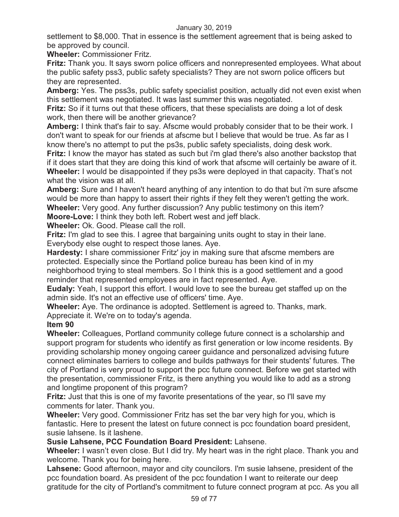settlement to \$8,000. That in essence is the settlement agreement that is being asked to be approved by council.

**Wheeler:** Commissioner Fritz.

**Fritz:** Thank you. It says sworn police officers and nonrepresented employees. What about the public safety pss3, public safety specialists? They are not sworn police officers but they are represented.

**Amberg:** Yes. The pss3s, public safety specialist position, actually did not even exist when this settlement was negotiated. It was last summer this was negotiated.

**Fritz:** So if it turns out that these officers, that these specialists are doing a lot of desk work, then there will be another grievance?

**Amberg:** I think that's fair to say. Afscme would probably consider that to be their work. I don't want to speak for our friends at afscme but I believe that would be true. As far as I know there's no attempt to put the ps3s, public safety specialists, doing desk work.

**Fritz:** I know the mayor has stated as such but i'm glad there's also another backstop that if it does start that they are doing this kind of work that afscme will certainly be aware of it. **Wheeler:** I would be disappointed if they ps3s were deployed in that capacity. That's not what the vision was at all.

**Amberg:** Sure and I haven't heard anything of any intention to do that but i'm sure afscme would be more than happy to assert their rights if they felt they weren't getting the work. **Wheeler:** Very good. Any further discussion? Any public testimony on this item?

**Moore-Love:** I think they both left. Robert west and jeff black.

**Wheeler:** Ok. Good. Please call the roll.

**Fritz:** I'm glad to see this. I agree that bargaining units ought to stay in their lane. Everybody else ought to respect those lanes. Aye.

**Hardesty:** I share commissioner Fritz' joy in making sure that afscme members are protected. Especially since the Portland police bureau has been kind of in my neighborhood trying to steal members. So I think this is a good settlement and a good reminder that represented employees are in fact represented. Aye.

**Eudaly:** Yeah, I support this effort. I would love to see the bureau get staffed up on the admin side. It's not an effective use of officers' time. Aye.

**Wheeler:** Aye. The ordinance is adopted. Settlement is agreed to. Thanks, mark. Appreciate it. We're on to today's agenda.

# **Item 90**

**Wheeler:** Colleagues, Portland community college future connect is a scholarship and support program for students who identify as first generation or low income residents. By providing scholarship money ongoing career guidance and personalized advising future connect eliminates barriers to college and builds pathways for their students' futures. The city of Portland is very proud to support the pcc future connect. Before we get started with the presentation, commissioner Fritz, is there anything you would like to add as a strong and longtime proponent of this program?

**Fritz:** Just that this is one of my favorite presentations of the year, so I'll save my comments for later. Thank you.

**Wheeler:** Very good. Commissioner Fritz has set the bar very high for you, which is fantastic. Here to present the latest on future connect is pcc foundation board president, susie lahsene. Is it lashene.

# **Susie Lahsene, PCC Foundation Board President:** Lahsene.

**Wheeler:** I wasn't even close. But I did try. My heart was in the right place. Thank you and welcome. Thank you for being here.

**Lahsene:** Good afternoon, mayor and city councilors. I'm susie lahsene, president of the pcc foundation board. As president of the pcc foundation I want to reiterate our deep gratitude for the city of Portland's commitment to future connect program at pcc. As you all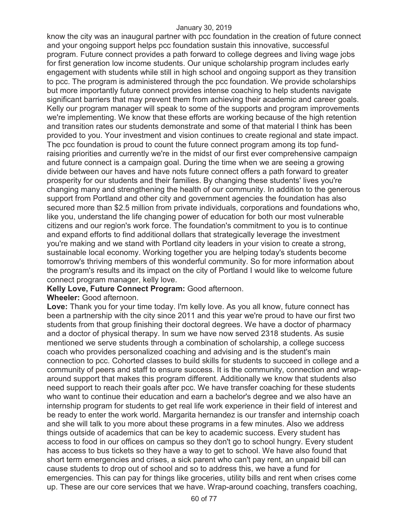know the city was an inaugural partner with pcc foundation in the creation of future connect and your ongoing support helps pcc foundation sustain this innovative, successful program. Future connect provides a path forward to college degrees and living wage jobs for first generation low income students. Our unique scholarship program includes early engagement with students while still in high school and ongoing support as they transition to pcc. The program is administered through the pcc foundation. We provide scholarships but more importantly future connect provides intense coaching to help students navigate significant barriers that may prevent them from achieving their academic and career goals. Kelly our program manager will speak to some of the supports and program improvements we're implementing. We know that these efforts are working because of the high retention and transition rates our students demonstrate and some of that material I think has been provided to you. Your investment and vision continues to create regional and state impact. The pcc foundation is proud to count the future connect program among its top fundraising priorities and currently we're in the midst of our first ever comprehensive campaign and future connect is a campaign goal. During the time when we are seeing a growing divide between our haves and have nots future connect offers a path forward to greater prosperity for our students and their families. By changing these students' lives you're changing many and strengthening the health of our community. In addition to the generous support from Portland and other city and government agencies the foundation has also secured more than \$2.5 million from private individuals, corporations and foundations who, like you, understand the life changing power of education for both our most vulnerable citizens and our region's work force. The foundation's commitment to you is to continue and expand efforts to find additional dollars that strategically leverage the investment you're making and we stand with Portland city leaders in your vision to create a strong, sustainable local economy. Working together you are helping today's students become tomorrow's thriving members of this wonderful community. So for more information about the program's results and its impact on the city of Portland I would like to welcome future connect program manager, kelly love.

# **Kelly Love, Future Connect Program:** Good afternoon.

## **Wheeler:** Good afternoon.

**Love:** Thank you for your time today. I'm kelly love. As you all know, future connect has been a partnership with the city since 2011 and this year we're proud to have our first two students from that group finishing their doctoral degrees. We have a doctor of pharmacy and a doctor of physical therapy. In sum we have now served 2318 students. As susie mentioned we serve students through a combination of scholarship, a college success coach who provides personalized coaching and advising and is the student's main connection to pcc. Cohorted classes to build skills for students to succeed in college and a community of peers and staff to ensure success. It is the community, connection and wraparound support that makes this program different. Additionally we know that students also need support to reach their goals after pcc. We have transfer coaching for these students who want to continue their education and earn a bachelor's degree and we also have an internship program for students to get real life work experience in their field of interest and be ready to enter the work world. Margarita hernandez is our transfer and internship coach and she will talk to you more about these programs in a few minutes. Also we address things outside of academics that can be key to academic success. Every student has access to food in our offices on campus so they don't go to school hungry. Every student has access to bus tickets so they have a way to get to school. We have also found that short term emergencies and crises, a sick parent who can't pay rent, an unpaid bill can cause students to drop out of school and so to address this, we have a fund for emergencies. This can pay for things like groceries, utility bills and rent when crises come up. These are our core services that we have. Wrap-around coaching, transfers coaching,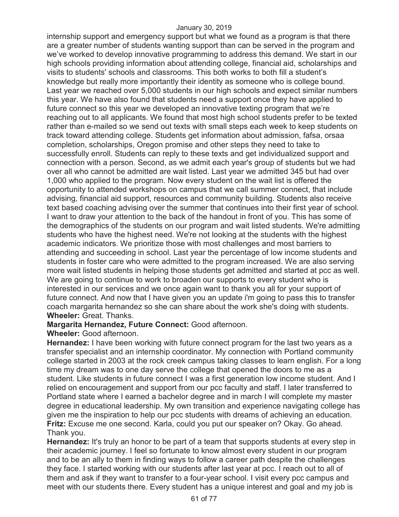internship support and emergency support but what we found as a program is that there are a greater number of students wanting support than can be served in the program and we've worked to develop innovative programming to address this demand. We start in our high schools providing information about attending college, financial aid, scholarships and visits to students' schools and classrooms. This both works to both fill a student's knowledge but really more importantly their identity as someone who is college bound. Last year we reached over 5,000 students in our high schools and expect similar numbers this year. We have also found that students need a support once they have applied to future connect so this year we developed an innovative texting program that we're reaching out to all applicants. We found that most high school students prefer to be texted rather than e-mailed so we send out texts with small steps each week to keep students on track toward attending college. Students get information about admission, fafsa, orsaa completion, scholarships, Oregon promise and other steps they need to take to successfully enroll. Students can reply to these texts and get individualized support and connection with a person. Second, as we admit each year's group of students but we had over all who cannot be admitted are wait listed. Last year we admitted 345 but had over 1,000 who applied to the program. Now every student on the wait list is offered the opportunity to attended workshops on campus that we call summer connect, that include advising, financial aid support, resources and community building. Students also receive text based coaching advising over the summer that continues into their first year of school. I want to draw your attention to the back of the handout in front of you. This has some of the demographics of the students on our program and wait listed students. We're admitting students who have the highest need. We're not looking at the students with the highest academic indicators. We prioritize those with most challenges and most barriers to attending and succeeding in school. Last year the percentage of low income students and students in foster care who were admitted to the program increased. We are also serving more wait listed students in helping those students get admitted and started at pcc as well. We are going to continue to work to broaden our supports to every student who is interested in our services and we once again want to thank you all for your support of future connect. And now that I have given you an update i'm going to pass this to transfer coach margarita hernandez so she can share about the work she's doing with students. **Wheeler:** Great. Thanks.

## **Margarita Hernandez, Future Connect:** Good afternoon.

# **Wheeler:** Good afternoon.

**Hernandez:** I have been working with future connect program for the last two years as a transfer specialist and an internship coordinator. My connection with Portland community college started in 2003 at the rock creek campus taking classes to learn english. For a long time my dream was to one day serve the college that opened the doors to me as a student. Like students in future connect I was a first generation low income student. And I relied on encouragement and support from our pcc faculty and staff. I later transferred to Portland state where I earned a bachelor degree and in march I will complete my master degree in educational leadership. My own transition and experience navigating college has given me the inspiration to help our pcc students with dreams of achieving an education. **Fritz:** Excuse me one second. Karla, could you put our speaker on? Okay. Go ahead. Thank you.

**Hernandez:** It's truly an honor to be part of a team that supports students at every step in their academic journey. I feel so fortunate to know almost every student in our program and to be an ally to them in finding ways to follow a career path despite the challenges they face. I started working with our students after last year at pcc. I reach out to all of them and ask if they want to transfer to a four-year school. I visit every pcc campus and meet with our students there. Every student has a unique interest and goal and my job is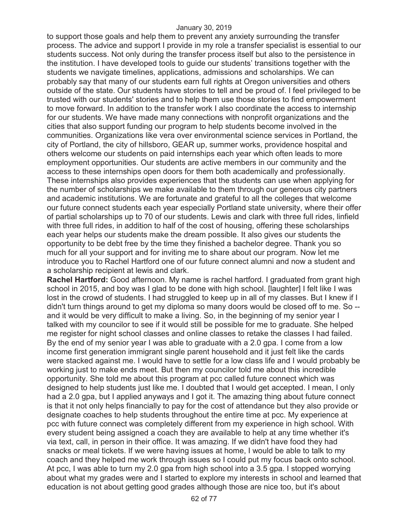to support those goals and help them to prevent any anxiety surrounding the transfer process. The advice and support I provide in my role a transfer specialist is essential to our students success. Not only during the transfer process itself but also to the persistence in the institution. I have developed tools to guide our students' transitions together with the students we navigate timelines, applications, admissions and scholarships. We can probably say that many of our students earn full rights at Oregon universities and others outside of the state. Our students have stories to tell and be proud of. I feel privileged to be trusted with our students' stories and to help them use those stories to find empowerment to move forward. In addition to the transfer work I also coordinate the access to internship for our students. We have made many connections with nonprofit organizations and the cities that also support funding our program to help students become involved in the communities. Organizations like vera over environmental science services in Portland, the city of Portland, the city of hillsboro, GEAR up, summer works, providence hospital and others welcome our students on paid internships each year which often leads to more employment opportunities. Our students are active members in our community and the access to these internships open doors for them both academically and professionally. These internships also provides experiences that the students can use when applying for the number of scholarships we make available to them through our generous city partners and academic institutions. We are fortunate and grateful to all the colleges that welcome our future connect students each year especially Portland state university, where their offer of partial scholarships up to 70 of our students. Lewis and clark with three full rides, linfield with three full rides, in addition to half of the cost of housing, offering these scholarships each year helps our students make the dream possible. It also gives our students the opportunity to be debt free by the time they finished a bachelor degree. Thank you so much for all your support and for inviting me to share about our program. Now let me introduce you to Rachel Hartford one of our future connect alumni and now a student and a scholarship recipient at lewis and clark.

**Rachel Hartford:** Good afternoon. My name is rachel hartford. I graduated from grant high school in 2015, and boy was I glad to be done with high school. [laughter] I felt like I was lost in the crowd of students. I had struggled to keep up in all of my classes. But I knew if I didn't turn things around to get my diploma so many doors would be closed off to me. So - and it would be very difficult to make a living. So, in the beginning of my senior year I talked with my councilor to see if it would still be possible for me to graduate. She helped me register for night school classes and online classes to retake the classes I had failed. By the end of my senior year I was able to graduate with a 2.0 gpa. I come from a low income first generation immigrant single parent household and it just felt like the cards were stacked against me. I would have to settle for a low class life and I would probably be working just to make ends meet. But then my councilor told me about this incredible opportunity. She told me about this program at pcc called future connect which was designed to help students just like me. I doubted that I would get accepted. I mean, I only had a 2.0 gpa, but I applied anyways and I got it. The amazing thing about future connect is that it not only helps financially to pay for the cost of attendance but they also provide or designate coaches to help students throughout the entire time at pcc. My experience at pcc with future connect was completely different from my experience in high school. With every student being assigned a coach they are available to help at any time whether it's via text, call, in person in their office. It was amazing. If we didn't have food they had snacks or meal tickets. If we were having issues at home, I would be able to talk to my coach and they helped me work through issues so I could put my focus back onto school. At pcc, I was able to turn my 2.0 gpa from high school into a 3.5 gpa. I stopped worrying about what my grades were and I started to explore my interests in school and learned that education is not about getting good grades although those are nice too, but it's about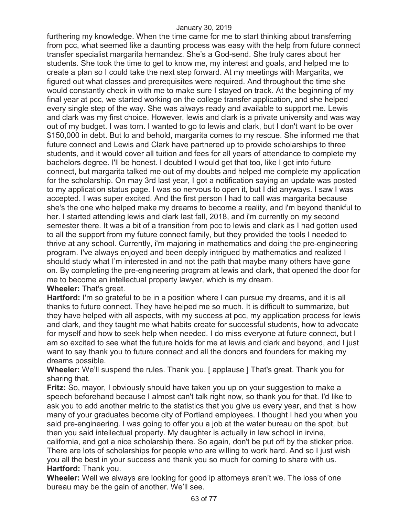furthering my knowledge. When the time came for me to start thinking about transferring from pcc, what seemed like a daunting process was easy with the help from future connect transfer specialist margarita hernandez. She's a God-send. She truly cares about her students. She took the time to get to know me, my interest and goals, and helped me to create a plan so I could take the next step forward. At my meetings with Margarita, we figured out what classes and prerequisites were required. And throughout the time she would constantly check in with me to make sure I stayed on track. At the beginning of my final year at pcc, we started working on the college transfer application, and she helped every single step of the way. She was always ready and available to support me. Lewis and clark was my first choice. However, lewis and clark is a private university and was way out of my budget. I was torn. I wanted to go to lewis and clark, but I don't want to be over \$150,000 in debt. But lo and behold, margarita comes to my rescue. She informed me that future connect and Lewis and Clark have partnered up to provide scholarships to three students, and it would cover all tuition and fees for all years of attendance to complete my bachelors degree. I'll be honest. I doubted I would get that too, like I got into future connect, but margarita talked me out of my doubts and helped me complete my application for the scholarship. On may 3rd last year, I got a notification saying an update was posted to my application status page. I was so nervous to open it, but I did anyways. I saw I was accepted. I was super excited. And the first person I had to call was margarita because she's the one who helped make my dreams to become a reality, and i'm beyond thankful to her. I started attending lewis and clark last fall, 2018, and i'm currently on my second semester there. It was a bit of a transition from pcc to lewis and clark as I had gotten used to all the support from my future connect family, but they provided the tools I needed to thrive at any school. Currently, i'm majoring in mathematics and doing the pre-engineering program. I've always enjoyed and been deeply intrigued by mathematics and realized I should study what I'm interested in and not the path that maybe many others have gone on. By completing the pre-engineering program at lewis and clark, that opened the door for me to become an intellectual property lawyer, which is my dream. **Wheeler:** That's great.

**Hartford:** I'm so grateful to be in a position where I can pursue my dreams, and it is all thanks to future connect. They have helped me so much. It is difficult to summarize, but they have helped with all aspects, with my success at pcc, my application process for lewis and clark, and they taught me what habits create for successful students, how to advocate for myself and how to seek help when needed. I do miss everyone at future connect, but I am so excited to see what the future holds for me at lewis and clark and beyond, and I just want to say thank you to future connect and all the donors and founders for making my dreams possible.

**Wheeler:** We'll suspend the rules. Thank you. [applause ] That's great. Thank you for sharing that.

**Fritz:** So, mayor, I obviously should have taken you up on your suggestion to make a speech beforehand because I almost can't talk right now, so thank you for that. I'd like to ask you to add another metric to the statistics that you give us every year, and that is how many of your graduates become city of Portland employees. I thought I had you when you said pre-engineering. I was going to offer you a job at the water bureau on the spot, but then you said intellectual property. My daughter is actually in law school in irvine, california, and got a nice scholarship there. So again, don't be put off by the sticker price. There are lots of scholarships for people who are willing to work hard. And so I just wish you all the best in your success and thank you so much for coming to share with us. **Hartford:** Thank you.

**Wheeler:** Well we always are looking for good ip attorneys aren't we. The loss of one bureau may be the gain of another. We'll see.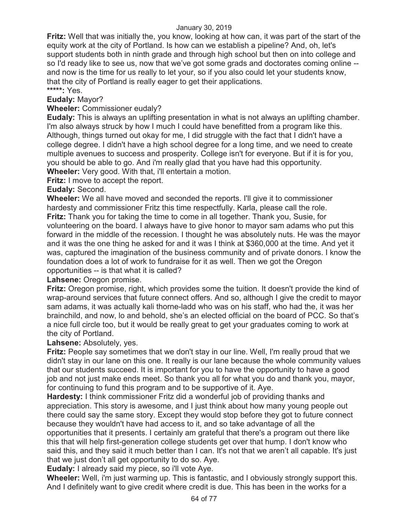**Fritz:** Well that was initially the, you know, looking at how can, it was part of the start of the equity work at the city of Portland. Is how can we establish a pipeline? And, oh, let's support students both in ninth grade and through high school but then on into college and so I'd ready like to see us, now that we've got some grads and doctorates coming online - and now is the time for us really to let your, so if you also could let your students know, that the city of Portland is really eager to get their applications. **\*\*\*\*\*:** Yes.

# **Eudaly:** Mayor?

# **Wheeler:** Commissioner eudaly?

**Eudaly:** This is always an uplifting presentation in what is not always an uplifting chamber. I'm also always struck by how I much I could have benefitted from a program like this. Although, things turned out okay for me, I did struggle with the fact that I didn't have a college degree. I didn't have a high school degree for a long time, and we need to create multiple avenues to success and prosperity. College isn't for everyone. But if it is for you, you should be able to go. And i'm really glad that you have had this opportunity.

**Wheeler:** Very good. With that, i'll entertain a motion.

**Fritz:** I move to accept the report.

# **Eudaly:** Second.

**Wheeler:** We all have moved and seconded the reports. I'll give it to commissioner hardesty and commissioner Fritz this time respectfully. Karla, please call the role. **Fritz:** Thank you for taking the time to come in all together. Thank you, Susie, for volunteering on the board. I always have to give honor to mayor sam adams who put this forward in the middle of the recession. I thought he was absolutely nuts. He was the mayor and it was the one thing he asked for and it was I think at \$360,000 at the time. And yet it was, captured the imagination of the business community and of private donors. I know the foundation does a lot of work to fundraise for it as well. Then we got the Oregon opportunities -- is that what it is called?

## **Lahsene:** Oregon promise.

**Fritz:** Oregon promise, right, which provides some the tuition. It doesn't provide the kind of wrap-around services that future connect offers. And so, although I give the credit to mayor sam adams, it was actually kali thorne-ladd who was on his staff, who had the, it was her brainchild, and now, lo and behold, she's an elected official on the board of PCC. So that's a nice full circle too, but it would be really great to get your graduates coming to work at the city of Portland.

## **Lahsene:** Absolutely, yes.

**Fritz:** People say sometimes that we don't stay in our line. Well, I'm really proud that we didn't stay in our lane on this one. It really is our lane because the whole community values that our students succeed. It is important for you to have the opportunity to have a good job and not just make ends meet. So thank you all for what you do and thank you, mayor, for continuing to fund this program and to be supportive of it. Aye.

**Hardesty:** I think commissioner Fritz did a wonderful job of providing thanks and appreciation. This story is awesome, and I just think about how many young people out there could say the same story. Except they would stop before they got to future connect because they wouldn't have had access to it, and so take advantage of all the opportunities that it presents. I certainly am grateful that there's a program out there like this that will help first-generation college students get over that hump. I don't know who said this, and they said it much better than I can. It's not that we aren't all capable. It's just that we just don't all get opportunity to do so. Aye.

**Eudaly:** I already said my piece, so i'll vote Aye.

**Wheeler:** Well, i'm just warming up. This is fantastic, and I obviously strongly support this. And I definitely want to give credit where credit is due. This has been in the works for a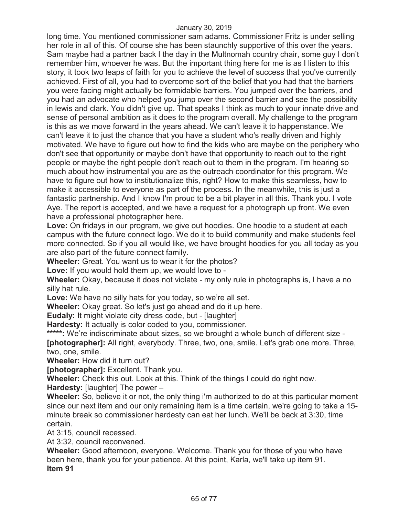long time. You mentioned commissioner sam adams. Commissioner Fritz is under selling her role in all of this. Of course she has been staunchly supportive of this over the years. Sam maybe had a partner back I the day in the Multnomah country chair, some guy I don't remember him, whoever he was. But the important thing here for me is as I listen to this story, it took two leaps of faith for you to achieve the level of success that you've currently achieved. First of all, you had to overcome sort of the belief that you had that the barriers you were facing might actually be formidable barriers. You jumped over the barriers, and you had an advocate who helped you jump over the second barrier and see the possibility in lewis and clark. You didn't give up. That speaks I think as much to your innate drive and sense of personal ambition as it does to the program overall. My challenge to the program is this as we move forward in the years ahead. We can't leave it to happenstance. We can't leave it to just the chance that you have a student who's really driven and highly motivated. We have to figure out how to find the kids who are maybe on the periphery who don't see that opportunity or maybe don't have that opportunity to reach out to the right people or maybe the right people don't reach out to them in the program. I'm hearing so much about how instrumental you are as the outreach coordinator for this program. We have to figure out how to institutionalize this, right? How to make this seamless, how to make it accessible to everyone as part of the process. In the meanwhile, this is just a fantastic partnership. And I know I'm proud to be a bit player in all this. Thank you. I vote Aye. The report is accepted, and we have a request for a photograph up front. We even have a professional photographer here.

**Love:** On fridays in our program, we give out hoodies. One hoodie to a student at each campus with the future connect logo. We do it to build community and make students feel more connected. So if you all would like, we have brought hoodies for you all today as you are also part of the future connect family.

**Wheeler:** Great. You want us to wear it for the photos?

**Love:** If you would hold them up, we would love to -

**Wheeler:** Okay, because it does not violate - my only rule in photographs is, I have a no silly hat rule.

**Love:** We have no silly hats for you today, so we're all set.

**Wheeler:** Okay great. So let's just go ahead and do it up here.

**Eudaly:** It might violate city dress code, but - [laughter]

**Hardesty:** It actually is color coded to you, commissioner.

**\*\*\*\*\*:** We're indiscriminate about sizes, so we brought a whole bunch of different size - **[photographer]:** All right, everybody. Three, two, one, smile. Let's grab one more. Three, two, one, smile.

**Wheeler:** How did it turn out?

**[photographer]:** Excellent. Thank you.

**Wheeler:** Check this out. Look at this. Think of the things I could do right now.

**Hardesty:** [laughter] The power –

**Wheeler:** So, believe it or not, the only thing i'm authorized to do at this particular moment since our next item and our only remaining item is a time certain, we're going to take a 15 minute break so commissioner hardesty can eat her lunch. We'll be back at 3:30, time certain.

At 3:15, council recessed.

At 3:32, council reconvened.

**Wheeler:** Good afternoon, everyone. Welcome. Thank you for those of you who have been here, thank you for your patience. At this point, Karla, we'll take up item 91. **Item 91**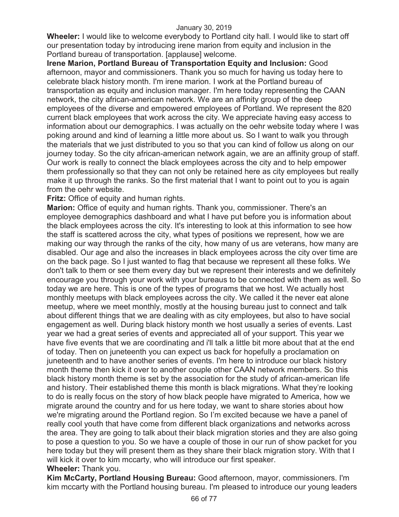**Wheeler:** I would like to welcome everybody to Portland city hall. I would like to start off our presentation today by introducing irene marion from equity and inclusion in the Portland bureau of transportation. [applause] welcome.

**Irene Marion, Portland Bureau of Transportation Equity and Inclusion:** Good afternoon, mayor and commissioners. Thank you so much for having us today here to celebrate black history month. I'm irene marion. I work at the Portland bureau of transportation as equity and inclusion manager. I'm here today representing the CAAN network, the city african-american network. We are an affinity group of the deep employees of the diverse and empowered employees of Portland. We represent the 820 current black employees that work across the city. We appreciate having easy access to information about our demographics. I was actually on the oehr website today where I was poking around and kind of learning a little more about us. So I want to walk you through the materials that we just distributed to you so that you can kind of follow us along on our journey today. So the city african-american network again, we are an affinity group of staff. Our work is really to connect the black employees across the city and to help empower them professionally so that they can not only be retained here as city employees but really make it up through the ranks. So the first material that I want to point out to you is again from the oehr website.

**Fritz:** Office of equity and human rights.

**Marion:** Office of equity and human rights. Thank you, commissioner. There's an employee demographics dashboard and what I have put before you is information about the black employees across the city. It's interesting to look at this information to see how the staff is scattered across the city, what types of positions we represent, how we are making our way through the ranks of the city, how many of us are veterans, how many are disabled. Our age and also the increases in black employees across the city over time are on the back page. So I just wanted to flag that because we represent all these folks. We don't talk to them or see them every day but we represent their interests and we definitely encourage you through your work with your bureaus to be connected with them as well. So today we are here. This is one of the types of programs that we host. We actually host monthly meetups with black employees across the city. We called it the never eat alone meetup, where we meet monthly, mostly at the housing bureau just to connect and talk about different things that we are dealing with as city employees, but also to have social engagement as well. During black history month we host usually a series of events. Last year we had a great series of events and appreciated all of your support. This year we have five events that we are coordinating and i'll talk a little bit more about that at the end of today. Then on juneteenth you can expect us back for hopefully a proclamation on juneteenth and to have another series of events. I'm here to introduce our black history month theme then kick it over to another couple other CAAN network members. So this black history month theme is set by the association for the study of african-american life and history. Their established theme this month is black migrations. What they're looking to do is really focus on the story of how black people have migrated to America, how we migrate around the country and for us here today, we want to share stories about how we're migrating around the Portland region. So I'm excited because we have a panel of really cool youth that have come from different black organizations and networks across the area. They are going to talk about their black migration stories and they are also going to pose a question to you. So we have a couple of those in our run of show packet for you here today but they will present them as they share their black migration story. With that I will kick it over to kim mccarty, who will introduce our first speaker. **Wheeler:** Thank you.

**Kim McCarty, Portland Housing Bureau:** Good afternoon, mayor, commissioners. I'm kim mccarty with the Portland housing bureau. I'm pleased to introduce our young leaders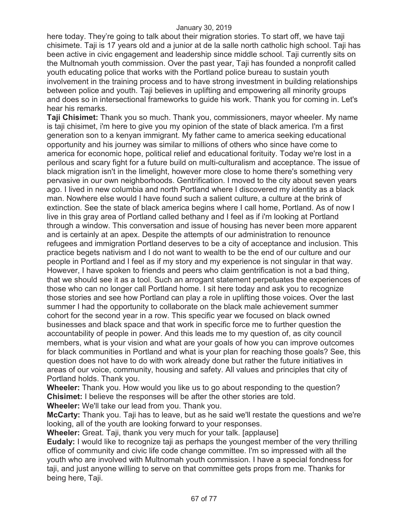here today. They're going to talk about their migration stories. To start off, we have taji chisimete. Taji is 17 years old and a junior at de la salle north catholic high school. Taji has been active in civic engagement and leadership since middle school. Taji currently sits on the Multnomah youth commission. Over the past year, Taji has founded a nonprofit called youth educating police that works with the Portland police bureau to sustain youth involvement in the training process and to have strong investment in building relationships between police and youth. Taji believes in uplifting and empowering all minority groups and does so in intersectional frameworks to guide his work. Thank you for coming in. Let's hear his remarks.

**Taji Chisimet:** Thank you so much. Thank you, commissioners, mayor wheeler. My name is taji chisimet, i'm here to give you my opinion of the state of black america. I'm a first generation son to a kenyan immigrant. My father came to america seeking educational opportunity and his journey was similar to millions of others who since have come to america for economic hope, political relief and educational forituity. Today we're lost in a perilous and scary fight for a future build on multi-culturalism and acceptance. The issue of black migration isn't in the limelight, however more close to home there's something very pervasive in our own neighborhoods. Gentrification. I moved to the city about seven years ago. I lived in new columbia and north Portland where I discovered my identity as a black man. Nowhere else would I have found such a salient culture, a culture at the brink of extinction. See the state of black america begins where I call home, Portland. As of now I live in this gray area of Portland called bethany and I feel as if i'm looking at Portland through a window. This conversation and issue of housing has never been more apparent and is certainly at an apex. Despite the attempts of our administration to renounce refugees and immigration Portland deserves to be a city of acceptance and inclusion. This practice begets nativism and I do not want to wealth to be the end of our culture and our people in Portland and I feel as if my story and my experience is not singular in that way. However, I have spoken to friends and peers who claim gentrification is not a bad thing, that we should see it as a tool. Such an arrogant statement perpetuates the experiences of those who can no longer call Portland home. I sit here today and ask you to recognize those stories and see how Portland can play a role in uplifting those voices. Over the last summer I had the opportunity to collaborate on the black male achievement summer cohort for the second year in a row. This specific year we focused on black owned businesses and black space and that work in specific force me to further question the accountability of people in power. And this leads me to my question of, as city council members, what is your vision and what are your goals of how you can improve outcomes for black communities in Portland and what is your plan for reaching those goals? See, this question does not have to do with work already done but rather the future initiatives in areas of our voice, community, housing and safety. All values and principles that city of Portland holds. Thank you.

**Wheeler:** Thank you. How would you like us to go about responding to the question? **Chisimet:** I believe the responses will be after the other stories are told. **Wheeler:** We'll take our lead from you. Thank you.

**McCarty:** Thank you. Taji has to leave, but as he said we'll restate the questions and we're looking, all of the youth are looking forward to your responses.

**Wheeler:** Great. Taji, thank you very much for your talk. [applause]

**Eudaly:** I would like to recognize taji as perhaps the youngest member of the very thrilling office of community and civic life code change committee. I'm so impressed with all the youth who are involved with Multnomah youth commission. I have a special fondness for taji, and just anyone willing to serve on that committee gets props from me. Thanks for being here, Taji.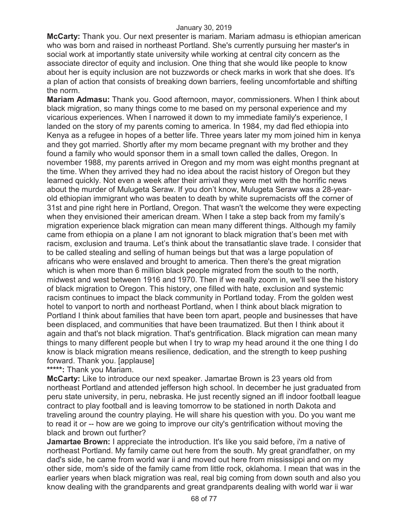**McCarty:** Thank you. Our next presenter is mariam. Mariam admasu is ethiopian american who was born and raised in northeast Portland. She's currently pursuing her master's in social work at importantly state university while working at central city concern as the associate director of equity and inclusion. One thing that she would like people to know about her is equity inclusion are not buzzwords or check marks in work that she does. It's a plan of action that consists of breaking down barriers, feeling uncomfortable and shifting the norm.

**Mariam Admasu:** Thank you. Good afternoon, mayor, commissioners. When I think about black migration, so many things come to me based on my personal experience and my vicarious experiences. When I narrowed it down to my immediate family's experience, I landed on the story of my parents coming to america. In 1984, my dad fled ethiopia into Kenya as a refugee in hopes of a better life. Three years later my mom joined him in kenya and they got married. Shortly after my mom became pregnant with my brother and they found a family who would sponsor them in a small town called the dalles, Oregon. In november 1988, my parents arrived in Oregon and my mom was eight months pregnant at the time. When they arrived they had no idea about the racist history of Oregon but they learned quickly. Not even a week after their arrival they were met with the horrific news about the murder of Mulugeta Seraw. If you don't know, Mulugeta Seraw was a 28-yearold ethiopian immigrant who was beaten to death by white supremacists off the corner of 31st and pine right here in Portland, Oregon. That wasn't the welcome they were expecting when they envisioned their american dream. When I take a step back from my family's migration experience black migration can mean many different things. Although my family came from ethiopia on a plane I am not ignorant to black migration that's been met with racism, exclusion and trauma. Let's think about the transatlantic slave trade. I consider that to be called stealing and selling of human beings but that was a large population of africans who were enslaved and brought to america. Then there's the great migration which is when more than 6 million black people migrated from the south to the north, midwest and west between 1916 and 1970. Then if we really zoom in, we'll see the history of black migration to Oregon. This history, one filled with hate, exclusion and systemic racism continues to impact the black community in Portland today. From the golden west hotel to vanport to north and northeast Portland, when I think about black migration to Portland I think about families that have been torn apart, people and businesses that have been displaced, and communities that have been traumatized. But then I think about it again and that's not black migration. That's gentrification. Black migration can mean many things to many different people but when I try to wrap my head around it the one thing I do know is black migration means resilience, dedication, and the strength to keep pushing forward. Thank you. [applause]

**\*\*\*\*\*:** Thank you Mariam.

**McCarty:** Like to introduce our next speaker. Jamartae Brown is 23 years old from northeast Portland and attended jefferson high school. In december he just graduated from peru state university, in peru, nebraska. He just recently signed an ifl indoor football league contract to play football and is leaving tomorrow to be stationed in north Dakota and traveling around the country playing. He will share his question with you. Do you want me to read it or -- how are we going to improve our city's gentrification without moving the black and brown out further?

**Jamartae Brown:** I appreciate the introduction. It's like you said before, i'm a native of northeast Portland. My family came out here from the south. My great grandfather, on my dad's side, he came from world war ii and moved out here from mississippi and on my other side, mom's side of the family came from little rock, oklahoma. I mean that was in the earlier years when black migration was real, real big coming from down south and also you know dealing with the grandparents and great grandparents dealing with world war ii war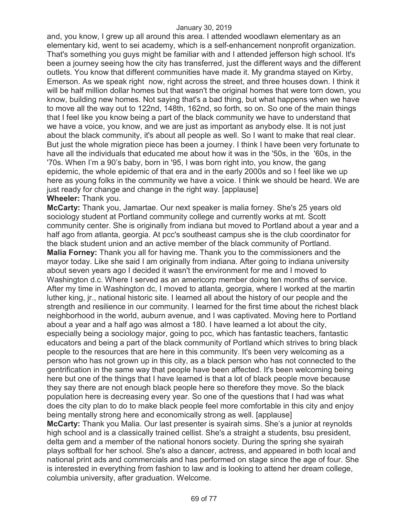and, you know, I grew up all around this area. I attended woodlawn elementary as an elementary kid, went to sei academy, which is a self-enhancement nonprofit organization. That's something you guys might be familiar with and I attended jefferson high school. It's been a journey seeing how the city has transferred, just the different ways and the different outlets. You know that different communities have made it. My grandma stayed on Kirby, Emerson. As we speak right now, right across the street, and three houses down. I think it will be half million dollar homes but that wasn't the original homes that were torn down, you know, building new homes. Not saying that's a bad thing, but what happens when we have to move all the way out to 122nd, 148th, 162nd, so forth, so on. So one of the main things that I feel like you know being a part of the black community we have to understand that we have a voice, you know, and we are just as important as anybody else. It is not just about the black community, it's about all people as well. So I want to make that real clear. But just the whole migration piece has been a journey. I think I have been very fortunate to have all the individuals that educated me about how it was in the '50s, in the '60s, in the '70s. When I'm a 90's baby, born in '95, I was born right into, you know, the gang epidemic, the whole epidemic of that era and in the early 2000s and so I feel like we up here as young folks in the community we have a voice. I think we should be heard. We are just ready for change and change in the right way. [applause] **Wheeler:** Thank you.

**McCarty:** Thank you, Jamartae. Our next speaker is malia forney. She's 25 years old sociology student at Portland community college and currently works at mt. Scott community center. She is originally from indiana but moved to Portland about a year and a half ago from atlanta, georgia. At pcc's southeast campus she is the club coordinator for the black student union and an active member of the black community of Portland.

**Malia Forney:** Thank you all for having me. Thank you to the commissioners and the mayor today. Like she said I am originally from indiana. After going to indiana university about seven years ago I decided it wasn't the environment for me and I moved to Washington d.c. Where I served as an americorp member doing ten months of service. After my time in Washington dc, I moved to atlanta, georgia, where I worked at the martin luther king, jr., national historic site. I learned all about the history of our people and the strength and resilience in our community. I learned for the first time about the richest black neighborhood in the world, auburn avenue, and I was captivated. Moving here to Portland about a year and a half ago was almost a 180. I have learned a lot about the city, especially being a sociology major, going to pcc, which has fantastic teachers, fantastic educators and being a part of the black community of Portland which strives to bring black people to the resources that are here in this community. It's been very welcoming as a person who has not grown up in this city, as a black person who has not connected to the gentrification in the same way that people have been affected. It's been welcoming being here but one of the things that I have learned is that a lot of black people move because they say there are not enough black people here so therefore they move. So the black population here is decreasing every year. So one of the questions that I had was what does the city plan to do to make black people feel more comfortable in this city and enjoy being mentally strong here and economically strong as well. [applause]

**McCarty:** Thank you Malia. Our last presenter is syairah sims. She's a junior at reynolds high school and is a classically trained cellist. She's a straight a students, bsu president, delta gem and a member of the national honors society. During the spring she syairah plays softball for her school. She's also a dancer, actress, and appeared in both local and national print ads and commercials and has performed on stage since the age of four. She is interested in everything from fashion to law and is looking to attend her dream college, columbia university, after graduation. Welcome.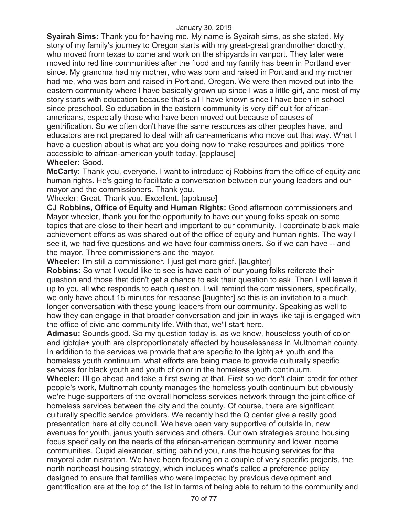**Syairah Sims:** Thank you for having me. My name is Syairah sims, as she stated. My story of my family's journey to Oregon starts with my great-great grandmother dorothy, who moved from texas to come and work on the shipyards in vanport. They later were moved into red line communities after the flood and my family has been in Portland ever since. My grandma had my mother, who was born and raised in Portland and my mother had me, who was born and raised in Portland, Oregon. We were then moved out into the eastern community where I have basically grown up since I was a little girl, and most of my story starts with education because that's all I have known since I have been in school since preschool. So education in the eastern community is very difficult for africanamericans, especially those who have been moved out because of causes of gentrification. So we often don't have the same resources as other peoples have, and educators are not prepared to deal with african-americans who move out that way. What I have a question about is what are you doing now to make resources and politics more accessible to african-american youth today. [applause]

# **Wheeler:** Good.

**McCarty:** Thank you, everyone. I want to introduce cj Robbins from the office of equity and human rights. He's going to facilitate a conversation between our young leaders and our mayor and the commissioners. Thank you.

Wheeler: Great. Thank you. Excellent. [applause]

**CJ Robbins, Office of Equity and Human Rights:** Good afternoon commissioners and Mayor wheeler, thank you for the opportunity to have our young folks speak on some topics that are close to their heart and important to our community. I coordinate black male achievement efforts as was shared out of the office of equity and human rights. The way I see it, we had five questions and we have four commissioners. So if we can have -- and the mayor. Three commissioners and the mayor.

**Wheeler:** I'm still a commissioner. I just get more grief. [laughter]

**Robbins:** So what I would like to see is have each of our young folks reiterate their question and those that didn't get a chance to ask their question to ask. Then I will leave it up to you all who responds to each question. I will remind the commissioners, specifically, we only have about 15 minutes for response [laughter] so this is an invitation to a much longer conversation with these young leaders from our community. Speaking as well to how they can engage in that broader conversation and join in ways like taji is engaged with the office of civic and community life. With that, we'll start here.

**Admasu:** Sounds good. So my question today is, as we know, houseless youth of color and lgbtqia+ youth are disproportionately affected by houselessness in Multnomah county. In addition to the services we provide that are specific to the lgbtqia+ youth and the homeless youth continuum, what efforts are being made to provide culturally specific services for black youth and youth of color in the homeless youth continuum.

**Wheeler:** I'll go ahead and take a first swing at that. First so we don't claim credit for other people's work, Multnomah county manages the homeless youth continuum but obviously we're huge supporters of the overall homeless services network through the joint office of homeless services between the city and the county. Of course, there are significant culturally specific service providers. We recently had the Q center give a really good presentation here at city council. We have been very supportive of outside in, new avenues for youth, janus youth services and others. Our own strategies around housing focus specifically on the needs of the african-american community and lower income communities. Cupid alexander, sitting behind you, runs the housing services for the mayoral administration. We have been focusing on a couple of very specific projects, the north northeast housing strategy, which includes what's called a preference policy designed to ensure that families who were impacted by previous development and gentrification are at the top of the list in terms of being able to return to the community and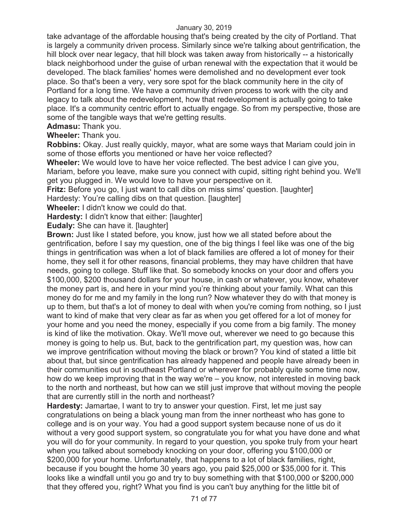take advantage of the affordable housing that's being created by the city of Portland. That is largely a community driven process. Similarly since we're talking about gentrification, the hill block over near legacy, that hill block was taken away from historically -- a historically black neighborhood under the guise of urban renewal with the expectation that it would be developed. The black families' homes were demolished and no development ever took place. So that's been a very, very sore spot for the black community here in the city of Portland for a long time. We have a community driven process to work with the city and legacy to talk about the redevelopment, how that redevelopment is actually going to take place. It's a community centric effort to actually engage. So from my perspective, those are some of the tangible ways that we're getting results.

**Admasu:** Thank you.

**Wheeler:** Thank you.

**Robbins:** Okay. Just really quickly, mayor, what are some ways that Mariam could join in some of those efforts you mentioned or have her voice reflected?

**Wheeler:** We would love to have her voice reflected. The best advice I can give you,

Mariam, before you leave, make sure you connect with cupid, sitting right behind you. We'll get you plugged in. We would love to have your perspective on it.

**Fritz:** Before you go, I just want to call dibs on miss sims' question. [laughter]

Hardesty: You're calling dibs on that question. [laughter]

**Wheeler:** I didn't know we could do that.

**Hardesty:** I didn't know that either: [laughter]

**Eudaly:** She can have it. [laughter]

**Brown:** Just like I stated before, you know, just how we all stated before about the gentrification, before I say my question, one of the big things I feel like was one of the big things in gentrification was when a lot of black families are offered a lot of money for their home, they sell it for other reasons, financial problems, they may have children that have needs, going to college. Stuff like that. So somebody knocks on your door and offers you \$100,000, \$200 thousand dollars for your house, in cash or whatever, you know, whatever the money part is, and here in your mind you're thinking about your family. What can this money do for me and my family in the long run? Now whatever they do with that money is up to them, but that's a lot of money to deal with when you're coming from nothing, so I just want to kind of make that very clear as far as when you get offered for a lot of money for your home and you need the money, especially if you come from a big family. The money is kind of like the motivation. Okay. We'll move out, wherever we need to go because this money is going to help us. But, back to the gentrification part, my question was, how can we improve gentrification without moving the black or brown? You kind of stated a little bit about that, but since gentrification has already happened and people have already been in their communities out in southeast Portland or wherever for probably quite some time now, how do we keep improving that in the way we're – you know, not interested in moving back to the north and northeast, but how can we still just improve that without moving the people that are currently still in the north and northeast?

**Hardesty:** Jamartae, I want to try to answer your question. First, let me just say congratulations on being a black young man from the inner northeast who has gone to college and is on your way. You had a good support system because none of us do it without a very good support system, so congratulate you for what you have done and what you will do for your community. In regard to your question, you spoke truly from your heart when you talked about somebody knocking on your door, offering you \$100,000 or \$200,000 for your home. Unfortunately, that happens to a lot of black families, right, because if you bought the home 30 years ago, you paid \$25,000 or \$35,000 for it. This looks like a windfall until you go and try to buy something with that \$100,000 or \$200,000 that they offered you, right? What you find is you can't buy anything for the little bit of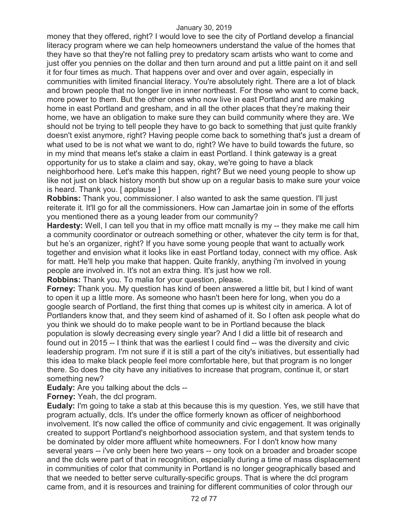money that they offered, right? I would love to see the city of Portland develop a financial literacy program where we can help homeowners understand the value of the homes that they have so that they're not falling prey to predatory scam artists who want to come and just offer you pennies on the dollar and then turn around and put a little paint on it and sell it for four times as much. That happens over and over and over again, especially in communities with limited financial literacy. You're absolutely right. There are a lot of black and brown people that no longer live in inner northeast. For those who want to come back, more power to them. But the other ones who now live in east Portland and are making home in east Portland and gresham, and in all the other places that they're making their home, we have an obligation to make sure they can build community where they are. We should not be trying to tell people they have to go back to something that just quite frankly doesn't exist anymore, right? Having people come back to something that's just a dream of what used to be is not what we want to do, right? We have to build towards the future, so in my mind that means let's stake a claim in east Portland. I think gateway is a great opportunity for us to stake a claim and say, okay, we're going to have a black neighborhood here. Let's make this happen, right? But we need young people to show up like not just on black history month but show up on a regular basis to make sure your voice is heard. Thank you. [ applause ]

**Robbins:** Thank you, commissioner. I also wanted to ask the same question. I'll just reiterate it. It'll go for all the commissioners. How can Jamartae join in some of the efforts you mentioned there as a young leader from our community?

**Hardesty:** Well, I can tell you that in my office matt mcnally is my -- they make me call him a community coordinator or outreach something or other, whatever the city term is for that, but he's an organizer, right? If you have some young people that want to actually work together and envision what it looks like in east Portland today, connect with my office. Ask for matt. He'll help you make that happen. Quite frankly, anything i'm involved in young people are involved in. It's not an extra thing. It's just how we roll.

**Robbins:** Thank you. To malia for your question, please.

**Forney:** Thank you. My question has kind of been answered a little bit, but I kind of want to open it up a little more. As someone who hasn't been here for long, when you do a google search of Portland, the first thing that comes up is whitest city in america. A lot of Portlanders know that, and they seem kind of ashamed of it. So I often ask people what do you think we should do to make people want to be in Portland because the black population is slowly decreasing every single year? And I did a little bit of research and found out in 2015 -- I think that was the earliest I could find -- was the diversity and civic leadership program. I'm not sure if it is still a part of the city's initiatives, but essentially had this idea to make black people feel more comfortable here, but that program is no longer there. So does the city have any initiatives to increase that program, continue it, or start something new?

**Eudaly:** Are you talking about the dcls --

**Forney:** Yeah, the dcl program.

**Eudaly:** I'm going to take a stab at this because this is my question. Yes, we still have that program actually, dcls. It's under the office formerly known as officer of neighborhood involvement. It's now called the office of community and civic engagement. It was originally created to support Portland's neighborhood association system, and that system tends to be dominated by older more affluent white homeowners. For I don't know how many several years -- i've only been here two years -- ony took on a broader and broader scope and the dcls were part of that in recognition, especially during a time of mass displacement in communities of color that community in Portland is no longer geographically based and that we needed to better serve culturally-specific groups. That is where the dcl program came from, and it is resources and training for different communities of color through our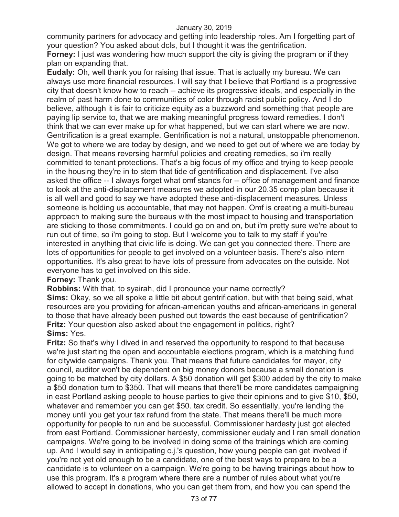community partners for advocacy and getting into leadership roles. Am I forgetting part of your question? You asked about dcls, but I thought it was the gentrification.

**Forney:** I just was wondering how much support the city is giving the program or if they plan on expanding that.

**Eudaly:** Oh, well thank you for raising that issue. That is actually my bureau. We can always use more financial resources. I will say that I believe that Portland is a progressive city that doesn't know how to reach -- achieve its progressive ideals, and especially in the realm of past harm done to communities of color through racist public policy. And I do believe, although it is fair to criticize equity as a buzzword and something that people are paying lip service to, that we are making meaningful progress toward remedies. I don't think that we can ever make up for what happened, but we can start where we are now. Gentrification is a great example. Gentrification is not a natural, unstoppable phenomenon. We got to where we are today by design, and we need to get out of where we are today by design. That means reversing harmful policies and creating remedies, so i'm really committed to tenant protections. That's a big focus of my office and trying to keep people in the housing they're in to stem that tide of gentrification and displacement. I've also asked the office -- I always forget what omf stands for -- office of management and finance to look at the anti-displacement measures we adopted in our 20.35 comp plan because it is all well and good to say we have adopted these anti-displacement measures. Unless someone is holding us accountable, that may not happen. Omf is creating a multi-bureau approach to making sure the bureaus with the most impact to housing and transportation are sticking to those commitments. I could go on and on, but i'm pretty sure we're about to run out of time, so i'm going to stop. But I welcome you to talk to my staff if you're interested in anything that civic life is doing. We can get you connected there. There are lots of opportunities for people to get involved on a volunteer basis. There's also intern opportunities. It's also great to have lots of pressure from advocates on the outside. Not everyone has to get involved on this side.

# **Forney:** Thank you.

**Robbins:** With that, to syairah, did I pronounce your name correctly? **Sims:** Okay, so we all spoke a little bit about gentrification, but with that being said, what resources are you providing for african-american youths and african-americans in general to those that have already been pushed out towards the east because of gentrification? **Fritz:** Your question also asked about the engagement in politics, right? **Sims:** Yes.

**Fritz:** So that's why I dived in and reserved the opportunity to respond to that because we're just starting the open and accountable elections program, which is a matching fund for citywide campaigns. Thank you. That means that future candidates for mayor, city council, auditor won't be dependent on big money donors because a small donation is going to be matched by city dollars. A \$50 donation will get \$300 added by the city to make a \$50 donation turn to \$350. That will means that there'll be more candidates campaigning in east Portland asking people to house parties to give their opinions and to give \$10, \$50, whatever and remember you can get \$50. tax credit. So essentially, you're lending the money until you get your tax refund from the state. That means there'll be much more opportunity for people to run and be successful. Commissioner hardesty just got elected from east Portland. Commissioner hardesty, commissioner eudaly and I ran small donation campaigns. We're going to be involved in doing some of the trainings which are coming up. And I would say in anticipating c.j.'s question, how young people can get involved if you're not yet old enough to be a candidate, one of the best ways to prepare to be a candidate is to volunteer on a campaign. We're going to be having trainings about how to use this program. It's a program where there are a number of rules about what you're allowed to accept in donations, who you can get them from, and how you can spend the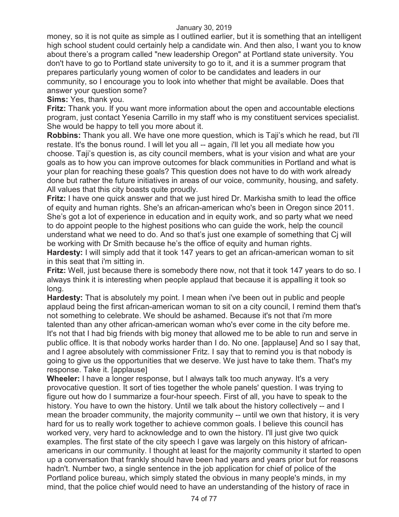money, so it is not quite as simple as I outlined earlier, but it is something that an intelligent high school student could certainly help a candidate win. And then also, I want you to know about there's a program called "new leadership Oregon" at Portland state university. You don't have to go to Portland state university to go to it, and it is a summer program that prepares particularly young women of color to be candidates and leaders in our community, so I encourage you to look into whether that might be available. Does that answer your question some?

**Sims:** Yes, thank you.

**Fritz:** Thank you. If you want more information about the open and accountable elections program, just contact Yesenia Carrillo in my staff who is my constituent services specialist. She would be happy to tell you more about it.

**Robbins:** Thank you all. We have one more question, which is Taji's which he read, but i'll restate. It's the bonus round. I will let you all -- again, i'll let you all mediate how you choose. Taji's question is, as city council members, what is your vision and what are your goals as to how you can improve outcomes for black communities in Portland and what is your plan for reaching these goals? This question does not have to do with work already done but rather the future initiatives in areas of our voice, community, housing, and safety. All values that this city boasts quite proudly.

**Fritz:** I have one quick answer and that we just hired Dr. Markisha smith to lead the office of equity and human rights. She's an african-american who's been in Oregon since 2011. She's got a lot of experience in education and in equity work, and so party what we need to do appoint people to the highest positions who can guide the work, help the council understand what we need to do. And so that's just one example of something that Cj will be working with Dr Smith because he's the office of equity and human rights.

**Hardesty:** I will simply add that it took 147 years to get an african-american woman to sit in this seat that i'm sitting in.

**Fritz:** Well, just because there is somebody there now, not that it took 147 years to do so. I always think it is interesting when people applaud that because it is appalling it took so long.

**Hardesty:** That is absolutely my point. I mean when i've been out in public and people applaud being the first african-american woman to sit on a city council, I remind them that's not something to celebrate. We should be ashamed. Because it's not that i'm more talented than any other african-american woman who's ever come in the city before me. It's not that I had big friends with big money that allowed me to be able to run and serve in public office. It is that nobody works harder than I do. No one. [applause] And so I say that, and I agree absolutely with commissioner Fritz. I say that to remind you is that nobody is going to give us the opportunities that we deserve. We just have to take them. That's my response. Take it. [applause]

**Wheeler:** I have a longer response, but I always talk too much anyway. It's a very provocative question. It sort of ties together the whole panels' question. I was trying to figure out how do I summarize a four-hour speech. First of all, you have to speak to the history. You have to own the history. Until we talk about the history collectively -- and I mean the broader community, the majority community -- until we own that history, it is very hard for us to really work together to achieve common goals. I believe this council has worked very, very hard to acknowledge and to own the history. I'll just give two quick examples. The first state of the city speech I gave was largely on this history of africanamericans in our community. I thought at least for the majority community it started to open up a conversation that frankly should have been had years and years prior but for reasons hadn't. Number two, a single sentence in the job application for chief of police of the Portland police bureau, which simply stated the obvious in many people's minds, in my mind, that the police chief would need to have an understanding of the history of race in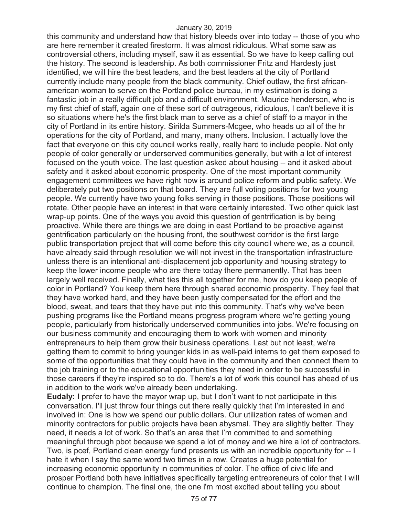this community and understand how that history bleeds over into today -- those of you who are here remember it created firestorm. It was almost ridiculous. What some saw as controversial others, including myself, saw it as essential. So we have to keep calling out the history. The second is leadership. As both commissioner Fritz and Hardesty just identified, we will hire the best leaders, and the best leaders at the city of Portland currently include many people from the black community. Chief outlaw, the first africanamerican woman to serve on the Portland police bureau, in my estimation is doing a fantastic job in a really difficult job and a difficult environment. Maurice henderson, who is my first chief of staff, again one of these sort of outrageous, ridiculous, I can't believe it is so situations where he's the first black man to serve as a chief of staff to a mayor in the city of Portland in its entire history. Sirilda Summers-Mcgee, who heads up all of the hr operations for the city of Portland, and many, many others. Inclusion. I actually love the fact that everyone on this city council works really, really hard to include people. Not only people of color generally or underserved communities generally, but with a lot of interest focused on the youth voice. The last question asked about housing -- and it asked about safety and it asked about economic prosperity. One of the most important community engagement committees we have right now is around police reform and public safety. We deliberately put two positions on that board. They are full voting positions for two young people. We currently have two young folks serving in those positions. Those positions will rotate. Other people have an interest in that were certainly interested. Two other quick last wrap-up points. One of the ways you avoid this question of gentrification is by being proactive. While there are things we are doing in east Portland to be proactive against gentrification particularly on the housing front, the southwest corridor is the first large public transportation project that will come before this city council where we, as a council, have already said through resolution we will not invest in the transportation infrastructure unless there is an intentional anti-displacement job opportunity and housing strategy to keep the lower income people who are there today there permanently. That has been largely well received. Finally, what ties this all together for me, how do you keep people of color in Portland? You keep them here through shared economic prosperity. They feel that they have worked hard, and they have been justly compensated for the effort and the blood, sweat, and tears that they have put into this community. That's why we've been pushing programs like the Portland means progress program where we're getting young people, particularly from historically underserved communities into jobs. We're focusing on our business community and encouraging them to work with women and minority entrepreneurs to help them grow their business operations. Last but not least, we're getting them to commit to bring younger kids in as well-paid interns to get them exposed to some of the opportunities that they could have in the community and then connect them to the job training or to the educational opportunities they need in order to be successful in those careers if they're inspired so to do. There's a lot of work this council has ahead of us in addition to the work we've already been undertaking.

**Eudaly:** I prefer to have the mayor wrap up, but I don't want to not participate in this conversation. I'll just throw four things out there really quickly that I'm interested in and involved in: One is how we spend our public dollars. Our utilization rates of women and minority contractors for public projects have been abysmal. They are slightly better. They need, it needs a lot of work. So that's an area that I'm committed to and something meaningful through pbot because we spend a lot of money and we hire a lot of contractors. Two, is pcef, Portland clean energy fund presents us with an incredible opportunity for -- I hate it when I say the same word two times in a row. Creates a huge potential for increasing economic opportunity in communities of color. The office of civic life and prosper Portland both have initiatives specifically targeting entrepreneurs of color that I will continue to champion. The final one, the one i'm most excited about telling you about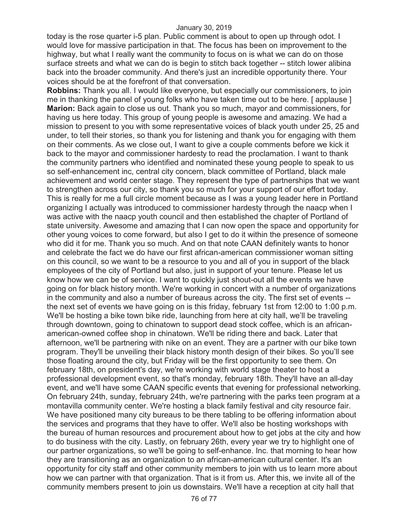today is the rose quarter i-5 plan. Public comment is about to open up through odot. I would love for massive participation in that. The focus has been on improvement to the highway, but what I really want the community to focus on is what we can do on those surface streets and what we can do is begin to stitch back together -- stitch lower alibina back into the broader community. And there's just an incredible opportunity there. Your voices should be at the forefront of that conversation.

**Robbins:** Thank you all. I would like everyone, but especially our commissioners, to join me in thanking the panel of young folks who have taken time out to be here. [ applause ] **Marion:** Back again to close us out. Thank you so much, mayor and commissioners, for having us here today. This group of young people is awesome and amazing. We had a mission to present to you with some representative voices of black youth under 25, 25 and under, to tell their stories, so thank you for listening and thank you for engaging with them on their comments. As we close out, I want to give a couple comments before we kick it back to the mayor and commissioner hardesty to read the proclamation. I want to thank the community partners who identified and nominated these young people to speak to us so self-enhancement inc, central city concern, black committee of Portland, black male achievement and world center stage. They represent the type of partnerships that we want to strengthen across our city, so thank you so much for your support of our effort today. This is really for me a full circle moment because as I was a young leader here in Portland organizing I actually was introduced to commissioner hardesty through the naacp when I was active with the naacp youth council and then established the chapter of Portland of state university. Awesome and amazing that I can now open the space and opportunity for other young voices to come forward, but also I get to do it within the presence of someone who did it for me. Thank you so much. And on that note CAAN definitely wants to honor and celebrate the fact we do have our first african-american commissioner woman sitting on this council, so we want to be a resource to you and all of you in support of the black employees of the city of Portland but also, just in support of your tenure. Please let us know how we can be of service. I want to quickly just shout-out all the events we have going on for black history month. We're working in concert with a number of organizations in the community and also a number of bureaus across the city. The first set of events - the next set of events we have going on is this friday, february 1st from 12:00 to 1:00 p.m. We'll be hosting a bike town bike ride, launching from here at city hall, we'll be traveling through downtown, going to chinatown to support dead stock coffee, which is an africanamerican-owned coffee shop in chinatown. We'll be riding there and back. Later that afternoon, we'll be partnering with nike on an event. They are a partner with our bike town program. They'll be unveiling their black history month design of their bikes. So you'll see those floating around the city, but Friday will be the first opportunity to see them. On february 18th, on president's day, we're working with world stage theater to host a professional development event, so that's monday, february 18th. They'll have an all-day event, and we'll have some CAAN specific events that evening for professional networking. On february 24th, sunday, february 24th, we're partnering with the parks teen program at a montavilla community center. We're hosting a black family festival and city resource fair. We have positioned many city bureaus to be there tabling to be offering information about the services and programs that they have to offer. We'll also be hosting workshops with the bureau of human resources and procurement about how to get jobs at the city and how to do business with the city. Lastly, on february 26th, every year we try to highlight one of our partner organizations, so we'll be going to self-enhance. Inc. that morning to hear how they are transitioning as an organization to an african-american cultural center. It's an opportunity for city staff and other community members to join with us to learn more about how we can partner with that organization. That is it from us. After this, we invite all of the community members present to join us downstairs. We'll have a reception at city hall that